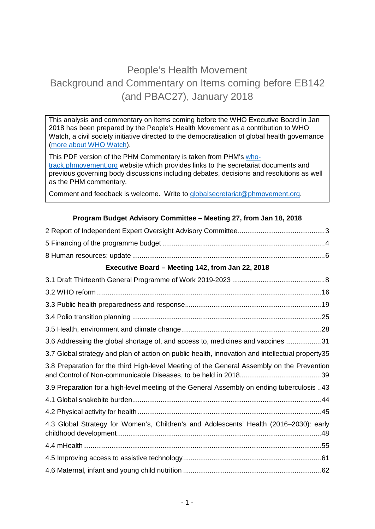# People's Health Movement Background and Commentary on Items coming before EB142 (and PBAC27), January 2018

This analysis and commentary on items coming before the WHO Executive Board in Jan 2018 has been prepared by the People's Health Movement as a contribution to WHO Watch, a civil society initiative directed to the democratisation of global health governance [\(more about WHO Watch\)](http://www.ghwatch.org/who-watch/about).

This PDF version of the PHM Commentary is taken from PHM's [who](http://www.who-track.phmovement.org/)[track.phmovement.org](http://www.who-track.phmovement.org/) website which provides links to the secretariat documents and previous governing body discussions including debates, decisions and resolutions as well as the PHM commentary.

Comment and feedback is welcome. Write to [globalsecretariat@phmovement.org.](mailto:globalsecretariat@phmovement.org)

### **Program Budget Advisory Committee – Meeting 27, from Jan 18, 2018**

| Executive Board - Meeting 142, from Jan 22, 2018                                                |  |  |
|-------------------------------------------------------------------------------------------------|--|--|
|                                                                                                 |  |  |
|                                                                                                 |  |  |
|                                                                                                 |  |  |
|                                                                                                 |  |  |
|                                                                                                 |  |  |
| 3.6 Addressing the global shortage of, and access to, medicines and vaccines31                  |  |  |
| 3.7 Global strategy and plan of action on public health, innovation and intellectual property35 |  |  |
| 3.8 Preparation for the third High-level Meeting of the General Assembly on the Prevention      |  |  |
| 3.9 Preparation for a high-level meeting of the General Assembly on ending tuberculosis 43      |  |  |
|                                                                                                 |  |  |
|                                                                                                 |  |  |
| 4.3 Global Strategy for Women's, Children's and Adolescents' Health (2016-2030): early          |  |  |
|                                                                                                 |  |  |
|                                                                                                 |  |  |
|                                                                                                 |  |  |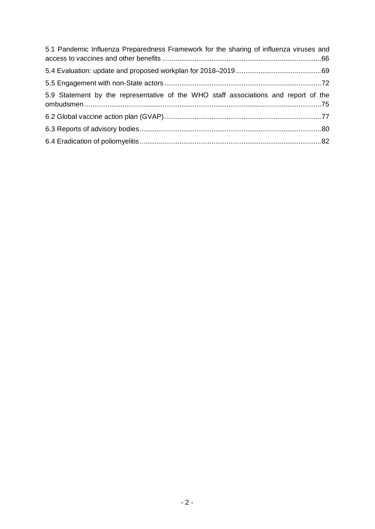| 5.1 Pandemic Influenza Preparedness Framework for the sharing of influenza viruses and |  |
|----------------------------------------------------------------------------------------|--|
|                                                                                        |  |
|                                                                                        |  |
| 5.9 Statement by the representative of the WHO staff associations and report of the    |  |
|                                                                                        |  |
|                                                                                        |  |
|                                                                                        |  |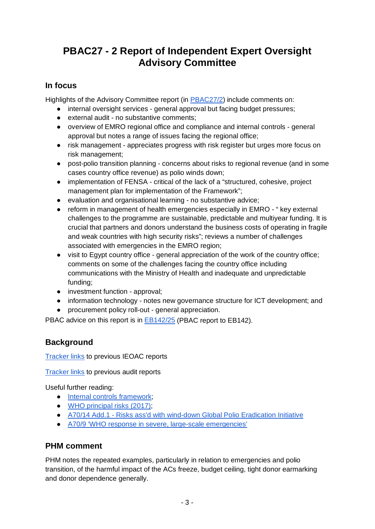# <span id="page-2-0"></span>**PBAC27 - 2 Report of Independent Expert Oversight Advisory Committee**

## **In focus**

Highlights of the Advisory Committee report (in [PBAC27/2\)](http://apps.who.int/gb/pbac/pdf_files/pbac27/pbac27_2-en.pdf) include comments on:

- internal oversight services general approval but facing budget pressures;
- external audit no substantive comments;
- overview of EMRO regional office and compliance and internal controls general approval but notes a range of issues facing the regional office;
- risk management appreciates progress with risk register but urges more focus on risk management;
- post-polio transition planning concerns about risks to regional revenue (and in some cases country office revenue) as polio winds down;
- implementation of FENSA critical of the lack of a "structured, cohesive, project management plan for implementation of the Framework";
- evaluation and organisational learning no substantive advice;
- reform in management of health emergencies especially in EMRO " key external challenges to the programme are sustainable, predictable and multiyear funding. It is crucial that partners and donors understand the business costs of operating in fragile and weak countries with high security risks"; reviews a number of challenges associated with emergencies in the EMRO region;
- visit to Egypt country office general appreciation of the work of the country office; comments on some of the challenges facing the country office including communications with the Ministry of Health and inadequate and unpredictable funding;
- investment function approval;
- information technology notes new governance structure for ICT development; and
- procurement policy roll-out general appreciation.

PBAC advice on this report is in [EB142/25](http://apps.who.int/gb/ebwha/pdf_files/EB142/B142_25-en.pdf) (PBAC report to EB142).

## **Background**

[Tracker links](http://who-track.phmovement.org/items-search?combine=&field_date_value%5Bmin%5D=&field_date_value%5Bmax%5D=&tid%5B%5D=25&tid%5B%5D=27&tid%5B%5D=26&field_keywords_target_id_1%5B%5D=28) to previous IEOAC reports

[Tracker links](http://who-track.phmovement.org/items-search?combine=&field_date_value%5Bmin%5D=&field_date_value%5Bmax%5D=&tid%5B%5D=25&tid%5B%5D=27&tid%5B%5D=26&field_keywords_target_id_1%5B%5D=116) to previous audit reports

Useful further reading:

- Internal controls framework:
- [WHO principal risks \(2017\);](http://www.who.int/about/finances-accountability/accountability/WHO_Principal_Risk_2017.pdf?ua=1)
- A70/14 Add.1 [Risks ass'd with wind-down Global Polio Eradication Initiative](http://apps.who.int/gb/ebwha/pdf_files/WHA70/A70_14Add1-en.pdf)
- [A70/9 'WHO response in severe, large-scale emergencies'](http://apps.who.int/gb/ebwha/pdf_files/WHA70/A70_9-en.pdf)

## **PHM comment**

PHM notes the repeated examples, particularly in relation to emergencies and polio transition, of the harmful impact of the ACs freeze, budget ceiling, tight donor earmarking and donor dependence generally.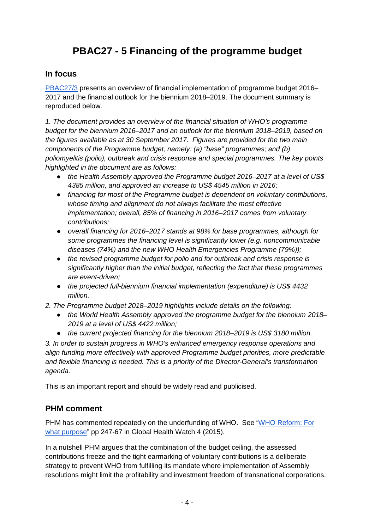# **PBAC27 - 5 Financing of the programme budget**

### <span id="page-3-0"></span>**In focus**

[PBAC27/3](http://apps.who.int/gb/pbac/pdf_files/pbac27/pbac27_3-en.pdf) presents an overview of financial implementation of programme budget 2016– 2017 and the financial outlook for the biennium 2018–2019. The document summary is reproduced below.

*1. The document provides an overview of the financial situation of WHO's programme budget for the biennium 2016–2017 and an outlook for the biennium 2018–2019, based on the figures available as at 30 September 2017. Figures are provided for the two main components of the Programme budget, namely: (a) "base" programmes; and (b) poliomyelitis (polio), outbreak and crisis response and special programmes. The key points highlighted in the document are as follows:* 

- *the Health Assembly approved the Programme budget 2016–2017 at a level of US\$ 4385 million, and approved an increase to US\$ 4545 million in 2016;*
- *financing for most of the Programme budget is dependent on voluntary contributions, whose timing and alignment do not always facilitate the most effective implementation; overall, 85% of financing in 2016–2017 comes from voluntary contributions;*
- *overall financing for 2016–2017 stands at 98% for base programmes, although for some programmes the financing level is significantly lower (e.g. noncommunicable diseases (74%) and the new WHO Health Emergencies Programme (79%));*
- *the revised programme budget for polio and for outbreak and crisis response is significantly higher than the initial budget, reflecting the fact that these programmes are event-driven;*
- *the projected full-biennium financial implementation (expenditure) is US\$ 4432 million.*
- *2. The Programme budget 2018–2019 highlights include details on the following:* 
	- *the World Health Assembly approved the programme budget for the biennium 2018– 2019 at a level of US\$ 4422 million;*
	- *the current projected financing for the biennium 2018–2019 is US\$ 3180 million.*

*3. In order to sustain progress in WHO's enhanced emergency response operations and align funding more effectively with approved Programme budget priorities, more predictable and flexible financing is needed. This is a priority of the Director-General's transformation agenda.* 

This is an important report and should be widely read and publicised.

## **PHM comment**

PHM has commented repeatedly on the underfunding of WHO. See ["WHO Reform: For](http://www.ghwatch.org/sites/www.ghwatch.org/files/D1_1.pdf)  [what purpose"](http://www.ghwatch.org/sites/www.ghwatch.org/files/D1_1.pdf) pp 247-67 in Global Health Watch 4 (2015).

In a nutshell PHM argues that the combination of the budget ceiling, the assessed contributions freeze and the tight earmarking of voluntary contributions is a deliberate strategy to prevent WHO from fulfilling its mandate where implementation of Assembly resolutions might limit the profitability and investment freedom of transnational corporations.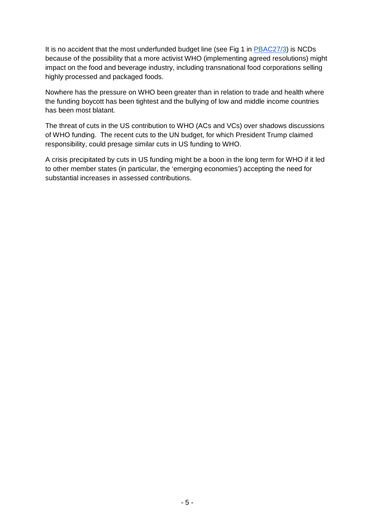It is no accident that the most underfunded budget line (see Fig 1 in [PBAC27/3\)](http://apps.who.int/gb/pbac/pdf_files/pbac27/pbac27_3-en.pdf) is NCDs because of the possibility that a more activist WHO (implementing agreed resolutions) might impact on the food and beverage industry, including transnational food corporations selling highly processed and packaged foods.

Nowhere has the pressure on WHO been greater than in relation to trade and health where the funding boycott has been tightest and the bullying of low and middle income countries has been most blatant.

The threat of cuts in the US contribution to WHO (ACs and VCs) over shadows discussions of WHO funding. The recent cuts to the UN budget, for which President Trump claimed responsibility, could presage similar cuts in US funding to WHO.

A crisis precipitated by cuts in US funding might be a boon in the long term for WHO if it led to other member states (in particular, the 'emerging economies') accepting the need for substantial increases in assessed contributions.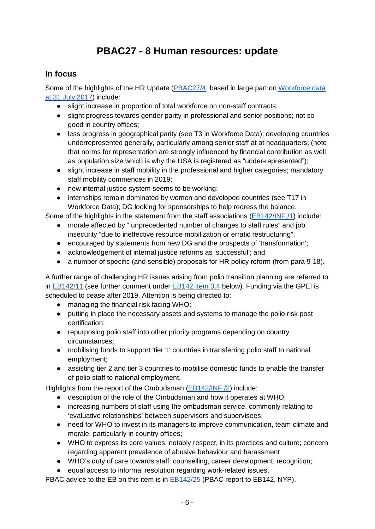# **PBAC27 - 8 Human resources: update**

## <span id="page-5-0"></span>**In focus**

Some of the highlights of the HR Update [\(PBAC27/4,](http://apps.who.int/gb/pbac/pdf_files/pbac27/pbac27_4-en.pdf) based in large part on [Workforce data](http://www.who.int/about/finances-accountability/budget/HR-workforce_data.pdf?ua=1)  [at 31 July 2017\)](http://www.who.int/about/finances-accountability/budget/HR-workforce_data.pdf?ua=1) include:

- slight increase in proportion of total workforce on non-staff contracts;
- slight progress towards gender parity in professional and senior positions; not so good in country offices;
- less progress in geographical parity (see T3 in Workforce Data); developing countries underrepresented generally, particularly among senior staff at at headquarters; (note that norms for representation are strongly influenced by financial contribution as well as population size which is why the USA is registered as "under-represented");
- slight increase in staff mobility in the professional and higher categories; mandatory staff mobility commences in 2019;
- new internal justice system seems to be working;
- internships remain dominated by women and developed countries (see T17 in Workforce Data); DG looking for sponsorships to help redress the balance.

Some of the highlights in the statement from the staff associations [\(EB142/INF./1\)](http://apps.who.int/gb/ebwha/pdf_files/EB142/B142_INF1-en.pdf) include:

- morale affected by " unprecedented number of changes to staff rules" and job insecurity "due to ineffective resource mobilization or erratic restructuring";
- encouraged by statements from new DG and the prospects of 'transformation';
- acknowledgement of internal justice reforms as 'successful'; and
- a number of specific (and sensible) proposals for HR policy reform (from para 9-18).

A further range of challenging HR issues arising from polio transition planning are referred to in [EB142/11](http://apps.who.int/gb/ebwha/pdf_files/EB142/B142_11-en.pdf) (see further comment under [EB142 Item 3.4](#page-26-0) below). Funding via the GPEI is scheduled to cease after 2019. Attention is being directed to:

- managing the financial risk facing WHO;
- putting in place the necessary assets and systems to manage the polio risk post certification;
- repurposing polio staff into other priority programs depending on country circumstances;
- mobilising funds to support 'tier 1' countries in transferring polio staff to national employment;
- assisting tier 2 and tier 3 countries to mobilise domestic funds to enable the transfer of polio staff to national employment.

Highlights from the report of the Ombudsman [\(EB142/INF./2\)](http://apps.who.int/gb/ebwha/pdf_files/EB142/B142_INF2-en.pdf) include:

- description of the role of the Ombudsman and how it operates at WHO;
- increasing numbers of staff using the ombudsman service, commonly relating to 'evaluative relationships' between supervisors and supervisees;
- need for WHO to invest in its managers to improve communication, team climate and morale, particularly in country offices;
- WHO to express its core values, notably respect, in its practices and culture; concern regarding apparent prevalence of abusive behaviour and harassment
- WHO's duty of care towards staff: counselling, career development, recognition;
- equal access to informal resolution regarding work-related issues.

PBAC advice to the EB on this item is in **EB142/25** (PBAC report to EB142, NYP).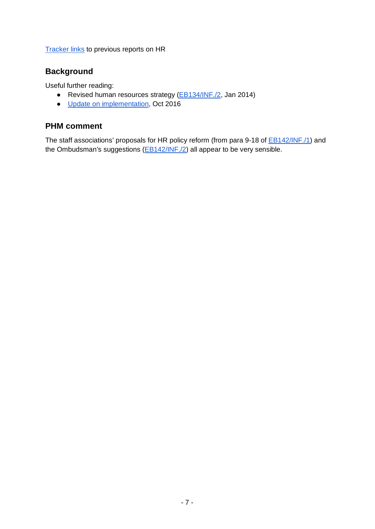**[Tracker links](http://who-track.phmovement.org/items-search?combine=&field_date_value%5Bmin%5D=&field_date_value%5Bmax%5D=&tid%5B%5D=25&tid%5B%5D=27&tid%5B%5D=26&field_keywords_target_id_1%5B%5D=119) to previous reports on HR** 

### **Background**

Useful further reading:

- Revised human resources strategy [\(EB134/INF./2,](http://apps.who.int/gb/ebwha/pdf_files/EB134/B134_INF2-en.pdf?ua=1) Jan 2014)
- [Update on implementation,](http://www.who.int/about/who_reform/managerial/HR-Annual-Report-20160930.pdf?ua=1) Oct 2016

### **PHM comment**

The staff associations' proposals for HR policy reform (from para 9-18 of **EB142/INF./1**) and the Ombudsman's suggestions [\(EB142/INF./2\)](http://apps.who.int/gb/ebwha/pdf_files/EB142/B142_INF2-en.pdf) all appear to be very sensible.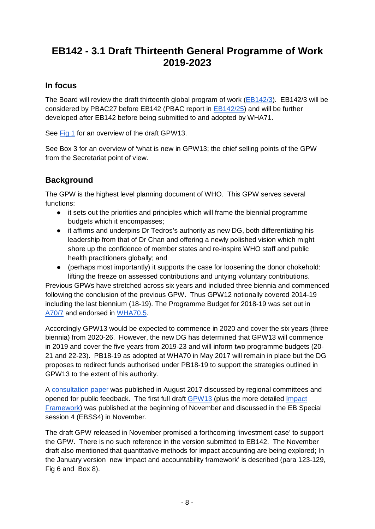# <span id="page-7-0"></span>**EB142 - 3.1 Draft Thirteenth General Programme of Work 2019-2023**

## **In focus**

The Board will review the draft thirteenth global program of work [\(EB142/3\)](http://apps.who.int/gb/ebwha/pdf_files/EB142/B142_3-en.pdf). EB142/3 will be considered by PBAC27 before EB142 (PBAC report in [EB142/25\)](http://apps.who.int/gb/ebwha/pdf_files/EB142/B142_25-en.pdf) and will be further developed after EB142 before being submitted to and adopted by WHA71.

See [Fig 1](http://apps.who.int/gb/ebwha/pdf_files/EB142/B142_3-en.pdf%23page=7) for an overview of the draft GPW13.

See Box 3 for an overview of 'what is new in GPW13; the chief selling points of the GPW from the Secretariat point of view.

## **Background**

The GPW is the highest level planning document of WHO. This GPW serves several functions:

- it sets out the priorities and principles which will frame the biennial programme budgets which it encompasses;
- it affirms and underpins Dr Tedros's authority as new DG, both differentiating his leadership from that of Dr Chan and offering a newly polished vision which might shore up the confidence of member states and re-inspire WHO staff and public health practitioners globally; and
- (perhaps most importantly) it supports the case for loosening the donor chokehold: lifting the freeze on assessed contributions and untying voluntary contributions.

Previous GPWs have stretched across six years and included three biennia and commenced following the conclusion of the previous GPW. Thus GPW12 notionally covered 2014-19 including the last biennium (18-19). The Programme Budget for 2018-19 was set out in [A70/7](http://apps.who.int/gb/ebwha/pdf_files/WHA70/A70_7-en.pdf) and endorsed in [WHA70.5.](http://apps.who.int/gb/ebwha/pdf_files/WHA70/A70_R5-en.pdf)

Accordingly GPW13 would be expected to commence in 2020 and cover the six years (three biennia) from 2020-26. However, the new DG has determined that GPW13 will commence in 2019 and cover the five years from 2019-23 and will inform two programme budgets (20- 21 and 22-23). PB18-19 as adopted at WHA70 in May 2017 will remain in place but the DG proposes to redirect funds authorised under PB18-19 to support the strategies outlined in GPW13 to the extent of his authority.

A [consultation paper](http://www.who.int/about/gpw-thirteen-consultation/en/) was published in August 2017 discussed by regional committees and opened for public feedback. The first full draft [GPW13](http://apps.who.int/gb/ebwha/pdf_files/EBSS4/EBSS4_2-en.pdf) (plus the more detailed [Impact](http://www.who.int/about/GPW13_-impact-framework-draft.pdf?ua=1)  [Framework\)](http://www.who.int/about/GPW13_-impact-framework-draft.pdf?ua=1) was published at the beginning of November and discussed in the EB Special session 4 (EBSS4) in November.

The draft GPW released in November promised a forthcoming 'investment case' to support the GPW. There is no such reference in the version submitted to EB142. The November draft also mentioned that quantitative methods for impact accounting are being explored; In the January version new 'impact and accountability framework' is described (para 123-129, Fig 6 and Box 8).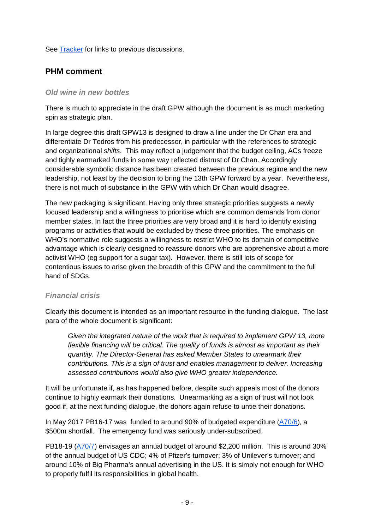See [Tracker](http://who-track.phmovement.org/items-search?combine=&field_date_value%5Bmin%5D=&field_date_value%5Bmax%5D=&tid%5B%5D=25&tid%5B%5D=27&tid%5B%5D=26&field_keywords_target_id_1%5B%5D=76) for links to previous discussions.

### **PHM comment**

#### *Old wine in new bottles*

There is much to appreciate in the draft GPW although the document is as much marketing spin as strategic plan.

In large degree this draft GPW13 is designed to draw a line under the Dr Chan era and differentiate Dr Tedros from his predecessor, in particular with the references to strategic and organizational *shifts*. This may reflect a judgement that the budget ceiling, ACs freeze and tighly earmarked funds in some way reflected distrust of Dr Chan. Accordingly considerable symbolic distance has been created between the previous regime and the new leadership, not least by the decision to bring the 13th GPW forward by a year. Nevertheless, there is not much of substance in the GPW with which Dr Chan would disagree.

The new packaging is significant. Having only three strategic priorities suggests a newly focused leadership and a willingness to prioritise which are common demands from donor member states. In fact the three priorities are very broad and it is hard to identify existing programs or activities that would be excluded by these three priorities. The emphasis on WHO's normative role suggests a willingness to restrict WHO to its domain of competitive advantage which is clearly designed to reassure donors who are apprehensive about a more activist WHO (eg support for a sugar tax). However, there is still lots of scope for contentious issues to arise given the breadth of this GPW and the commitment to the full hand of SDGs.

### *Financial crisis*

Clearly this document is intended as an important resource in the funding dialogue. The last para of the whole document is significant:

*Given the integrated nature of the work that is required to implement GPW 13, more flexible financing will be critical. The quality of funds is almost as important as their quantity. The Director-General has asked Member States to unearmark their contributions. This is a sign of trust and enables management to deliver. Increasing assessed contributions would also give WHO greater independence.*

It will be unfortunate if, as has happened before, despite such appeals most of the donors continue to highly earmark their donations. Unearmarking as a sign of trust will not look good if, at the next funding dialogue, the donors again refuse to untie their donations.

In May 2017 PB16-17 was funded to around 90% of budgeted expenditure [\(A70/6\)](http://apps.who.int/gb/ebwha/pdf_files/WHA70/A70_6-en.pdf), a \$500m shortfall. The emergency fund was seriously under-subscribed.

PB18-19 [\(A70/7\)](http://apps.who.int/gb/ebwha/pdf_files/WHA70/A70_7-en.pdf) envisages an annual budget of around \$2,200 million. This is around 30% of the annual budget of US CDC; 4% of Pfizer's turnover; 3% of Unilever's turnover; and around 10% of Big Pharma's annual advertising in the US. It is simply not enough for WHO to properly fulfil its responsibilities in global health.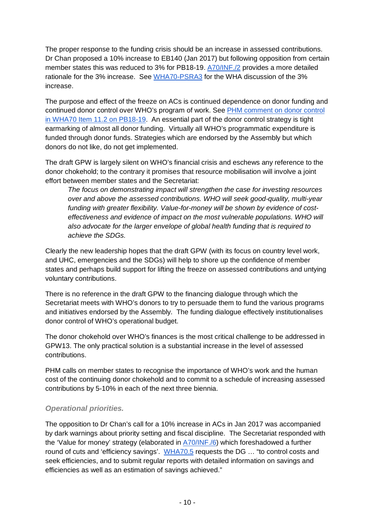The proper response to the funding crisis should be an increase in assessed contributions. Dr Chan proposed a 10% increase to EB140 (Jan 2017) but following opposition from certain member states this was reduced to 3% for PB18-19. [A70/INF./2](http://apps.who.int/gb/ebwha/pdf_files/WHA70/A70_INF2-en.pdf) provides a more detailed rationale for the 3% increase. See [WHA70-PSRA3](http://apps.who.int/gb/ebwha/pdf_files/WHA70-A-B-PSR/A70_APSR3-en.pdf%23page=6) for the WHA discussion of the 3% increase.

The purpose and effect of the freeze on ACs is continued dependence on donor funding and continued donor control over WHO's program of work. See [PHM comment on donor control](https://docs.google.com/document/d/1bhAk4v0Wds1KcdDvMuPlLkSUWlhJkROB9ZPPS2mp9_8/edit?usp=sharing)  [in WHA70 Item 11.2 on PB18-19.](https://docs.google.com/document/d/1bhAk4v0Wds1KcdDvMuPlLkSUWlhJkROB9ZPPS2mp9_8/edit?usp=sharing) An essential part of the donor control strategy is tight earmarking of almost all donor funding. Virtually all WHO's programmatic expenditure is funded through donor funds. Strategies which are endorsed by the Assembly but which donors do not like, do not get implemented.

The draft GPW is largely silent on WHO's financial crisis and eschews any reference to the donor chokehold; to the contrary it promises that resource mobilisation will involve a joint effort between member states and the Secretariat:

*The focus on demonstrating impact will strengthen the case for investing resources over and above the assessed contributions. WHO will seek good-quality, multi-year funding with greater flexibility. Value-for-money will be shown by evidence of costeffectiveness and evidence of impact on the most vulnerable populations. WHO will also advocate for the larger envelope of global health funding that is required to achieve the SDGs.*

Clearly the new leadership hopes that the draft GPW (with its focus on country level work, and UHC, emergencies and the SDGs) will help to shore up the confidence of member states and perhaps build support for lifting the freeze on assessed contributions and untying voluntary contributions.

There is no reference in the draft GPW to the financing dialogue through which the Secretariat meets with WHO's donors to try to persuade them to fund the various programs and initiatives endorsed by the Assembly. The funding dialogue effectively institutionalises donor control of WHO's operational budget.

The donor chokehold over WHO's finances is the most critical challenge to be addressed in GPW13. The only practical solution is a substantial increase in the level of assessed contributions.

PHM calls on member states to recognise the importance of WHO's work and the human cost of the continuing donor chokehold and to commit to a schedule of increasing assessed contributions by 5-10% in each of the next three biennia.

### *Operational priorities.*

The opposition to Dr Chan's call for a 10% increase in ACs in Jan 2017 was accompanied by dark warnings about priority setting and fiscal discipline. The Secretariat responded with the 'Value for money' strategy (elaborated in [A70/INF./6\)](http://apps.who.int/gb/ebwha/pdf_files/WHA70/A70_INF6-en.pdf) which foreshadowed a further round of cuts and 'efficiency savings'. [WHA70.5](http://apps.who.int/gb/ebwha/pdf_files/WHA70/A70_R5-en.pdf) requests the DG … "to control costs and seek efficiencies, and to submit regular reports with detailed information on savings and efficiencies as well as an estimation of savings achieved."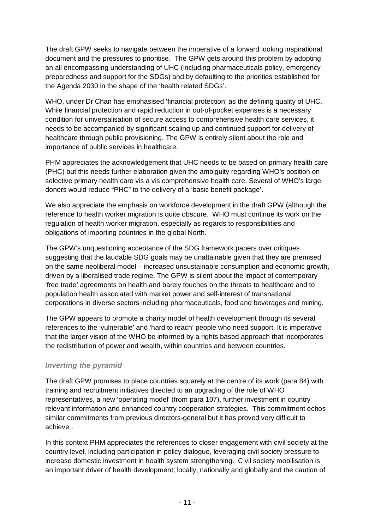The draft GPW seeks to navigate between the imperative of a forward looking inspirational document and the pressures to prioritise. The GPW gets around this problem by adopting an all encompassing understanding of UHC (including pharmaceuticals policy, emergency preparedness and support for the SDGs) and by defaulting to the priorities established for the Agenda 2030 in the shape of the 'health related SDGs'.

WHO, under Dr Chan has emphasised 'financial protection' as the defining quality of UHC. While financial protection and rapid reduction in out-of-pocket expenses is a necessary condition for universalisation of secure access to comprehensive health care services, it needs to be accompanied by significant scaling up and continued support for delivery of healthcare through public provisioning. The GPW is entirely silent about the role and importance of public services in healthcare.

PHM appreciates the acknowledgement that UHC needs to be based on primary health care (PHC) but this needs further elaboration given the ambiguity regarding WHO's position on selective primary health care vis a vis comprehensive health care. Several of WHO's large donors would reduce "PHC" to the delivery of a 'basic benefit package'.

We also appreciate the emphasis on workforce development in the draft GPW (although the reference to health worker migration is quite obscure. WHO must continue its work on the regulation of health worker migration, especially as regards to responsibilities and obligations of importing countries in the global North.

The GPW's unquestioning acceptance of the SDG framework papers over critiques suggesting that the laudable SDG goals may be unattainable given that they are premised on the same neoliberal model – increased unsustainable consumption and economic growth, driven by a liberalised trade regime. The GPW is silent about the impact of contemporary 'free trade' agreements on health and barely touches on the threats to healthcare and to population health associated with market power and self-interest of transnational corporations in diverse sectors including pharmaceuticals, food and beverages and mining.

The GPW appears to promote a charity model of health development through its several references to the 'vulnerable' and 'hard to reach' people who need support. It is imperative that the larger vision of the WHO be informed by a rights based approach that incorporates the redistribution of power and wealth, within countries and between countries.

### *Inverting the pyramid*

The draft GPW promises to place countries squarely at the centre of its work (para 84) with training and recruitment initiatives directed to an upgrading of the role of WHO representatives, a new 'operating model' (from para 107), further investment in country relevant information and enhanced country cooperation strategies. This commitment echos similar commitments from previous directors-general but it has proved very difficult to achieve .

In this context PHM appreciates the references to closer engagement with civil society at the country level, including participation in policy dialogue, leveraging civil society pressure to increase domestic investment in health system strengthening. Civil society mobilisation is an important driver of health development, locally, nationally and globally and the caution of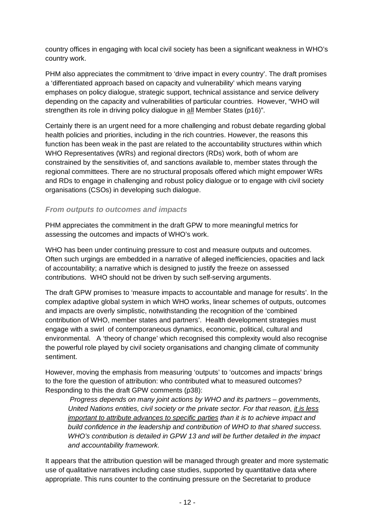country offices in engaging with local civil society has been a significant weakness in WHO's country work.

PHM also appreciates the commitment to 'drive impact in every country'. The draft promises a 'differentiated approach based on capacity and vulnerability' which means varying emphases on policy dialogue, strategic support, technical assistance and service delivery depending on the capacity and vulnerabilities of particular countries. However, "WHO will strengthen its role in driving policy dialogue in all Member States (p16)".

Certainly there is an urgent need for a more challenging and robust debate regarding global health policies and priorities, including in the rich countries. However, the reasons this function has been weak in the past are related to the accountability structures within which WHO Representatives (WRs) and regional directors (RDs) work, both of whom are constrained by the sensitivities of, and sanctions available to, member states through the regional committees. There are no structural proposals offered which might empower WRs and RDs to engage in challenging and robust policy dialogue or to engage with civil society organisations (CSOs) in developing such dialogue.

#### *From outputs to outcomes and impacts*

PHM appreciates the commitment in the draft GPW to more meaningful metrics for assessing the outcomes and impacts of WHO's work.

WHO has been under continuing pressure to cost and measure outputs and outcomes. Often such urgings are embedded in a narrative of alleged inefficiencies, opacities and lack of accountability; a narrative which is designed to justify the freeze on assessed contributions. WHO should not be driven by such self-serving arguments.

The draft GPW promises to 'measure impacts to accountable and manage for results'. In the complex adaptive global system in which WHO works, linear schemes of outputs, outcomes and impacts are overly simplistic, notwithstanding the recognition of the 'combined contribution of WHO, member states and partners'. Health development strategies must engage with a swirl of contemporaneous dynamics, economic, political, cultural and environmental. A 'theory of change' which recognised this complexity would also recognise the powerful role played by civil society organisations and changing climate of community sentiment.

However, moving the emphasis from measuring 'outputs' to 'outcomes and impacts' brings to the fore the question of attribution: who contributed what to measured outcomes? Responding to this the draft GPW comments (p38):

*Progress depends on many joint actions by WHO and its partners – governments, United Nations entities, civil society or the private sector. For that reason, it is less important to attribute advances to specific parties than it is to achieve impact and build confidence in the leadership and contribution of WHO to that shared success. WHO's contribution is detailed in GPW 13 and will be further detailed in the impact and accountability framework.*

It appears that the attribution question will be managed through greater and more systematic use of qualitative narratives including case studies, supported by quantitative data where appropriate. This runs counter to the continuing pressure on the Secretariat to produce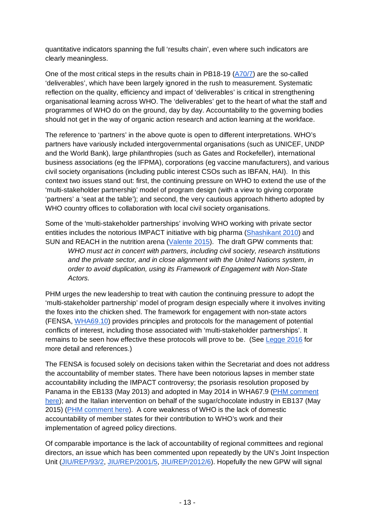quantitative indicators spanning the full 'results chain', even where such indicators are clearly meaningless.

One of the most critical steps in the results chain in PB18-19 [\(A70/7\)](http://apps.who.int/gb/ebwha/pdf_files/WHA70/A70_7-en.pdf) are the so-called 'deliverables', which have been largely ignored in the rush to measurement. Systematic reflection on the quality, efficiency and impact of 'deliverables' is critical in strengthening organisational learning across WHO. The 'deliverables' get to the heart of what the staff and programmes of WHO do on the ground, day by day. Accountability to the governing bodies should not get in the way of organic action research and action learning at the workface.

The reference to 'partners' in the above quote is open to different interpretations. WHO's partners have variously included intergovernmental organisations (such as UNICEF, UNDP and the World Bank), large philanthropies (such as Gates and Rockefeller), international business associations (eg the IFPMA), corporations (eg vaccine manufacturers), and various civil society organisations (including public interest CSOs such as IBFAN, HAI). In this context two issues stand out: first, the continuing pressure on WHO to extend the use of the 'multi-stakeholder partnership' model of program design (with a view to giving corporate 'partners' a 'seat at the table'); and second, the very cautious approach hitherto adopted by WHO country offices to collaboration with local civil society organisations.

Some of the 'multi-stakeholder partnerships' involving WHO working with private sector entities includes the notorious IMPACT initiative with big pharma [\(Shashikant 2010\)](http://www.twn.my/title2/IPR/pdf/ipr13.pdf) and SUN and REACH in the nutrition arena [\(Valente 2015\)](http://wphna.org/wp-content/uploads/2015/11/2015-10-Right-to-FN-Watch-report-7.pdf). The draft GPW comments that: *WHO must act in concert with partners, including civil society, research institutions and the private sector, and in close alignment with the United Nations system, in order to avoid duplication, using its Framework of Engagement with Non-State Actors.* 

PHM urges the new leadership to treat with caution the continuing pressure to adopt the 'multi-stakeholder partnership' model of program design especially where it involves inviting the foxes into the chicken shed. The framework for engagement with non-state actors (FENSA, [WHA69.10\)](http://apps.who.int/gb/ebwha/pdf_files/WHA69/A69_R10-en.pdf) provides principles and protocols for the management of potential conflicts of interest, including those associated with 'multi-stakeholder partnerships'. It remains to be seen how effective these protocols will prove to be. (See [Legge 2016](http://www.davidglegge.me/sites/default/files/Legge_2016_WHOReform_161216.pdf) for more detail and references.)

The FENSA is focused solely on decisions taken within the Secretariat and does not address the accountability of member states. There have been notorious lapses in member state accountability including the IMPACT controversy; the psoriasis resolution proposed by Panama in the EB133 (May 2013) and adopted in May 2014 in WHA67.9 [\(PHM comment](https://docs.google.com/document/d/1Cqhoumbg5vCn1W7ajezJXCrNY1zMobW3JZq9m_pG1JA/edit?usp=sharing)  [here\)](https://docs.google.com/document/d/1Cqhoumbg5vCn1W7ajezJXCrNY1zMobW3JZq9m_pG1JA/edit?usp=sharing); and the Italian intervention on behalf of the sugar/chocolate industry in EB137 (May 2015) [\(PHM comment here\)](https://docs.google.com/document/d/1FYrf0Azq9-cg22qRgBAWASL4xWiX3CQ114-DAMl5QD4/edit?usp=sharing). A core weakness of WHO is the lack of domestic accountability of member states for their contribution to WHO's work and their implementation of agreed policy directions.

Of comparable importance is the lack of accountability of regional committees and regional directors, an issue which has been commented upon repeatedly by the UN's Joint Inspection Unit [\(JIU/REP/93/2,](https://www.unjiu.org/en/reports-notes/JIU%20Products/JIU_REP_1993_2_ENGLISH.pdf) [JIU/REP/2001/5,](https://www.unjiu.org/en/reports-notes/archive/JIU_REP_2001_5_English.pdf) [JIU/REP/2012/6\)](https://www.unjiu.org/en/reports-notes/JIU%20Products/JIU_REP_2012_6_English.pdf). Hopefully the new GPW will signal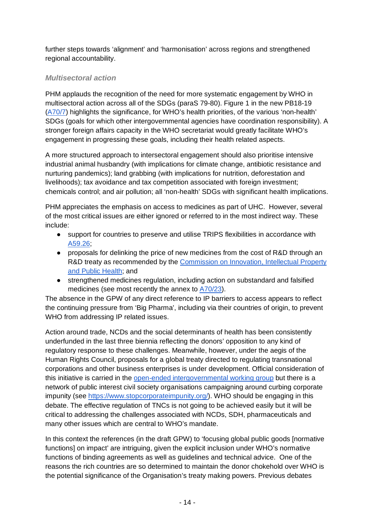further steps towards 'alignment' and 'harmonisation' across regions and strengthened regional accountability.

### *Multisectoral action*

PHM applauds the recognition of the need for more systematic engagement by WHO in multisectoral action across all of the SDGs (paraS 79-80). Figure 1 in the new PB18-19 [\(A70/7\)](http://apps.who.int/gb/ebwha/pdf_files/WHA70/A70_7-en.pdf%23page=13) highlights the significance, for WHO's health priorities, of the various 'non-health' SDGs (goals for which other intergovernmental agencies have coordination responsibility). A stronger foreign affairs capacity in the WHO secretariat would greatly facilitate WHO's engagement in progressing these goals, including their health related aspects.

A more structured approach to intersectoral engagement should also prioritise intensive industrial animal husbandry (with implications for climate change, antibiotic resistance and nurturing pandemics); land grabbing (with implications for nutrition, deforestation and livelihoods); tax avoidance and tax competition associated with foreign investment; chemicals control; and air pollution; all 'non-health' SDGs with significant health implications.

PHM appreciates the emphasis on access to medicines as part of UHC. However, several of the most critical issues are either ignored or referred to in the most indirect way. These include:

- support for countries to preserve and utilise TRIPS flexibilities in accordance wit[h](http://apps.who.int/gb/ebwha/pdf_files/WHA59-REC1/e/Resolutions-en.pdf) [A59.26;](http://apps.who.int/gb/ebwha/pdf_files/WHA59-REC1/e/Resolutions-en.pdf)
- proposals for delinking the price of new medicines from the cost of R&D through an R&D treaty as recommended by the Commission on Innovation, Intellectual Property [and Public Health;](http://www.who.int/intellectualproperty/en/) and
- strengthened medicines regulation, including action on substandard and falsified medicines (see most recently the annex t[o](http://apps.who.int/gb/ebwha/pdf_files/WHA70/A70_23-en.pdf) [A70/23\)](http://apps.who.int/gb/ebwha/pdf_files/WHA70/A70_23-en.pdf).

The absence in the GPW of any direct reference to IP barriers to access appears to reflect the continuing pressure from 'Big Pharma', including via their countries of origin, to prevent WHO from addressing IP related issues.

Action around trade, NCDs and the social determinants of health has been consistently underfunded in the last three biennia reflecting the donors' opposition to any kind of regulatory response to these challenges. Meanwhile, however, under the aegis of the Human Rights Council, proposals for a global treaty directed to regulating transnational corporations and other business enterprises is under development. Official consideration of this initiative is carried in th[e](http://www.ohchr.org/EN/HRBodies/HRC/WGTransCorp/Pages/IGWGOnTNC.aspx) [open-ended intergovernmental working group](http://www.ohchr.org/EN/HRBodies/HRC/WGTransCorp/Pages/IGWGOnTNC.aspx) but there is a network of public interest civil society organisations campaigning around curbing corporate impunity (see [https://www.stopcorporateimpunity.org/\)](https://www.stopcorporateimpunity.org/). WHO should be engaging in this debate. The effective regulation of TNCs is not going to be achieved easily but it will be critical to addressing the challenges associated with NCDs, SDH, pharmaceuticals and many other issues which are central to WHO's mandate.

In this context the references (in the draft GPW) to 'focusing global public goods [normative functions] on impact' are intriguing, given the explicit inclusion under WHO's normative functions of binding agreements as well as guidelines and technical advice. One of the reasons the rich countries are so determined to maintain the donor chokehold over WHO is the potential significance of the Organisation's treaty making powers. Previous debates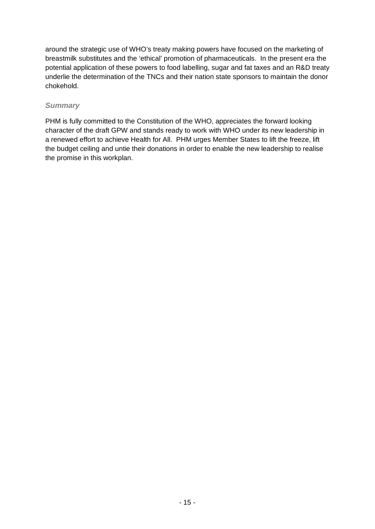around the strategic use of WHO's treaty making powers have focused on the marketing of breastmilk substitutes and the 'ethical' promotion of pharmaceuticals. In the present era the potential application of these powers to food labelling, sugar and fat taxes and an R&D treaty underlie the determination of the TNCs and their nation state sponsors to maintain the donor chokehold.

### *Summary*

PHM is fully committed to the Constitution of the WHO, appreciates the forward looking character of the draft GPW and stands ready to work with WHO under its new leadership in a renewed effort to achieve Health for All. PHM urges Member States to lift the freeze, lift the budget ceiling and untie their donations in order to enable the new leadership to realise the promise in this workplan.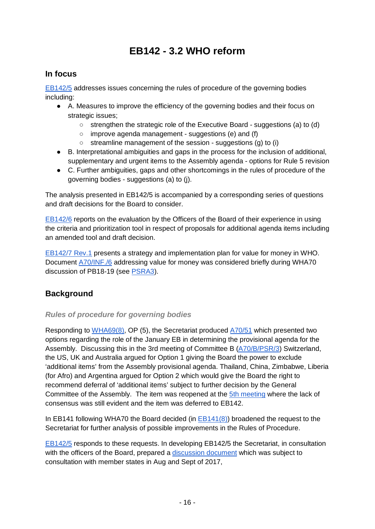# **EB142 - 3.2 WHO reform**

## <span id="page-15-0"></span>**In focus**

[EB142/5](http://apps.who.int/gb/ebwha/pdf_files/EB142/B142_6-en.pdf) addresses issues concerning the rules of procedure of the governing bodies including:

- A. Measures to improve the efficiency of the governing bodies and their focus on strategic issues;
	- strengthen the strategic role of the Executive Board suggestions (a) to (d)
	- improve agenda management suggestions (e) and (f)
	- streamline management of the session suggestions (g) to (i)
- B. Interpretational ambiguities and gaps in the process for the inclusion of additional, supplementary and urgent items to the Assembly agenda - options for Rule 5 revision
- C. Further ambiguities, gaps and other shortcomings in the rules of procedure of the governing bodies - suggestions (a) to (j).

The analysis presented in EB142/5 is accompanied by a corresponding series of questions and draft decisions for the Board to consider.

[EB142/6](http://apps.who.int/gb/ebwha/pdf_files/EB142/B142_6-en.pdf) reports on the evaluation by the Officers of the Board of their experience in using the criteria and prioritization tool in respect of proposals for additional agenda items including an amended tool and draft decision.

[EB142/7 Rev.1](http://apps.who.int/gb/ebwha/pdf_files/EB142/B142_7Rev1-en.pdf) presents a strategy and implementation plan for value for money in WHO. Document [A70/INF./6](http://apps.who.int/gb/ebwha/pdf_files/WHA70/A70_INF6-en.pdf) addressing value for money was considered briefly during WHA70 discussion of PB18-19 (see [PSRA3\)](http://apps.who.int/gb/ebwha/pdf_files/WHA70-A-B-PSR/A70_APSR3-en.pdf%23page=6).

## **Background**

### *Rules of procedure for governing bodies*

Responding to [WHA69\(8\),](http://apps.who.int/gb/ebwha/pdf_files/WHA69/A69_DIV3-en.pdf%23page=3) OP (5), the Secretariat produced [A70/51](http://apps.who.int/gb/ebwha/pdf_files/WHA70/A70_51-en.pdf) which presented two options regarding the role of the January EB in determining the provisional agenda for the Assembly. Discussing this in the 3rd meeting of Committee B [\(A70/B/PSR/3\)](http://apps.who.int/gb/ebwha/pdf_files/WHA70-A-B-PSR/A70_BPSR3-en.pdf%23page=15) Switzerland, the US, UK and Australia argued for Option 1 giving the Board the power to exclude 'additional items' from the Assembly provisional agenda. Thailand, China, Zimbabwe, Liberia (for Afro) and Argentina argued for Option 2 which would give the Board the right to recommend deferral of 'additional items' subject to further decision by the General Committee of the Assembly. The item was reopened at the [5th meeting](http://apps.who.int/gb/ebwha/pdf_files/WHA70-A-B-PSR/A70_BPSR5-en.pdf%23page=2) where the lack of consensus was still evident and the item was deferred to EB142.

In EB141 following WHA70 the Board decided (in [EB141\(8\)\)](http://apps.who.int/gb/ebwha/pdf_files/EB141/B141(8)-en.pdf) broadened the request to the Secretariat for further analysis of possible improvements in the Rules of Procedure.

[EB142/5](http://apps.who.int/gb/ebwha/pdf_files/EB142/B142_5-en.pdf) responds to these requests. In developing EB142/5 the Secretariat, in consultation with the officers of the Board, prepared a [discussion document](http://apps.who.int/gb/CONSULT-Rules/index.html) which was subject to consultation with member states in Aug and Sept of 2017,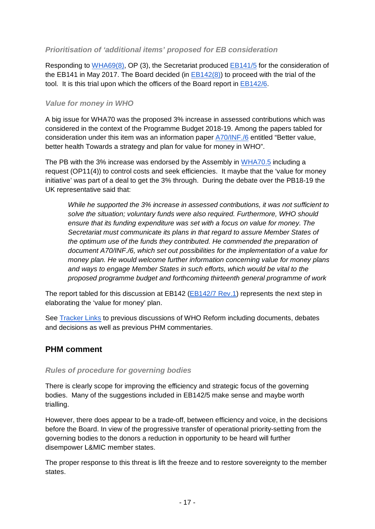### *Prioritisation of 'additional items' proposed for EB consideration*

Responding to [WHA69\(8\),](http://apps.who.int/gb/ebwha/pdf_files/WHA69/A69_DIV3-en.pdf%23page=3) OP (3), the Secretariat produced [EB141/5](http://apps.who.int/gb/ebwha/pdf_files/EB141/B141_5-en.pdf) for the consideration of the EB141 in May 2017. The Board decided (in  $EB142(8)$ ) to proceed with the trial of the tool. It is this trial upon which the officers of the Board report in [EB142/6.](http://apps.who.int/gb/ebwha/pdf_files/EB142/B142_6-en.pdf)

#### *Value for money in WHO*

A big issue for WHA70 was the proposed 3% increase in assessed contributions which was considered in the context of the Programme Budget 2018-19. Among the papers tabled for consideration under this item was an information paper [A70/INF./6](http://apps.who.int/gb/ebwha/pdf_files/WHA70/A70_INF6-en.pdf) entitled "Better value, better health Towards a strategy and plan for value for money in WHO".

The PB with the 3% increase was endorsed by the Assembly in [WHA70.5](http://apps.who.int/gb/ebwha/pdf_files/WHA70/A70_R5-en.pdf) including a request (OP11(4)) to control costs and seek efficiencies. It maybe that the 'value for money initiative' was part of a deal to get the 3% through. During the debate over the PB18-19 the UK representative said that:

*While he supported the 3% increase in assessed contributions, it was not sufficient to solve the situation; voluntary funds were also required. Furthermore, WHO should ensure that its funding expenditure was set with a focus on value for money. The Secretariat must communicate its plans in that regard to assure Member States of the optimum use of the funds they contributed. He commended the preparation of document A70/INF./6, which set out possibilities for the implementation of a value for money plan. He would welcome further information concerning value for money plans and ways to engage Member States in such efforts, which would be vital to the proposed programme budget and forthcoming thirteenth general programme of work*

The report tabled for this discussion at EB142 [\(EB142/7 Rev.1\)](http://apps.who.int/gb/ebwha/pdf_files/EB142/B142_7Rev1-en.pdf) represents the next step in elaborating the 'value for money' plan.

See **Tracker Links** to previous discussions of WHO Reform including documents, debates and decisions as well as previous PHM commentaries.

### **PHM comment**

### *Rules of procedure for governing bodies*

There is clearly scope for improving the efficiency and strategic focus of the governing bodies. Many of the suggestions included in EB142/5 make sense and maybe worth trialling.

However, there does appear to be a trade-off, between efficiency and voice, in the decisions before the Board. In view of the progressive transfer of operational priority-setting from the governing bodies to the donors a reduction in opportunity to be heard will further disempower L&MIC member states.

The proper response to this threat is lift the freeze and to restore sovereignty to the member states.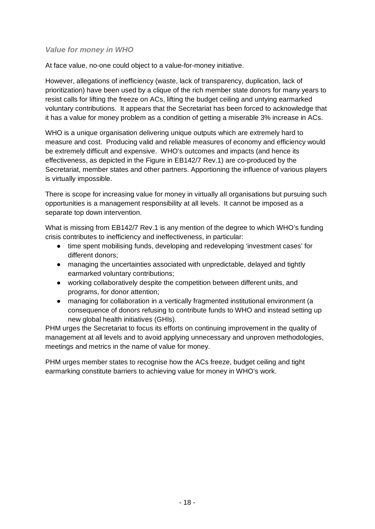### *Value for money in WHO*

At face value, no-one could object to a value-for-money initiative.

However, allegations of inefficiency (waste, lack of transparency, duplication, lack of prioritization) have been used by a clique of the rich member state donors for many years to resist calls for lifting the freeze on ACs, lifting the budget ceiling and untying earmarked voluntary contributions. It appears that the Secretariat has been forced to acknowledge that it has a value for money problem as a condition of getting a miserable 3% increase in ACs.

WHO is a unique organisation delivering unique outputs which are extremely hard to measure and cost. Producing valid and reliable measures of economy and efficiency would be extremely difficult and expensive. WHO's outcomes and impacts (and hence its effectiveness, as depicted in the Figure in EB142/7 Rev.1) are co-produced by the Secretariat, member states and other partners. Apportioning the influence of various players is virtually impossible.

There is scope for increasing value for money in virtually all organisations but pursuing such opportunities is a management responsibility at all levels. It cannot be imposed as a separate top down intervention.

What is missing from EB142/7 Rev.1 is any mention of the degree to which WHO's funding crisis contributes to inefficiency and ineffectiveness, in particular:

- time spent mobilising funds, developing and redeveloping 'investment cases' for different donors;
- managing the uncertainties associated with unpredictable, delayed and tightly earmarked voluntary contributions;
- working collaboratively despite the competition between different units, and programs, for donor attention;
- managing for collaboration in a vertically fragmented institutional environment (a consequence of donors refusing to contribute funds to WHO and instead setting up new global health initiatives (GHIs).

PHM urges the Secretariat to focus its efforts on continuing improvement in the quality of management at all levels and to avoid applying unnecessary and unproven methodologies, meetings and metrics in the name of value for money.

PHM urges member states to recognise how the ACs freeze, budget ceiling and tight earmarking constitute barriers to achieving value for money in WHO's work.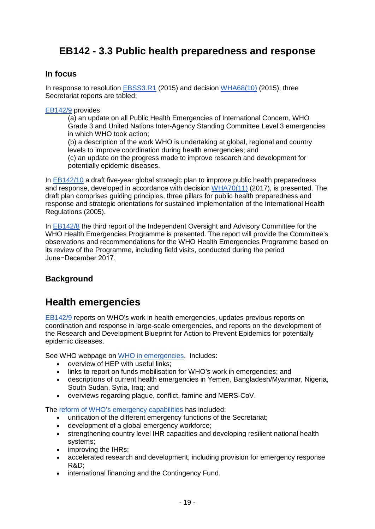# <span id="page-18-0"></span>**EB142 - 3.3 Public health preparedness and response**

### **In focus**

In response to resolution [EBSS3.R1](http://apps.who.int/gb/ebwha/pdf_files/EBSS3-REC1/EBSS3_REC1-en.pdf%23page=15) (2015) and decision [WHA68\(10\)](http://apps.who.int/gb/ebwha/pdf_files/WHA68-REC3/A68_2015_REC3-en.pdf%23page=176) (2015), three Secretariat reports are tabled:

[EB142/9](http://apps.who.int/gb/ebwha/pdf_files/EB142/B142_9-en.pdf) provides

(a) an update on all Public Health Emergencies of International Concern, WHO Grade 3 and United Nations Inter-Agency Standing Committee Level 3 emergencies in which WHO took action;

(b) a description of the work WHO is undertaking at global, regional and country levels to improve coordination during health emergencies; and

(c) an update on the progress made to improve research and development for potentially epidemic diseases.

In [EB142/10](http://apps.who.int/gb/ebwha/pdf_files/EB142/B142_10-en.pdf) a draft five-year global strategic plan to improve public health preparedness and response, developed in accordance with decision [WHA70\(11\)](http://apps.who.int/gb/ebwha/pdf_files/WHA70/A70(11)-en.pdf) (2017), is presented. The draft plan comprises guiding principles, three pillars for public health preparedness and response and strategic orientations for sustained implementation of the International Health Regulations (2005).

In [EB142/8](http://apps.who.int/gb/ebwha/pdf_files/EB142/B142_8-en.pdf) the third report of the Independent Oversight and Advisory Committee for the WHO Health Emergencies Programme is presented. The report will provide the Committee's observations and recommendations for the WHO Health Emergencies Programme based on its review of the Programme, including field visits, conducted during the period June−December 2017.

## **Background**

# **Health emergencies**

[EB142/9](http://apps.who.int/gb/ebwha/pdf_files/EB142/B142_9-en.pdf) reports on WHO's work in health emergencies, updates previous reports on coordination and response in large-scale emergencies, and reports on the development of the Research and Development Blueprint for Action to Prevent Epidemics for potentially epidemic diseases.

See WHO webpage on [WHO in emergencies.](http://www.who.int/emergencies/en/) Includes:

- overview of HEP with useful links;
- links to report on funds mobilisation for WHO's work in emergencies; and
- descriptions of current health emergencies in Yemen, Bangladesh/Myanmar, Nigeria, South Sudan, Syria, Iraq; and
- overviews regarding plague, conflict, famine and MERS-CoV.

The [reform of WHO's emergency capabilities](http://www.who.int/about/who_reform/emergency-capacities/en/) has included:

- unification of the different emergency functions of the Secretariat;
- development of a global emergency workforce;
- strengthening country level IHR capacities and developing resilient national health systems;
- improving the IHRs;
- accelerated research and development, including provision for emergency response R&D;
- international financing and the Contingency Fund.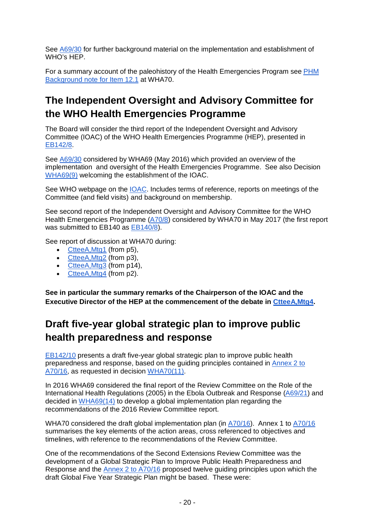See [A69/30](http://apps.who.int/gb/ebwha/pdf_files/WHA69/A69_30-en.pdf) for further background material on the implementation and establishment of WHO's HEP.

For a summary account of the paleohistory of the Health Emergencies Program see PHM [Background note for Item 12.1](https://docs.google.com/document/d/1BFLPAnDLR1hNwTay-sAiQsiCpHUCiuY516dfjsxBBHg/edit%23heading=h.uh3wg177j119) at WHA70.

# **The Independent Oversight and Advisory Committee for the WHO Health Emergencies Programme**

The Board will consider the third report of the Independent Oversight and Advisory Committee (IOAC) of the WHO Health Emergencies Programme (HEP), presented in [EB142/8.](http://apps.who.int/gb/ebwha/pdf_files/EB142/B142_8-en.pdf)

See [A69/30](http://apps.who.int/gb/ebwha/pdf_files/WHA69/A69_30-en.pdf) considered by WHA69 (May 2016) which provided an overview of the implementation and oversight of the Health Emergencies Programme. See also Decision [WHA69\(9\)](http://apps.who.int/gb/ebwha/pdf_files/WHA69/A69_DIV3-en.pdf%23page=6) welcoming the establishment of the IOAC.

See WHO webpage on the [IOAC.](http://www.who.int/about/who_reform/emergency-capacities/oversight-committee/en/) Includes terms of reference, reports on meetings of the Committee (and field visits) and background on membership.

See second report of the Independent Oversight and Advisory Committee for the WHO Health Emergencies Programme [\(A70/8\)](http://apps.who.int/gb/ebwha/pdf_files/WHA70/A70_8-en.pdf) considered by WHA70 in May 2017 (the first report was submitted to EB140 as [EB140/8\)](http://apps.who.int/gb/ebwha/pdf_files/EB140/B140_8-en.pdf).

See report of discussion at WHA70 during:

- CtteeA, Mtg1 (from p5),
- CtteeA, Mtg2 (from p3),
- CtteeA, Mtg3 (from p14),
- CtteeA, Mtg4 (from p2).

**See in particular the summary remarks of the Chairperson of the IOAC and the Executive Director of the HEP at the commencement of the debate in [CtteeA,Mtg4.](http://apps.who.int/gb/ebwha/pdf_files/WHA70-A-B-PSR/A70_APSR4-en.pdf%23page=2)** 

# **Draft five-year global strategic plan to improve public health preparedness and response**

[EB142/10](http://apps.who.int/gb/ebwha/pdf_files/EB142/B142_10-en.pdf) presents a draft five-year global strategic plan to improve public health preparedness and response, based on the guiding principles contained in [Annex 2 to](http://apps.who.int/gb/ebwha/pdf_files/WHA70/A70_16-en.pdf%23page=14)  [A70/16,](http://apps.who.int/gb/ebwha/pdf_files/WHA70/A70_16-en.pdf%23page=14) as requested in decision [WHA70\(11\).](http://apps.who.int/gb/ebwha/pdf_files/WHA70/A70(11)-en.pdf)

In 2016 WHA69 considered the final report of the Review Committee on the Role of the International Health Regulations (2005) in the Ebola Outbreak and Response [\(A69/21\)](http://apps.who.int/gb/ebwha/pdf_files/WHA69/A69_21-en.pdf) and decided in [WHA69\(14\)](http://apps.who.int/gb/ebwha/pdf_files/WHA69/A69_DIV3-en.pdf%23page=10) to develop a global implementation plan regarding the recommendations of the 2016 Review Committee report.

WHA70 considered the draft global implementation plan (in [A70/16\)](http://apps.who.int/gb/ebwha/pdf_files/WHA70/A70_16-en.pdf). Annex 1 to [A70/16](http://apps.who.int/gb/ebwha/pdf_files/WHA70/A70_16-en.pdf%23page=11) summarises the key elements of the action areas, cross referenced to objectives and timelines, with reference to the recommendations of the Review Committee.

One of the recommendations of the Second Extensions Review Committee was the development of a Global Strategic Plan to Improve Public Health Preparedness and Response and the [Annex 2 to A70/16](http://apps.who.int/gb/ebwha/pdf_files/WHA70/A70_16-en.pdf%23page=14) proposed twelve guiding principles upon which the draft Global Five Year Strategic Plan might be based. These were: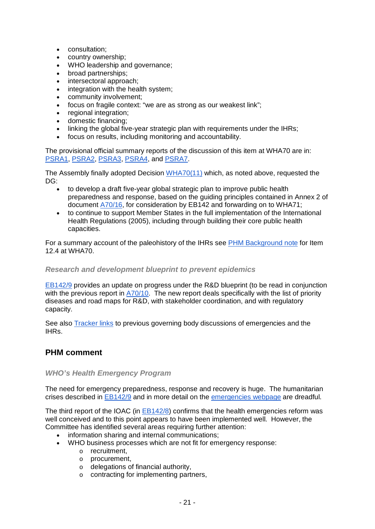- consultation;
- country ownership;
- WHO leadership and governance;<br>• broad partnerships:
- broad partnerships;
- intersectoral approach;
- integration with the health system;
- community involvement;
- focus on fragile context: "we are as strong as our weakest link";
- regional integration;
- domestic financing;
- linking the global five-year strategic plan with requirements under the IHRs;
- focus on results, including monitoring and accountability.

The provisional official summary reports of the discussion of this item at WHA70 are in: [PSRA1,](http://apps.who.int/gb/ebwha/pdf_files/WHA70-A-B-PSR/A70_APSR1-en.pdf%23page=5) [PSRA2,](http://apps.who.int/gb/ebwha/pdf_files/WHA70-A-B-PSR/A70_APSR2-en.pdf%23page=3) [PSRA3,](http://apps.who.int/gb/ebwha/pdf_files/WHA70-A-B-PSR/A70_APSR3-en.pdf%23page=14) [PSRA4,](http://apps.who.int/gb/ebwha/pdf_files/WHA70-A-B-PSR/A70_APSR4-en.pdf) and [PSRA7.](http://apps.who.int/gb/ebwha/pdf_files/WHA70-A-B-PSR/A70_APSR7-en.pdf%23page=6)

The Assembly finally adopted Decision [WHA70\(11\)](http://apps.who.int/gb/ebwha/pdf_files/WHA70/A70(11)-en.pdf) which, as noted above, requested the DG:

- to develop a draft five-year global strategic plan to improve public health preparedness and response, based on the guiding principles contained in Annex 2 of document [A70/16,](http://apps.who.int/gb/ebwha/pdf_files/WHA70/A70_16-en.pdf%23page=14) for consideration by EB142 and forwarding on to WHA71;
- to continue to support Member States in the full implementation of the International Health Regulations (2005), including through building their core public health capacities.

For a summary account of the paleohistory of the IHRs see [PHM Background note](https://docs.google.com/document/d/1a1iZHPErD7xcl64fldRf7AbDBL3xjFEHc0RX-r_KgAw/edit%23heading=h.uh3wg177j119) for Item 12.4 at WHA70.

#### *Research and development blueprint to prevent epidemics*

[EB142/9](http://apps.who.int/gb/ebwha/pdf_files/EB142/B142_9-en.pdf) provides an update on progress under the R&D blueprint (to be read in conjunction with the previous report in [A70/10.](http://apps.who.int/gb/ebwha/pdf_files/WHA70/A70_10-en.pdf) The new report deals specifically with the list of priority diseases and road maps for R&D, with stakeholder coordination, and with regulatory capacity.

See also [Tracker links](http://who-track.phmovement.org/items-search?combine=&field_date_value%5Bmin%5D=&field_date_value%5Bmax%5D=&tid%5B%5D=25&tid%5B%5D=27&field_keywords_target_id_1%5B%5D=80&field_keywords_target_id_1%5B%5D=59) to previous governing body discussions of emergencies and the IHRs.

### **PHM comment**

#### *WHO's Health Emergency Program*

The need for emergency preparedness, response and recovery is huge. The humanitarian crises described in [EB142/9](http://apps.who.int/gb/ebwha/pdf_files/EB142/B142_9-en.pdf) and in more detail on the [emergencies webpage](http://www.who.int/emergencies/en/) are dreadful.

The third report of the IOAC (in [EB142/8\)](http://apps.who.int/gb/ebwha/pdf_files/EB142/B142_8-en.pdf) confirms that the health emergencies reform was well conceived and to this point appears to have been implemented well. However, the Committee has identified several areas requiring further attention:

- information sharing and internal communications;
- WHO business processes which are not fit for emergency response:
	- o recruitment,
	- o procurement,
	- o delegations of financial authority,
	- o contracting for implementing partners,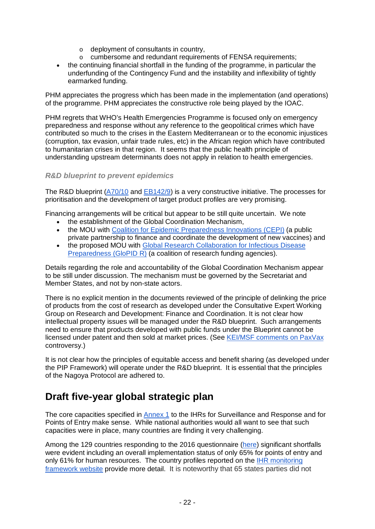- 
- $\circ$  deployment of consultants in country,<br> $\circ$  cumbersome and redundant requirem cumbersome and redundant requirements of FENSA requirements;
- the continuing financial shortfall in the funding of the programme, in particular the underfunding of the Contingency Fund and the instability and inflexibility of tightly earmarked funding.

PHM appreciates the progress which has been made in the implementation (and operations) of the programme. PHM appreciates the constructive role being played by the IOAC.

PHM regrets that WHO's Health Emergencies Programme is focused only on emergency preparedness and response without any reference to the geopolitical crimes which have contributed so much to the crises in the Eastern Mediterranean or to the economic injustices (corruption, tax evasion, unfair trade rules, etc) in the African region which have contributed to humanitarian crises in that region. It seems that the public health principle of understanding upstream determinants does not apply in relation to health emergencies.

### *R&D blueprint to prevent epidemics*

The R&D blueprint [\(A70/10](http://apps.who.int/gb/ebwha/pdf_files/WHA70/A70_10-en.pdf) and [EB142/9\)](http://apps.who.int/gb/ebwha/pdf_files/EB142/B142_9-en.pdf) is a very constructive initiative. The processes for prioritisation and the development of target product profiles are very promising.

Financing arrangements will be critical but appear to be still quite uncertain. We note

- the establishment of the Global Coordination Mechanism,
- the MOU with [Coalition for Epidemic Preparedness Innovations \(CEPI\)](http://cepi.net/) (a public private partnership to finance and coordinate the development of new vaccines) and
- the proposed MOU with Global Research Collaboration for Infectious Disease [Preparedness \(GloPID R\)](https://www.glopid-r.org/learn-about-us/members/) (a coalition of research funding agencies).

Details regarding the role and accountability of the Global Coordination Mechanism appear to be still under discussion. The mechanism must be governed by the Secretariat and Member States, and not by non-state actors.

There is no explicit mention in the documents reviewed of the principle of delinking the price of products from the cost of research as developed under the Consultative Expert Working Group on Research and Development: Finance and Coordination. It is not clear how intellectual property issues will be managed under the R&D blueprint. Such arrangements need to ensure that products developed with public funds under the Blueprint cannot be licensed under patent and then sold at market prices. (See [KEI/MSF comments on PaxVax](https://www.keionline.org/23515/) controversy.)

It is not clear how the principles of equitable access and benefit sharing (as developed under the PIP Framework) will operate under the R&D blueprint. It is essential that the principles of the Nagoya Protocol are adhered to.

# **Draft five-year global strategic plan**

The core capacities specified in [Annex 1](http://apps.who.int/iris/bitstream/10665/43883/1/9789241580410_eng.pdf%23page=47) to the IHRs for Surveillance and Response and for Points of Entry make sense. While national authorities would all want to see that such capacities were in place, many countries are finding it very challenging.

Among the 129 countries responding to the 2016 questionnaire [\(here\)](http://www.who.int/gho/ihr/ihr_001.jpg?ua=1) significant shortfalls were evident including an overall implementation status of only 65% for points of entry and only 61% for human resources. The country profiles reported on the [IHR monitoring](http://www.who.int/gho/ihr/en/)  [framework website](http://www.who.int/gho/ihr/en/) provide more detail. It is noteworthy that 65 states parties did not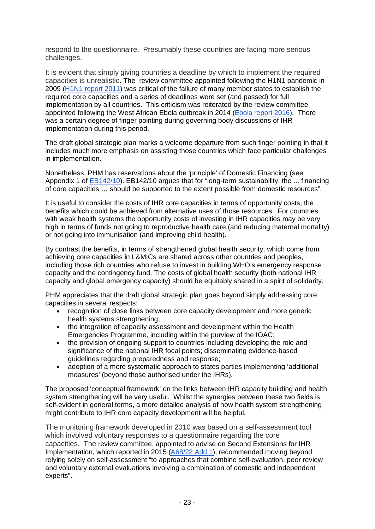respond to the questionnaire. Presumably these countries are facing more serious challenges.

It is evident that simply giving countries a deadline by which to implement the required capacities is unrealistic. The review committee appointed following the H1N1 pandemic in 2009 [\(H1N1 report 2011\)](http://apps.who.int/gb/ebwha/pdf_files/WHA64/A64_10-en.pdf) was critical of the failure of many member states to establish the required core capacities and a series of deadlines were set (and passed) for full implementation by all countries. This criticism was reiterated by the review committee appointed following the West African Ebola outbreak in 2014 [\(Ebola report 2016\)](http://apps.who.int/gb/ebwha/pdf_files/WHA69/A69_21-en.pdf). There was a certain degree of finger pointing during governing body discussions of IHR implementation during this period.

The draft global strategic plan marks a welcome departure from such finger pointing in that it includes much more emphasis on assisting those countries which face particular challenges in implementation.

Nonetheless, PHM has reservations about the 'principle' of Domestic Financing (see Appendix 1 of [EB142/10\)](http://apps.who.int/gb/ebwha/pdf_files/EB142/B142_10-en.pdf%23page=12). EB142/10 argues that for "long-term sustainability, the ... financing of core capacities … should be supported to the extent possible from domestic resources".

It is useful to consider the costs of IHR core capacities in terms of opportunity costs, the benefits which could be achieved from alternative uses of those resources. For countries with weak health systems the opportunity costs of investing in IHR capacities may be very high in terms of funds not going to reproductive health care (and reducing maternal mortality) or not going into immunisation (and improving child health).

By contrast the benefits, in terms of strengthened global health security, which come from achieving core capacities in L&MICs are shared across other countries and peoples, including those rich countries who refuse to invest in building WHO's emergency response capacity and the contingency fund. The costs of global health security (both national IHR capacity and global emergency capacity) should be equitably shared in a spirit of solidarity.

PHM appreciates that the draft global strategic plan goes beyond simply addressing core capacities in several respects:

- recognition of close links between core capacity development and more generic health systems strengthening;
- the integration of capacity assessment and development within the Health Emergencies Programme, including within the purview of the IOAC;
- the provision of ongoing support to countries including developing the role and significance of the national IHR focal points; disseminating evidence-based guidelines regarding preparedness and response;
- adoption of a more systematic approach to states parties implementing 'additional measures' (beyond those authorised under the IHRs).

The proposed 'conceptual framework' on the links between IHR capacity building and health system strengthening will be very useful. Whilst the synergies between these two fields is self-evident in general terms, a more detailed analysis of how health system strengthening might contribute to IHR core capacity development will be helpful.

The monitoring framework developed in 2010 was based on a self-assessment tool which involved voluntary responses to a questionnaire regarding the core capacities. The review committee, appointed to advise on Second Extensions for IHR Implementation, which reported in 2015 [\(A68/22 Add.1\)](http://apps.who.int/gb/ebwha/pdf_files/WHA68/A68_22Add1-en.pdf), recommended moving beyond relying solely on self-assessment "to approaches that combine self-evaluation, peer review and voluntary external evaluations involving a combination of domestic and independent experts".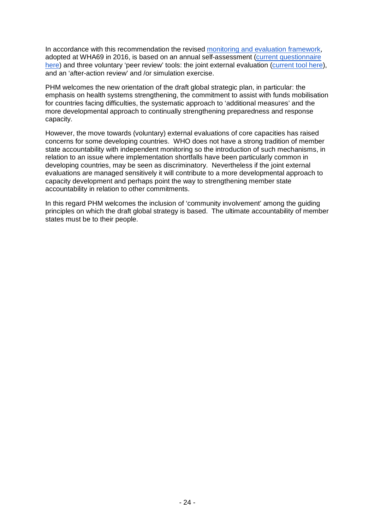In accordance with this recommendation the revised [monitoring and evaluation framework,](http://apps.who.int/gb/ebwha/pdf_files/WHA69/A69_20-en.pdf%23page=9) adopted at WHA69 in 2016, is based on an annual self-assessment [\(current questionnaire](http://apps.who.int/iris/bitstream/10665/255756/1/WHO-WHE-CPI-2017.41-eng.pdf?ua=1)  [here\)](http://apps.who.int/iris/bitstream/10665/255756/1/WHO-WHE-CPI-2017.41-eng.pdf?ua=1) and three voluntary 'peer review' tools: the joint external evaluation [\(current tool here\)](http://apps.who.int/iris/bitstream/10665/204368/1/9789241510172_eng.pdf), and an 'after-action review' and /or simulation exercise.

PHM welcomes the new orientation of the draft global strategic plan, in particular: the emphasis on health systems strengthening, the commitment to assist with funds mobilisation for countries facing difficulties, the systematic approach to 'additional measures' and the more developmental approach to continually strengthening preparedness and response capacity.

However, the move towards (voluntary) external evaluations of core capacities has raised concerns for some developing countries. WHO does not have a strong tradition of member state accountability with independent monitoring so the introduction of such mechanisms, in relation to an issue where implementation shortfalls have been particularly common in developing countries, may be seen as discriminatory. Nevertheless if the joint external evaluations are managed sensitively it will contribute to a more developmental approach to capacity development and perhaps point the way to strengthening member state accountability in relation to other commitments.

In this regard PHM welcomes the inclusion of 'community involvement' among the guiding principles on which the draft global strategy is based. The ultimate accountability of member states must be to their people.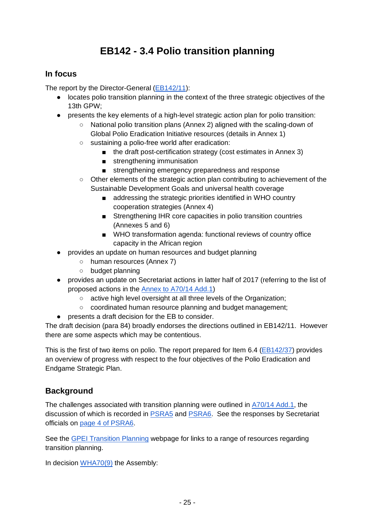# **EB142 - 3.4 Polio transition planning**

## <span id="page-24-0"></span>**In focus**

The report by the Director-General [\(EB142/11\)](http://apps.who.int/gb/ebwha/pdf_files/EB142/B142_11-en.pdf):

- locates polio transition planning in the context of the three strategic objectives of the 13th GPW;
- presents the key elements of a high-level strategic action plan for polio transition:
	- National polio transition plans (Annex 2) aligned with the scaling-down of Global Polio Eradication Initiative resources (details in Annex 1)
	- sustaining a polio-free world after eradication:
		- the draft post-certification strategy (cost estimates in Annex 3)
		- strengthening immunisation
		- strengthening emergency preparedness and response
	- Other elements of the strategic action plan contributing to achievement of the Sustainable Development Goals and universal health coverage
		- addressing the strategic priorities identified in WHO country cooperation strategies (Annex 4)
		- Strengthening IHR core capacities in polio transition countries (Annexes 5 and 6)
		- WHO transformation agenda: functional reviews of country office capacity in the African region
- provides an update on human resources and budget planning
	- human resources (Annex 7)
	- budget planning
- provides an update on Secretariat actions in latter half of 2017 (referring to the list of proposed actions in the [Annex to A70/14 Add.1\)](http://apps.who.int/gb/ebwha/pdf_files/WHA70/A70_14Add1-en.pdf%23page=21)
	- active high level oversight at all three levels of the Organization;
	- coordinated human resource planning and budget management;
- presents a draft decision for the EB to consider.

The draft decision (para 84) broadly endorses the directions outlined in EB142/11. However there are some aspects which may be contentious.

This is the first of two items on polio. The report prepared for Item 6.4 [\(EB142/37\)](http://apps.who.int/gb/ebwha/pdf_files/EB142/B142_37-en.pdf) provides an overview of progress with respect to the four objectives of the Polio Eradication and Endgame Strategic Plan.

## **Background**

The challenges associated with transition planning were outlined in [A70/14 Add.1,](http://apps.who.int/gb/ebwha/pdf_files/WHA70/A70_14Add1-en.pdf) the discussion of which is recorded in **PSRA5** and **PSRA6**. See the responses by Secretariat officials on [page 4 of PSRA6.](http://apps.who.int/gb/ebwha/pdf_files/WHA70-A-B-PSR/A70_APSR6-en.pdf%23page=4)

See the [GPEI Transition Planning](http://polioeradication.org/polio-today/preparing-for-a-polio-free-world/transition-planning/) webpage for links to a range of resources regarding transition planning.

In decision [WHA70\(9\)](http://apps.who.int/gb/ebwha/pdf_files/WHA70/A70(9)-en.pdf) the Assembly: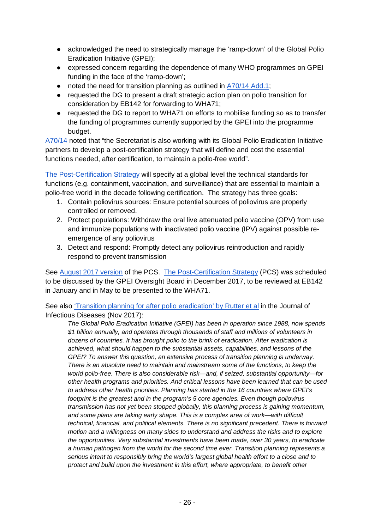- acknowledged the need to strategically manage the 'ramp-down' of the Global Polio Eradication Initiative (GPEI);
- expressed concern regarding the dependence of many WHO programmes on GPEI funding in the face of the 'ramp-down';
- noted the need for transition planning as outlined in [A70/14 Add.1;](http://apps.who.int/gb/ebwha/pdf_files/WHA70/A70_14Add1-en.pdf)
- requested the DG to present a draft strategic action plan on polio transition for consideration by EB142 for forwarding to WHA71;
- requested the DG to report to WHA71 on efforts to mobilise funding so as to transfer the funding of programmes currently supported by the GPEI into the programme budget.

[A70/14](http://apps.who.int/gb/ebwha/pdf_files/WHA70/A70_14-en.pdf) noted that "the Secretariat is also working with its Global Polio Eradication Initiative partners to develop a post-certification strategy that will define and cost the essential functions needed, after certification, to maintain a polio-free world".

[The Post-Certification Strategy](http://polioeradication.org/polio-today/preparing-for-a-polio-free-world/transition-planning/polio-post-certification-strategy/) will specify at a global level the technical standards for functions (e.g. containment, vaccination, and surveillance) that are essential to maintain a polio-free world in the decade following certification. The strategy has three goals:

- 1. Contain poliovirus sources: Ensure potential sources of poliovirus are properly controlled or removed.
- 2. Protect populations: Withdraw the oral live attenuated polio vaccine (OPV) from use and immunize populations with inactivated polio vaccine (IPV) against possible reemergence of any poliovirus
- 3. Detect and respond: Promptly detect any poliovirus reintroduction and rapidly respond to prevent transmission

See [August 2017 version](http://polioeradication.org/wp-content/uploads/2017/08/PCS-summary-overview_8Aug2017.pdf) of the PCS. [The Post-Certification Strategy](http://polioeradication.org/polio-today/preparing-for-a-polio-free-world/transition-planning/polio-post-certification-strategy/) (PCS) was scheduled to be discussed by the GPEI Oversight Board in December 2017, to be reviewed at EB142 in January and in May to be presented to the WHA71.

See also ['Transition planning for after polio eradication' by Rutter et al](https://watermark.silverchair.com/jix026.pdf?token=AQECAHi208BE49Ooan9kkhW_Ercy7Dm3ZL_9Cf3qfKAc485ysgAAAbMwggGvBgkqhkiG9w0BBwagggGgMIIBnAIBADCCAZUGCSqGSIb3DQEHATAeBglghkgBZQMEAS4wEQQMBObGfJPtGJmulIYXAgEQgIIBZmYU__HaNuCRyrShO-Viz8WEhS8oMnU5eHErCBSqJrOghnKN0yWTn6r5kFipUTxcTX4UK8g1CSaJUPgFRZGmNuWJzvc7VL7LwzFRyXNdBpiGG2FQyzs0kBji0bT8ovJRGzzVneX4swrGTJe_WHLGmZadeMh1nR0_C1u3DSRLISo3r4z-q8gejqtUEySv6tSyhotDuPi0kzcJKWn4CPU1yYB5zgCtOvgSC_hNP2rrfkBrgk1RfR0l6enrYETqRNkDWWqnpIx8KbaUhH5_SzGvfJdREdWN3hqyd0xPsfbBMDucOdB3qasSDvHXnL-acv9ztSWZq-gOehJVMybAlzNNku9zU53w5Vzf4Gh8B6YDU8i0FjeNnt--8oDNgmwW3rr40ZsmJNxijCcfwrHEuR_tVbJNQ1H_3SzZSNTHaAuxfJVvsw8dEkeLL4TAo-Ndhj9maWgkSLAZsFtabxfn24eYng6uemKMKU4) in the Journal of Infectious Diseases (Nov 2017):

*The Global Polio Eradication Initiative (GPEI) has been in operation since 1988, now spends \$1 billion annually, and operates through thousands of staff and millions of volunteers in dozens of countries. It has brought polio to the brink of eradication. After eradication is achieved, what should happen to the substantial assets, capabilities, and lessons of the GPEI? To answer this question, an extensive process of transition planning is underway. There is an absolute need to maintain and mainstream some of the functions, to keep the world polio-free. There is also considerable risk—and, if seized, substantial opportunity—for other health programs and priorities. And critical lessons have been learned that can be used to address other health priorities. Planning has started in the 16 countries where GPEI's footprint is the greatest and in the program's 5 core agencies. Even though poliovirus transmission has not yet been stopped globally, this planning process is gaining momentum, and some plans are taking early shape. This is a complex area of work—with difficult technical, financial, and political elements. There is no significant precedent. There is forward motion and a willingness on many sides to understand and address the risks and to explore the opportunities. Very substantial investments have been made, over 30 years, to eradicate a human pathogen from the world for the second time ever. Transition planning represents a serious intent to responsibly bring the world's largest global health effort to a close and to protect and build upon the investment in this effort, where appropriate, to benefit other*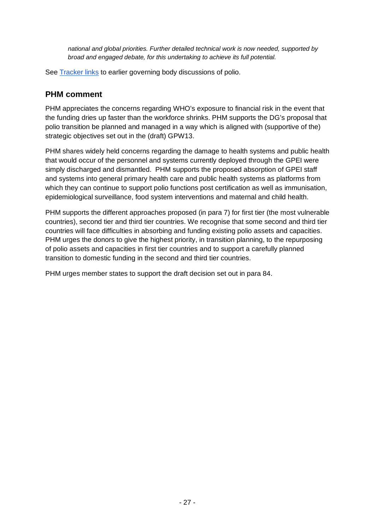*national and global priorities. Further detailed technical work is now needed, supported by broad and engaged debate, for this undertaking to achieve its full potential.*

See [Tracker](http://who-track.phmovement.org/items-search?combine=&field_date_value%5Bmin%5D=&field_date_value%5Bmax%5D=&tid%5B%5D=25&tid%5B%5D=27&tid%5B%5D=26&field_keywords_target_id_1%5B%5D=81) links to earlier governing body discussions of polio.

### <span id="page-26-0"></span>**PHM comment**

PHM appreciates the concerns regarding WHO's exposure to financial risk in the event that the funding dries up faster than the workforce shrinks. PHM supports the DG's proposal that polio transition be planned and managed in a way which is aligned with (supportive of the) strategic objectives set out in the (draft) GPW13.

PHM shares widely held concerns regarding the damage to health systems and public health that would occur of the personnel and systems currently deployed through the GPEI were simply discharged and dismantled. PHM supports the proposed absorption of GPEI staff and systems into general primary health care and public health systems as platforms from which they can continue to support polio functions post certification as well as immunisation, epidemiological surveillance, food system interventions and maternal and child health.

PHM supports the different approaches proposed (in para 7) for first tier (the most vulnerable countries), second tier and third tier countries. We recognise that some second and third tier countries will face difficulties in absorbing and funding existing polio assets and capacities. PHM urges the donors to give the highest priority, in transition planning, to the repurposing of polio assets and capacities in first tier countries and to support a carefully planned transition to domestic funding in the second and third tier countries.

PHM urges member states to support the draft decision set out in para 84.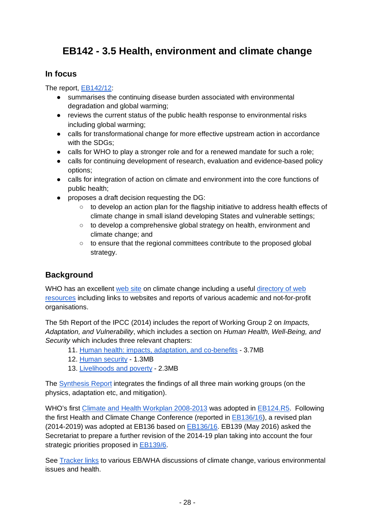# <span id="page-27-0"></span>**EB142 - 3.5 Health, environment and climate change**

### **In focus**

### The report, [EB142/12:](http://apps.who.int/gb/ebwha/pdf_files/EB142/B142_12-en.pdf)

- summarises the continuing disease burden associated with environmental degradation and global warming;
- reviews the current status of the public health response to environmental risks including global warming;
- calls for transformational change for more effective upstream action in accordance with the SDGs:
- calls for WHO to play a stronger role and for a renewed mandate for such a role;
- calls for continuing development of research, evaluation and evidence-based policy options;
- calls for integration of action on climate and environment into the core functions of public health;
- proposes a draft decision requesting the DG:
	- to develop an action plan for the flagship initiative to address health effects of climate change in small island developing States and vulnerable settings;
	- to develop a comprehensive global strategy on health, environment and climate change; and
	- to ensure that the regional committees contribute to the proposed global strategy.

## **Background**

WHO has an excellent [web site](http://www.who.int/topics/climate/en/) on climate change including a useful directory of web [resources](http://www.who.int/heli/risks/climate/climatechange/en/) including links to websites and reports of various academic and not-for-profit organisations.

The 5th Report of the IPCC (2014) includes the report of Working Group 2 on *Impacts, Adaptation, and Vulnerability*, which includes a section on *Human Health, Well-Being, and Security* which includes three relevant chapters:

- 11. [Human health: impacts, adaptation, and co-benefits](https://www.ipcc.ch/pdf/assessment-report/ar5/wg2/WGIIAR5-Chap11_FINAL.pdf) 3.7MB
- 12. [Human security](https://www.ipcc.ch/pdf/assessment-report/ar5/wg2/WGIIAR5-Chap12_FINAL.pdf) 1.3MB
- 13. [Livelihoods and poverty](https://www.ipcc.ch/pdf/assessment-report/ar5/wg2/WGIIAR5-Chap13_FINAL.pdf) 2.3MB

The [Synthesis Report](https://www.ipcc.ch/pdf/assessment-report/ar5/syr/AR5_SYR_FINAL_All_Topics.pdf) integrates the findings of all three main working groups (on the physics, adaptation etc, and mitigation).

WHO's first [Climate and Health Workplan 2008-2013](http://apps.who.int/gb/ebwha/pdf_files/EB124-REC1/B124_REC1-en.pdf%23page=47) was adopted in **EB124.R5**. Following the first Health and Climate Change Conference (reported in [EB136/16\)](http://apps.who.int/gb/ebwha/pdf_files/EB136/B136_16-en.pdf), a revised plan (2014-2019) was adopted at EB136 based on [EB136/16.](http://apps.who.int/gb/ebwha/pdf_files/EB136/B136_16-en.pdf) EB139 (May 2016) asked the Secretariat to prepare a further revision of the 2014-19 plan taking into account the four strategic priorities proposed in [EB139/6.](http://apps.who.int/gb/ebwha/pdf_files/EB139/B139_6-en.pdf)

See [Tracker links](http://who-track.phmovement.org/items-search?combine=&field_date_value%5Bmin%5D=&field_date_value%5Bmax%5D=&tid%5B%5D=25&tid%5B%5D=27&field_keywords_target_id_1%5B%5D=123&field_keywords_target_id_1%5B%5D=88&field_keywords_target_id_1%5B%5D=87&field_keywords_target_id_1%5B%5D=69) to various EB/WHA discussions of climate change, various environmental issues and health.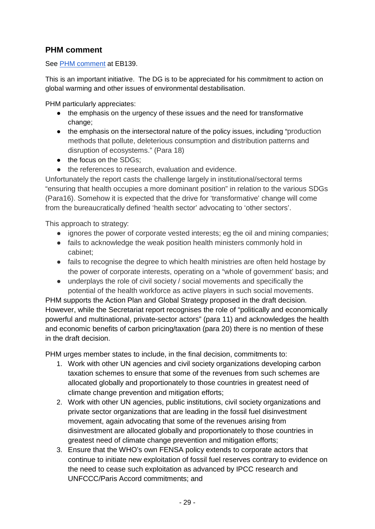## **PHM comment**

See [PHM comment](https://docs.google.com/document/d/1SkJS_l7zJVvlf6L1oezZwjwTGnzWNQO5uCkB_if-EJs/edit?usp=sharing) at EB139.

This is an important initiative. The DG is to be appreciated for his commitment to action on global warming and other issues of environmental destabilisation.

PHM particularly appreciates:

- the emphasis on the urgency of these issues and the need for transformative change;
- the emphasis on the intersectoral nature of the policy issues, including "production methods that pollute, deleterious consumption and distribution patterns and disruption of ecosystems." (Para 18)
- the focus on the SDGs;
- the references to research, evaluation and evidence.

Unfortunately the report casts the challenge largely in institutional/sectoral terms "ensuring that health occupies a more dominant position" in relation to the various SDGs (Para16). Somehow it is expected that the drive for 'transformative' change will come from the bureaucratically defined 'health sector' advocating to 'other sectors'.

This approach to strategy:

- ignores the power of corporate vested interests; eg the oil and mining companies;
- fails to acknowledge the weak position health ministers commonly hold in cabinet;
- fails to recognise the degree to which health ministries are often held hostage by the power of corporate interests, operating on a "whole of government' basis; and
- underplays the role of civil society / social movements and specifically the potential of the health workforce as active players in such social movements.

PHM supports the Action Plan and Global Strategy proposed in the draft decision. However, while the Secretariat report recognises the role of "politically and economically powerful and multinational, private-sector actors" (para 11) and acknowledges the health and economic benefits of carbon pricing/taxation (para 20) there is no mention of these in the draft decision.

PHM urges member states to include, in the final decision, commitments to:

- 1. Work with other UN agencies and civil society organizations developing carbon taxation schemes to ensure that some of the revenues from such schemes are allocated globally and proportionately to those countries in greatest need of climate change prevention and mitigation efforts;
- 2. Work with other UN agencies, public institutions, civil society organizations and private sector organizations that are leading in the fossil fuel disinvestment movement, again advocating that some of the revenues arising from disinvestment are allocated globally and proportionately to those countries in greatest need of climate change prevention and mitigation efforts;
- 3. Ensure that the WHO's own FENSA policy extends to corporate actors that continue to initiate new exploitation of fossil fuel reserves contrary to evidence on the need to cease such exploitation as advanced by IPCC research and UNFCCC/Paris Accord commitments; and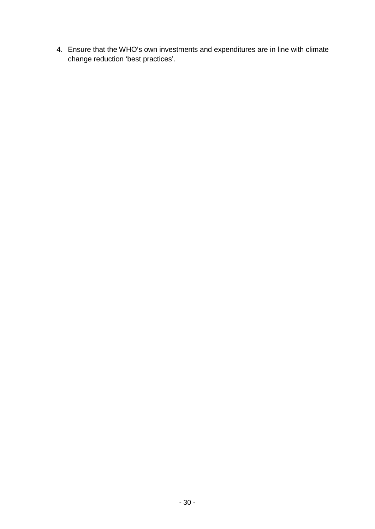4. Ensure that the WHO's own investments and expenditures are in line with climate change reduction 'best practices'.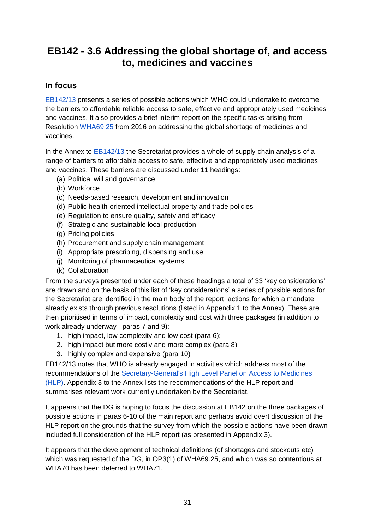# <span id="page-30-0"></span>**EB142 - 3.6 Addressing the global shortage of, and access to, medicines and vaccines**

## **In focus**

[EB142/13](http://apps.who.int/gb/ebwha/pdf_files/EB142/B142_13-en.pdf) presents a series of possible actions which WHO could undertake to overcome the barriers to affordable reliable access to safe, effective and appropriately used medicines and vaccines. It also provides a brief interim report on the specific tasks arising from Resolution [WHA69.25](http://apps.who.int/gb/ebwha/pdf_files/WHA69/A69_R25-en.pdf) from 2016 on addressing the global shortage of medicines and vaccines.

In the Annex to [EB142/13](http://apps.who.int/gb/ebwha/pdf_files/EB142/B142_13-en.pdf) the Secretariat provides a whole-of-supply-chain analysis of a range of barriers to affordable access to safe, effective and appropriately used medicines and vaccines. These barriers are discussed under 11 headings:

- (a) Political will and governance
- (b) Workforce
- (c) Needs-based research, development and innovation
- (d) Public health-oriented intellectual property and trade policies
- (e) Regulation to ensure quality, safety and efficacy
- (f) Strategic and sustainable local production
- (g) Pricing policies
- (h) Procurement and supply chain management
- (i) Appropriate prescribing, dispensing and use
- (j) Monitoring of pharmaceutical systems
- (k) Collaboration

From the surveys presented under each of these headings a total of 33 'key considerations' are drawn and on the basis of this list of 'key considerations' a series of possible actions for the Secretariat are identified in the main body of the report; actions for which a mandate already exists through previous resolutions (listed in Appendix 1 to the Annex). These are then prioritised in terms of impact, complexity and cost with three packages (in addition to work already underway - paras 7 and 9):

- 1. high impact, low complexity and low cost (para 6);
- 2. high impact but more costly and more complex (para 8)
- 3. highly complex and expensive (para 10)

EB142/13 notes that WHO is already engaged in activities which address most of the recommendations of the [Secretary-General's High Level Panel on Access to Medicines](http://www.unsgaccessmeds.org/final-report/)  [\(HLP\).](http://www.unsgaccessmeds.org/final-report/) Appendix 3 to the Annex lists the recommendations of the HLP report and summarises relevant work currently undertaken by the Secretariat.

It appears that the DG is hoping to focus the discussion at EB142 on the three packages of possible actions in paras 6-10 of the main report and perhaps avoid overt discussion of the HLP report on the grounds that the survey from which the possible actions have been drawn included full consideration of the HLP report (as presented in Appendix 3).

It appears that the development of technical definitions (of shortages and stockouts etc) which was requested of the DG, in OP3(1) of WHA69.25, and which was so contentious at WHA70 has been deferred to WHA71.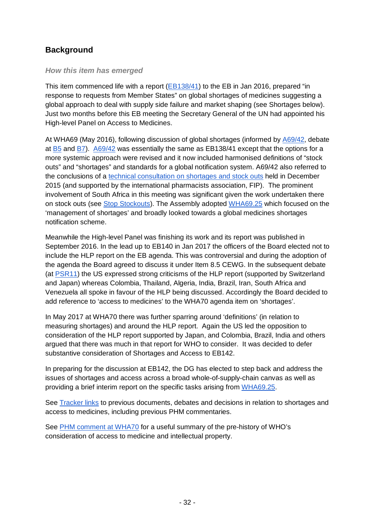## **Background**

### *How this item has emerged*

This item commenced life with a report [\(EB138/41\)](http://apps.who.int/gb/ebwha/pdf_files/EB138/B138_41-en.pdf) to the EB in Jan 2016, prepared "in response to requests from Member States" on global shortages of medicines suggesting a global approach to deal with supply side failure and market shaping (see Shortages below). Just two months before this EB meeting the Secretary General of the UN had appointed his High-level Panel on Access to Medicines.

At WHA69 (May 2016), following discussion of global shortages (informed b[y A69/42,](http://apps.who.int/gb/ebwha/pdf_files/WHA69/A69_42-en.pdf) debate at [B5](http://apps.who.int/gb/ebwha/pdf_files/WHA69-A-B-PSR/A69_BPSR5-en.pdf%23page=10) and [B7\)](http://apps.who.int/gb/ebwha/pdf_files/WHA69-A-B-PSR/A69_BPSR7-en.pdf%23page=20). [A69/42](http://apps.who.int/gb/ebwha/pdf_files/WHA69/A69_42-en.pdf) was essentially the same as EB138/41 except that the options for a more systemic approach were revised and it now included harmonised definitions of "stock outs" and "shortages" and standards for a global notification system. A69/42 also referred to the conclusions of a [technical consultation on shortages and stock outs](http://www.who.int/medicines/areas/access/Medicines_Shortages.pdf) held in December 2015 (and supported by the international pharmacists association, FIP). The prominent involvement of South Africa in this meeting was significant given the work undertaken there on stock outs (see [Stop Stockouts\)](http://stockouts.org/). The Assembly adopted [WHA69.25](http://apps.who.int/gb/ebwha/pdf_files/WHA69/A69_R25-en.pdf) which focused on the 'management of shortages' and broadly looked towards a global medicines shortages notification scheme.

Meanwhile the High-level Panel was finishing its work and its report was published in September 2016. In the lead up to EB140 in Jan 2017 the officers of the Board elected not to include the HLP report on the EB agenda. This was controversial and during the adoption of the agenda the Board agreed to discuss it under Item 8.5 CEWG. In the subsequent debate (at [PSR11\)](http://apps.who.int/gb/ebwha/pdf_files/EB140-PSR/B140_PSR11-en.pdf%23page=9) the US expressed strong criticisms of the HLP report (supported by Switzerland and Japan) whereas Colombia, Thailand, Algeria, India, Brazil, Iran, South Africa and Venezuela all spoke in favour of the HLP being discussed. Accordingly the Board decided to add reference to 'access to medicines' to the WHA70 agenda item on 'shortages'.

In May 2017 at WHA70 there was further sparring around 'definitions' (in relation to measuring shortages) and around the HLP report. Again the US led the opposition to consideration of the HLP report supported by Japan, and Colombia, Brazil, India and others argued that there was much in that report for WHO to consider. It was decided to defer substantive consideration of Shortages and Access to EB142.

In preparing for the discussion at EB142, the DG has elected to step back and address the issues of shortages and access across a broad whole-of-supply-chain canvas as well as providing a brief interim report on the specific tasks arising from [WHA69.25.](http://apps.who.int/gb/ebwha/pdf_files/WHA69/A69_R25-en.pdf)

See [Tracker links](http://who-track.phmovement.org/items-search?combine=&field_date_value%5Bmin%5D=&field_date_value%5Bmax%5D=&field_keywords_target_id_1%5B%5D=40&field_keywords_target_id_1%5B%5D=102) to previous documents, debates and decisions in relation to shortages and access to medicines, including previous PHM commentaries.

See [PHM comment at WHA70](https://docs.google.com/document/d/16Yx0kdz-0nRL9rFQ5xHlZs_L3kIUe3ZLm6AMXyzIh5A/edit?usp=sharing) for a useful summary of the pre-history of WHO's consideration of access to medicine and intellectual property.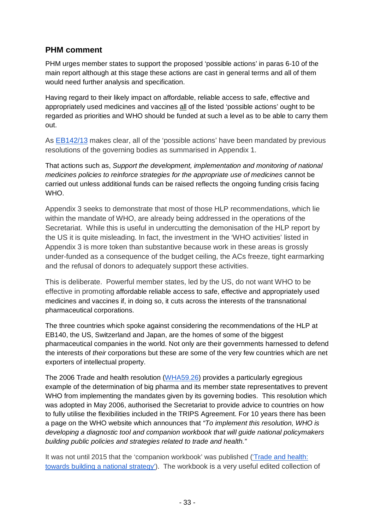## **PHM comment**

PHM urges member states to support the proposed 'possible actions' in paras 6-10 of the main report although at this stage these actions are cast in general terms and all of them would need further analysis and specification.

Having regard to their likely impact on affordable, reliable access to safe, effective and appropriately used medicines and vaccines all of the listed 'possible actions' ought to be regarded as priorities and WHO should be funded at such a level as to be able to carry them out.

As [EB142/13](http://apps.who.int/gb/ebwha/pdf_files/EB142/B142_13-en.pdf) makes clear, all of the 'possible actions' have been mandated by previous resolutions of the governing bodies as summarised in Appendix 1.

That actions such as, *Support the development, implementation and monitoring of national medicines policies to reinforce strategies for the appropriate use of medicines* cannot be carried out unless additional funds can be raised reflects the ongoing funding crisis facing WHO.

Appendix 3 seeks to demonstrate that most of those HLP recommendations, which lie within the mandate of WHO, are already being addressed in the operations of the Secretariat. While this is useful in undercutting the demonisation of the HLP report by the US it is quite misleading. In fact, the investment in the 'WHO activities' listed in Appendix 3 is more token than substantive because work in these areas is grossly under-funded as a consequence of the budget ceiling, the ACs freeze, tight earmarking and the refusal of donors to adequately support these activities.

This is deliberate. Powerful member states, led by the US, do not want WHO to be effective in promoting affordable reliable access to safe, effective and appropriately used medicines and vaccines if, in doing so, it cuts across the interests of the transnational pharmaceutical corporations.

The three countries which spoke against considering the recommendations of the HLP at EB140, the US, Switzerland and Japan, are the homes of some of the biggest pharmaceutical companies in the world. Not only are their governments harnessed to defend the interests of *their* corporations but these are some of the very few countries which are net exporters of intellectual property.

The 2006 Trade and health resolution [\(WHA59.26\)](http://www.who.int/gb/ebwha/pdf_files/WHA59/A59_R26-en.pdf?ua=1) provides a particularly egregious example of the determination of big pharma and its member state representatives to prevent WHO from implementing the mandates given by its governing bodies. This resolution which was adopted in May 2006, authorised the Secretariat to provide advice to countries on how to fully utilise the flexibilities included in the TRIPS Agreement. For 10 years there has been a page on the WHO website which announces that *"To implement this resolution, WHO is developing a diagnostic tool and companion workbook that will guide national policymakers building public policies and strategies related to trade and health."*

It was not until 2015 that the 'companion workbook' was published ('Trade and health: [towards building a national strategy'\)](http://apps.who.int/iris/bitstream/10665/183934/1/9789241565035_eng.pdf?ua=1). The workbook is a very useful edited collection of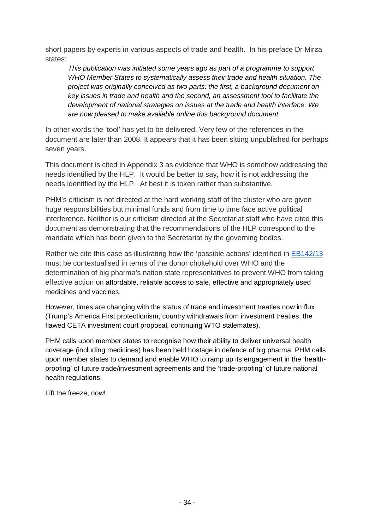short papers by experts in various aspects of trade and health. In his preface Dr Mirza states:

*This publication was initiated some years ago as part of a programme to support WHO Member States to systematically assess their trade and health situation. The project was originally conceived as two parts: the first, a background document on key issues in trade and health and the second, an assessment tool to facilitate the development of national strategies on issues at the trade and health interface. We are now pleased to make available online this background document.* 

In other words the 'tool' has yet to be delivered. Very few of the references in the document are later than 2008. It appears that it has been sitting unpublished for perhaps seven years.

This document is cited in Appendix 3 as evidence that WHO is somehow addressing the needs identified by the HLP. It would be better to say, how it is not addressing the needs identified by the HLP. At best it is token rather than substantive.

PHM's criticism is not directed at the hard working staff of the cluster who are given huge responsibilities but minimal funds and from time to time face active political interference. Neither is our criticism directed at the Secretariat staff who have cited this document as demonstrating that the recommendations of the HLP correspond to the mandate which has been given to the Secretariat by the governing bodies.

Rather we cite this case as illustrating how the 'possible actions' identified in [EB142/13](http://apps.who.int/gb/ebwha/pdf_files/EB142/B142_13-en.pdf) must be contextualised in terms of the donor chokehold over WHO and the determination of big pharma's nation state representatives to prevent WHO from taking effective action on affordable, reliable access to safe, effective and appropriately used medicines and vaccines.

However, times are changing with the status of trade and investment treaties now in flux (Trump's America First protectionism, country withdrawals from investment treaties, the flawed CETA investment court proposal, continuing WTO stalemates).

PHM calls upon member states to recognise how their ability to deliver universal health coverage (including medicines) has been held hostage in defence of big pharma. PHM calls upon member states to demand and enable WHO to ramp up its engagement in the 'healthproofing' of future trade/investment agreements and the 'trade-proofing' of future national health regulations.

Lift the freeze, now!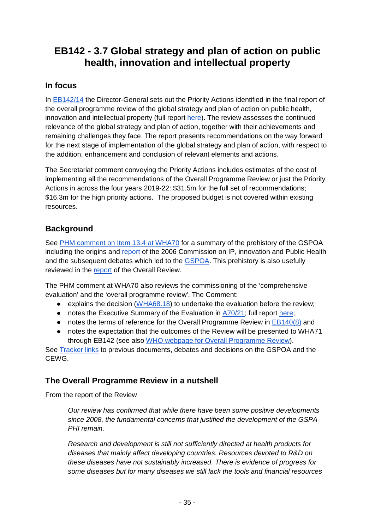# <span id="page-34-0"></span>**EB142 - 3.7 Global strategy and plan of action on public health, innovation and intellectual property**

## **In focus**

In [EB142/14](http://apps.who.int/gb/ebwha/pdf_files/EB142/B142_14-en.pdf) the Director-General sets out the Priority Actions identified in the final report of the overall programme review of the global strategy and plan of action on public health, innovation and intellectual property (full report [here\)](http://www.who.int/medicines/areas/policy/overall-programme-review-global-strategy-phi/en/). The review assesses the continued relevance of the global strategy and plan of action, together with their achievements and remaining challenges they face. The report presents recommendations on the way forward for the next stage of implementation of the global strategy and plan of action, with respect to the addition, enhancement and conclusion of relevant elements and actions.

The Secretariat comment conveying the Priority Actions includes estimates of the cost of implementing all the recommendations of the Overall Programme Review or just the Priority Actions in across the four years 2019-22: \$31.5m for the full set of recommendations; \$16.3m for the high priority actions. The proposed budget is not covered within existing resources.

## **Background**

See [PHM comment on Item 13.4 at WHA70](https://docs.google.com/document/d/1Rfb5hOuS0tgdgM87odla9KKiKNjWDHcz4inbICwBaG0/edit?usp=sharing) for a summary of the prehistory of the GSPOA including the origins and [report](http://www.who.int/intellectualproperty/en/) of the 2006 Commission on IP, innovation and Public Health and the subsequent debates which led to the **GSPOA**. This prehistory is also usefully reviewed in the [report](http://www.who.int/medicines/areas/policy/GSPA-PHI3011rev.pdf?ua=1) of the Overall Review.

The PHM comment at WHA70 also reviews the commissioning of the 'comprehensive evaluation' and the 'overall programme review'. The Comment:

- explains the decision [\(WHA68.18\)](http://apps.who.int/gb/ebwha/pdf_files/WHA68/A68_R18-en.pdf) to undertake the evaluation before the review;
- notes the Executive Summary of the Evaluation in [A70/21;](http://apps.who.int/gb/ebwha/pdf_files/WHA70/A70_21-en.pdf) full report [here;](http://www.who.int/about/evaluation/gspoa_report_final20dec16.pdf)
- notes the terms of reference for the Overall Programme Review in [EB140\(8\)](http://apps.who.int/gb/ebwha/pdf_files/EB140/B140(8)-en.pdf) and
- notes the expectation that the outcomes of the Review will be presented to WHA71 through EB142 (see also [WHO webpage for Overall Programme Review\)](http://www.who.int/medicines/innovation/gspa-review/en/).

See [Tracker links](http://who-track.phmovement.org/items-search?combine=&field_date_value%5Bmin%5D=&field_date_value%5Bmax%5D=&tid%5B%5D=25&tid%5B%5D=27&field_keywords_target_id_1%5B%5D=41&field_keywords_target_id_1%5B%5D=38) to previous documents, debates and decisions on the GSPOA and the CEWG.

## **The Overall Programme Review in a nutshell**

From the report of the Review

*Our review has confirmed that while there have been some positive developments since 2008, the fundamental concerns that justified the development of the GSPA-PHI remain.* 

*Research and development is still not sufficiently directed at health products for diseases that mainly affect developing countries. Resources devoted to R&D on these diseases have not sustainably increased. There is evidence of progress for some diseases but for many diseases we still lack the tools and financial resources*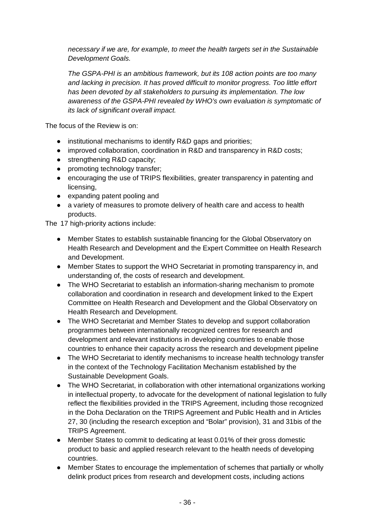*necessary if we are, for example, to meet the health targets set in the Sustainable Development Goals.*

*The GSPA-PHI is an ambitious framework, but its 108 action points are too many and lacking in precision. It has proved difficult to monitor progress. Too little effort has been devoted by all stakeholders to pursuing its implementation. The low awareness of the GSPA-PHI revealed by WHO's own evaluation is symptomatic of its lack of significant overall impact.*

The focus of the Review is on:

- institutional mechanisms to identify R&D gaps and priorities;
- improved collaboration, coordination in R&D and transparency in R&D costs;
- strengthening R&D capacity;
- promoting technology transfer;
- encouraging the use of TRIPS flexibilities, greater transparency in patenting and licensing,
- expanding patent pooling and
- a variety of measures to promote delivery of health care and access to health products.

The 17 high-priority actions include:

- Member States to establish sustainable financing for the Global Observatory on Health Research and Development and the Expert Committee on Health Research and Development.
- Member States to support the WHO Secretariat in promoting transparency in, and understanding of, the costs of research and development.
- The WHO Secretariat to establish an information-sharing mechanism to promote collaboration and coordination in research and development linked to the Expert Committee on Health Research and Development and the Global Observatory on Health Research and Development.
- The WHO Secretariat and Member States to develop and support collaboration programmes between internationally recognized centres for research and development and relevant institutions in developing countries to enable those countries to enhance their capacity across the research and development pipeline
- The WHO Secretariat to identify mechanisms to increase health technology transfer in the context of the Technology Facilitation Mechanism established by the Sustainable Development Goals.
- The WHO Secretariat, in collaboration with other international organizations working in intellectual property, to advocate for the development of national legislation to fully reflect the flexibilities provided in the TRIPS Agreement, including those recognized in the Doha Declaration on the TRIPS Agreement and Public Health and in Articles 27, 30 (including the research exception and "Bolar" provision), 31 and 31bis of the TRIPS Agreement.
- Member States to commit to dedicating at least 0.01% of their gross domestic product to basic and applied research relevant to the health needs of developing countries.
- Member States to encourage the implementation of schemes that partially or wholly delink product prices from research and development costs, including actions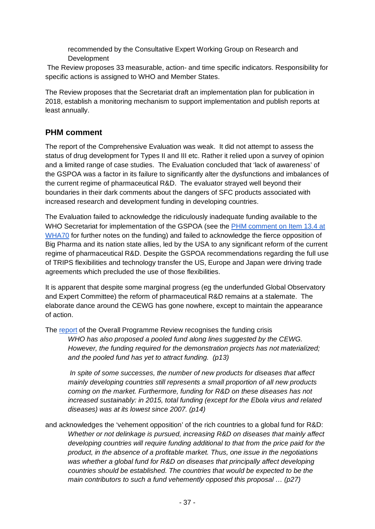recommended by the Consultative Expert Working Group on Research and **Development** 

The Review proposes 33 measurable, action- and time specific indicators. Responsibility for specific actions is assigned to WHO and Member States.

The Review proposes that the Secretariat draft an implementation plan for publication in 2018, establish a monitoring mechanism to support implementation and publish reports at least annually.

## **PHM comment**

The report of the Comprehensive Evaluation was weak. It did not attempt to assess the status of drug development for Types II and III etc. Rather it relied upon a survey of opinion and a limited range of case studies. The Evaluation concluded that 'lack of awareness' of the GSPOA was a factor in its failure to significantly alter the dysfunctions and imbalances of the current regime of pharmaceutical R&D. The evaluator strayed well beyond their boundaries in their dark comments about the dangers of SFC products associated with increased research and development funding in developing countries.

The Evaluation failed to acknowledge the ridiculously inadequate funding available to the WHO Secretariat for implementation of the GSPOA (see the [PHM comment on Item 13.4 at](https://docs.google.com/document/d/1Rfb5hOuS0tgdgM87odla9KKiKNjWDHcz4inbICwBaG0/edit?usp=sharing)  [WHA70](https://docs.google.com/document/d/1Rfb5hOuS0tgdgM87odla9KKiKNjWDHcz4inbICwBaG0/edit?usp=sharing) for further notes on the funding) and failed to acknowledge the fierce opposition of Big Pharma and its nation state allies, led by the USA to any significant reform of the current regime of pharmaceutical R&D. Despite the GSPOA recommendations regarding the full use of TRIPS flexibilities and technology transfer the US, Europe and Japan were driving trade agreements which precluded the use of those flexibilities.

It is apparent that despite some marginal progress (eg the underfunded Global Observatory and Expert Committee) the reform of pharmaceutical R&D remains at a stalemate. The elaborate dance around the CEWG has gone nowhere, except to maintain the appearance of action.

The [report](http://www.who.int/medicines/areas/policy/GSPA-PHI3011rev.pdf?ua=1) of the Overall Programme Review recognises the funding crisis

*WHO has also proposed a pooled fund along lines suggested by the CEWG. However, the funding required for the demonstration projects has not materialized; and the pooled fund has yet to attract funding. (p13)*

*In spite of some successes, the number of new products for diseases that affect mainly developing countries still represents a small proportion of all new products coming on the market. Furthermore, funding for R&D on these diseases has not increased sustainably: in 2015, total funding (except for the Ebola virus and related diseases) was at its lowest since 2007. (p14)*

and acknowledges the 'vehement opposition' of the rich countries to a global fund for R&D: *Whether or not delinkage is pursued, increasing R&D on diseases that mainly affect developing countries will require funding additional to that from the price paid for the product, in the absence of a profitable market. Thus, one issue in the negotiations was whether a global fund for R&D on diseases that principally affect developing countries should be established. The countries that would be expected to be the main contributors to such a fund vehemently opposed this proposal … (p27)*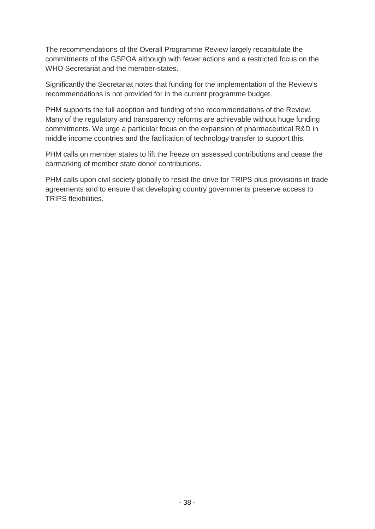The recommendations of the Overall Programme Review largely recapitulate the commitments of the GSPOA although with fewer actions and a restricted focus on the WHO Secretariat and the member-states.

Significantly the Secretariat notes that funding for the implementation of the Review's recommendations is not provided for in the current programme budget.

PHM supports the full adoption and funding of the recommendations of the Review. Many of the regulatory and transparency reforms are achievable without huge funding commitments. We urge a particular focus on the expansion of pharmaceutical R&D in middle income countries and the facilitation of technology transfer to support this.

PHM calls on member states to lift the freeze on assessed contributions and cease the earmarking of member state donor contributions.

PHM calls upon civil society globally to resist the drive for TRIPS plus provisions in trade agreements and to ensure that developing country governments preserve access to TRIPS flexibilities.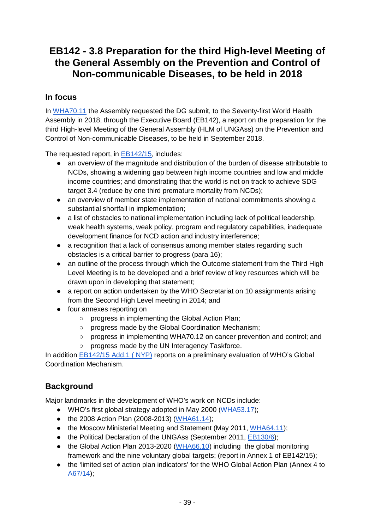# **EB142 - 3.8 Preparation for the third High-level Meeting of the General Assembly on the Prevention and Control of Non-communicable Diseases, to be held in 2018**

### **In focus**

In [WHA70.11](http://apps.who.int/gb/ebwha/pdf_files/WHA70/A70_R11-en.pdf) the Assembly requested the DG submit, to the Seventy-first World Health Assembly in 2018, through the Executive Board (EB142), a report on the preparation for the third High-level Meeting of the General Assembly (HLM of UNGAss) on the Prevention and Control of Non-communicable Diseases, to be held in September 2018.

The requested report, in **EB142/15**, includes:

- an overview of the magnitude and distribution of the burden of disease attributable to NCDs, showing a widening gap between high income countries and low and middle income countries; and dmonstrating that the world is not on track to achieve SDG target 3.4 (reduce by one third premature mortality from NCDs);
- an overview of member state implementation of national commitments showing a substantial shortfall in implementation;
- a list of obstacles to national implementation including lack of political leadership, weak health systems, weak policy, program and regulatory capabilities, inadequate development finance for NCD action and industry interference;
- a recognition that a lack of consensus among member states regarding such obstacles is a critical barrier to progress (para 16);
- an outline of the process through which the Outcome statement from the Third High Level Meeting is to be developed and a brief review of key resources which will be drawn upon in developing that statement;
- a report on action undertaken by the WHO Secretariat on 10 assignments arising from the Second High Level meeting in 2014; and
- four annexes reporting on
	- o progress in implementing the Global Action Plan;
	- progress made by the Global Coordination Mechanism:
	- progress in implementing WHA70.12 on cancer prevention and control; and
	- progress made by the UN Interagency Taskforce.

In addition [EB142/15 Add.1 \( NYP\)](http://apps.who.int/gb/ebwha/pdf_files/EB142/B142_15Add1-en.pdf) reports on a preliminary evaluation of WHO's Global Coordination Mechanism.

# **Background**

Major landmarks in the development of WHO's work on NCDs include:

- WHO's first global strategy adopted in May 2000 [\(WHA53.17\)](http://apps.who.int/gb/archive/pdf_files/WHA53/ResWHA53/17.pdf);
- the 2008 Action Plan (2008-2013) [\(WHA61.14\)](http://apps.who.int/gb/ebwha/pdf_files/WHA61-REC1/A61_REC1-en.pdf%23page=37);
- the Moscow Ministerial Meeting and Statement (May 2011, [WHA64.11\)](http://apps.who.int/gb/ebwha/pdf_files/WHA64-REC1/A64_REC1-en.pdf%23page=44);
- the Political Declaration of the UNGAss (September 2011, [EB130/6\)](http://apps.who.int/gb/ebwha/pdf_files/EB130/B130_6-en.pdf%23page=9);
- the Global Action Plan 2013-2020 [\(WHA66.10\)](http://apps.who.int/gb/ebwha/pdf_files/WHA66-REC1/A66_REC1-en.pdf%23page=38) including the global monitoring framework and the nine voluntary global targets; (report in Annex 1 of EB142/15);
- the 'limited set of action plan indicators' for the WHO Global Action Plan (Annex 4 to [A67/14\)](http://apps.who.int/gb/ebwha/pdf_files/WHA67/A67_14-en.pdf);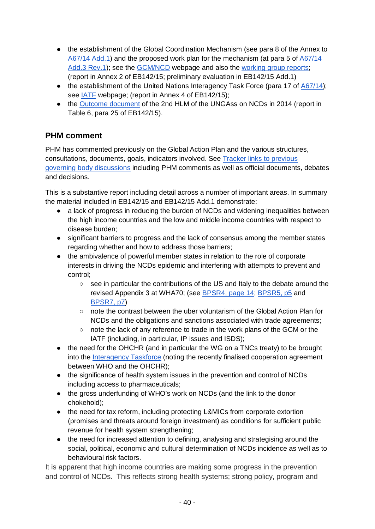- the establishment of the Global Coordination Mechanism (see para 8 of the Annex to [A67/14 Add.1\)](http://apps.who.int/gb/ebwha/pdf_files/WHA67/A67_14Add1-en.pdf) and the proposed work plan for the mechanism (at para 5 of [A67/14](http://apps.who.int/gb/ebwha/pdf_files/WHA67/A67_14Add3Rev1-en.pdf)  [Add.3 Rev.1\)](http://apps.who.int/gb/ebwha/pdf_files/WHA67/A67_14Add3Rev1-en.pdf); see the [GCM/NCD](http://www.who.int/global-coordination-mechanism/about/en/) webpage and also the [working group reports;](http://www.who.int/global-coordination-mechanism/activities/working-groups/en/) (report in Annex 2 of EB142/15; preliminary evaluation in EB142/15 Add.1)
- the establishment of the United Nations Interagency Task Force (para 17 of [A67/14\)](http://apps.who.int/gb/ebwha/pdf_files/WHA67/A67_14-en.pdf); see [IATF](http://www.who.int/ncds/un-task-force/en/) webpage; (report in Annex 4 of EB142/15);
- the [Outcome document](http://apps.who.int/gb/ebwha/pdf_files/WHA68/A68_11-en.pdf%23page=10) of the 2nd HLM of the UNGAss on NCDs in 2014 (report in Table 6, para 25 of EB142/15).

## **PHM comment**

PHM has commented previously on the Global Action Plan and the various structures, consultations, documents, goals, indicators involved. See [Tracker links to previous](http://who-track.phmovement.org/items-search?combine=&field_date_value%5Bmin%5D=&field_date_value%5Bmax%5D=&tid%5B%5D=25&tid%5B%5D=27&field_keywords_target_id_1%5B%5D=30)  [governing body discussions](http://who-track.phmovement.org/items-search?combine=&field_date_value%5Bmin%5D=&field_date_value%5Bmax%5D=&tid%5B%5D=25&tid%5B%5D=27&field_keywords_target_id_1%5B%5D=30) including PHM comments as well as official documents, debates and decisions.

This is a substantive report including detail across a number of important areas. In summary the material included in EB142/15 and EB142/15 Add.1 demonstrate:

- a lack of progress in reducing the burden of NCDs and widening inequalities between the high income countries and the low and middle income countries with respect to disease burden;
- significant barriers to progress and the lack of consensus among the member states regarding whether and how to address those barriers;
- the ambivalence of powerful member states in relation to the role of corporate interests in driving the NCDs epidemic and interfering with attempts to prevent and control;
	- see in particular the contributions of the US and Italy to the debate around the revised Appendix 3 at WHA70; (see [BPSR4, page 14;](http://apps.who.int/gb/ebwha/pdf_files/WHA70-A-B-PSR/A70_BPSR4-en.pdf%23page=14) [BPSR5, p5](http://apps.who.int/gb/ebwha/pdf_files/WHA70-A-B-PSR/A70_BPSR5-en.pdf%23page=5) and [BPSR7, p7\)](http://apps.who.int/gb/ebwha/pdf_files/WHA70-A-B-PSR/A70_BPSR7-en.pdf%23page=7)
	- note the contrast between the uber voluntarism of the Global Action Plan for NCDs and the obligations and sanctions associated with trade agreements;
	- note the lack of any reference to trade in the work plans of the GCM or the IATF (including, in particular, IP issues and ISDS);
- the need for the OHCHR (and in particular the WG on a TNCs treaty) to be brought into the [Interagency Taskforce](http://www.who.int/ncds/un-task-force/en/) (noting the recently finalised cooperation agreement between WHO and the OHCHR);
- the significance of health system issues in the prevention and control of NCDs including access to pharmaceuticals;
- the gross underfunding of WHO's work on NCDs (and the link to the donor chokehold);
- the need for tax reform, including protecting L&MICs from corporate extortion (promises and threats around foreign investment) as conditions for sufficient public revenue for health system strengthening;
- the need for increased attention to defining, analysing and strategising around the social, political, economic and cultural determination of NCDs incidence as well as to behavioural risk factors.

It is apparent that high income countries are making some progress in the prevention and control of NCDs. This reflects strong health systems; strong policy, program and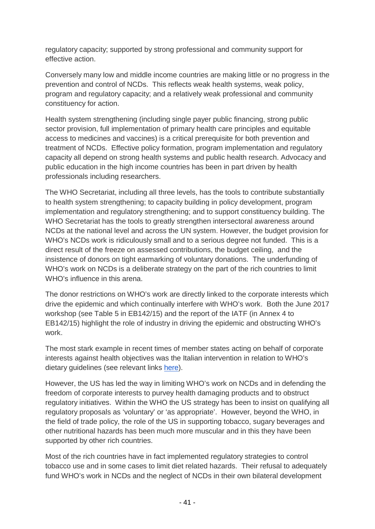regulatory capacity; supported by strong professional and community support for effective action.

Conversely many low and middle income countries are making little or no progress in the prevention and control of NCDs. This reflects weak health systems, weak policy, program and regulatory capacity; and a relatively weak professional and community constituency for action.

Health system strengthening (including single payer public financing, strong public sector provision, full implementation of primary health care principles and equitable access to medicines and vaccines) is a critical prerequisite for both prevention and treatment of NCDs. Effective policy formation, program implementation and regulatory capacity all depend on strong health systems and public health research. Advocacy and public education in the high income countries has been in part driven by health professionals including researchers.

The WHO Secretariat, including all three levels, has the tools to contribute substantially to health system strengthening; to capacity building in policy development, program implementation and regulatory strengthening; and to support constituency building. The WHO Secretariat has the tools to greatly strengthen intersectoral awareness around NCDs at the national level and across the UN system. However, the budget provision for WHO's NCDs work is ridiculously small and to a serious degree not funded. This is a direct result of the freeze on assessed contributions, the budget ceiling, and the insistence of donors on tight earmarking of voluntary donations. The underfunding of WHO's work on NCDs is a deliberate strategy on the part of the rich countries to limit WHO's influence in this arena.

The donor restrictions on WHO's work are directly linked to the corporate interests which drive the epidemic and which continually interfere with WHO's work. Both the June 2017 workshop (see Table 5 in EB142/15) and the report of the IATF (in Annex 4 to EB142/15) highlight the role of industry in driving the epidemic and obstructing WHO's work.

The most stark example in recent times of member states acting on behalf of corporate interests against health objectives was the Italian intervention in relation to WHO's dietary guidelines (see relevant links [here\)](http://who-track.phmovement.org/items-search?combine=&field_date_value%5Bmin%5D=&field_date_value%5Bmax%5D=&field_keywords_target_id_1%5B%5D=177).

However, the US has led the way in limiting WHO's work on NCDs and in defending the freedom of corporate interests to purvey health damaging products and to obstruct regulatory initiatives. Within the WHO the US strategy has been to insist on qualifying all regulatory proposals as 'voluntary' or 'as appropriate'. However, beyond the WHO, in the field of trade policy, the role of the US in supporting tobacco, sugary beverages and other nutritional hazards has been much more muscular and in this they have been supported by other rich countries.

Most of the rich countries have in fact implemented regulatory strategies to control tobacco use and in some cases to limit diet related hazards. Their refusal to adequately fund WHO's work in NCDs and the neglect of NCDs in their own bilateral development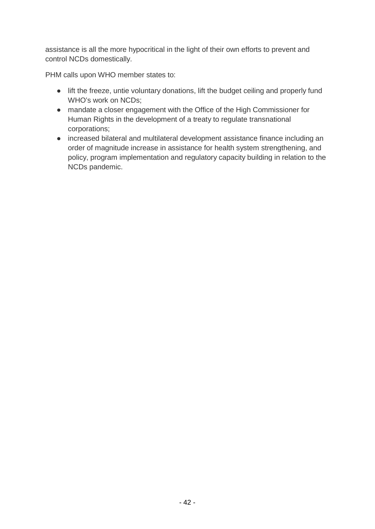assistance is all the more hypocritical in the light of their own efforts to prevent and control NCDs domestically.

PHM calls upon WHO member states to:

- lift the freeze, untie voluntary donations, lift the budget ceiling and properly fund WHO's work on NCDs;
- mandate a closer engagement with the Office of the High Commissioner for Human Rights in the development of a treaty to regulate transnational corporations;
- increased bilateral and multilateral development assistance finance including an order of magnitude increase in assistance for health system strengthening, and policy, program implementation and regulatory capacity building in relation to the NCDs pandemic.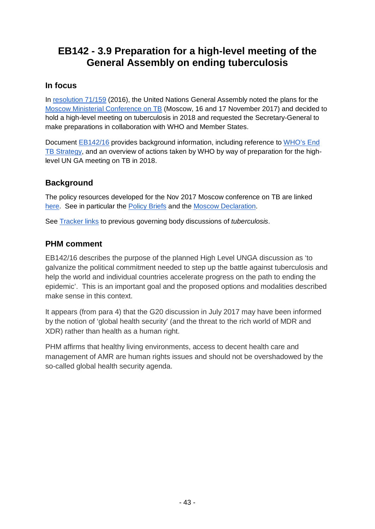# **EB142 - 3.9 Preparation for a high-level meeting of the General Assembly on ending tuberculosis**

## **In focus**

In [resolution 71/159](http://www.un.org/en/ga/search/view_doc.asp?symbol=A/RES/71/159) (2016), the United Nations General Assembly noted the plans for the [Moscow Ministerial Conference on TB](http://www.who.int/conferences/tb-global-ministerial-conference/en/) (Moscow, 16 and 17 November 2017) and decided to hold a high-level meeting on tuberculosis in 2018 and requested the Secretary-General to make preparations in collaboration with WHO and Member States.

Document [EB142/16](http://apps.who.int/gb/ebwha/pdf_files/EB142/B142_16-en.pdf) provides background information, including reference to [WHO's End](http://apps.who.int/gb/ebwha/pdf_files/WHA67-REC1/A67_2014_REC1-en.pdf%23page=91)  [TB Strategy,](http://apps.who.int/gb/ebwha/pdf_files/WHA67-REC1/A67_2014_REC1-en.pdf%23page=91) and an overview of actions taken by WHO by way of preparation for the highlevel UN GA meeting on TB in 2018.

# **Background**

The policy resources developed for the Nov 2017 Moscow conference on TB are linked [here.](http://www.who.int/conferences/tb-global-ministerial-conference/en/) See in particular the [Policy Briefs](http://www.who.int/conferences/tb-global-ministerial-conference/Ministerial_Conference_policy_briefs.pdf?ua=1) and the [Moscow Declaration.](http://www.who.int/tb/features_archive/Moscow_Declaration_to_End_TB_final_ENGLISH.pdf?ua=1)

See [Tracker links](http://who-track.phmovement.org/items-search?combine=&field_date_value%5Bmin%5D=&field_date_value%5Bmax%5D=&tid%5B%5D=25&tid%5B%5D=27&field_keywords_target_id_1%5B%5D=55) to previous governing body discussions of *tuberculosis*.

# **PHM comment**

EB142/16 describes the purpose of the planned High Level UNGA discussion as 'to galvanize the political commitment needed to step up the battle against tuberculosis and help the world and individual countries accelerate progress on the path to ending the epidemic'. This is an important goal and the proposed options and modalities described make sense in this context.

It appears (from para 4) that the G20 discussion in July 2017 may have been informed by the notion of 'global health security' (and the threat to the rich world of MDR and XDR) rather than health as a human right.

PHM affirms that healthy living environments, access to decent health care and management of AMR are human rights issues and should not be overshadowed by the so-called global health security agenda.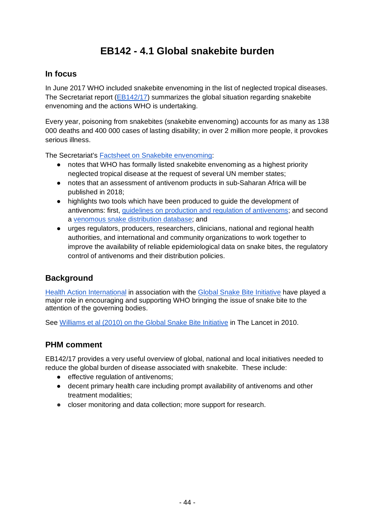# **EB142 - 4.1 Global snakebite burden**

### **In focus**

In June 2017 WHO included snakebite envenoming in the list of neglected tropical diseases. The Secretariat report [\(EB142/17\)](http://apps.who.int/gb/ebwha/pdf_files/EB142/B142_20-en.pdf) summarizes the global situation regarding snakebite envenoming and the actions WHO is undertaking.

Every year, poisoning from snakebites (snakebite envenoming) accounts for as many as 138 000 deaths and 400 000 cases of lasting disability; in over 2 million more people, it provokes serious illness.

The Secretariat's [Factsheet on Snakebite envenoming:](http://www.who.int/mediacentre/factsheets/fs337/en/)

- notes that WHO has formally listed snakebite envenoming as a highest priority neglected tropical disease at the request of several UN member states;
- notes that an assessment of antivenom products in sub-Saharan Africa will be published in 2018;
- highlights two tools which have been produced to guide the development of antivenoms: first, [guidelines on production and regulation of antivenoms;](http://www.who.int/entity/bloodproducts/snake_antivenoms/snakeantivenomguide/en/index.html) and second a [venomous snake distribution database;](http://apps.who.int/bloodproducts/snakeantivenoms/database/) and
- urges regulators, producers, researchers, clinicians, national and regional health authorities, and international and community organizations to work together to improve the availability of reliable epidemiological data on snake bites, the regulatory control of antivenoms and their distribution policies.

## **Background**

[Health Action International](http://haiweb.org/what-we-do/global-snakebite-initiative/) in association with the [Global Snake Bite Initiative](http://www.snakebiteinitiative.org/) have played a major role in encouraging and supporting WHO bringing the issue of snake bite to the attention of the governing bodies.

See [Williams et al \(2010\) on the Global Snake Bite Initiative](http://test.snakebiteinitiative.org/wp-content/uploads/2012/07/GSI-An-antidote-to-snakebite.pdf) in The Lancet in 2010.

### **PHM comment**

EB142/17 provides a very useful overview of global, national and local initiatives needed to reduce the global burden of disease associated with snakebite. These include:

- effective regulation of antivenoms;
- decent primary health care including prompt availability of antivenoms and other treatment modalities;
- closer monitoring and data collection; more support for research.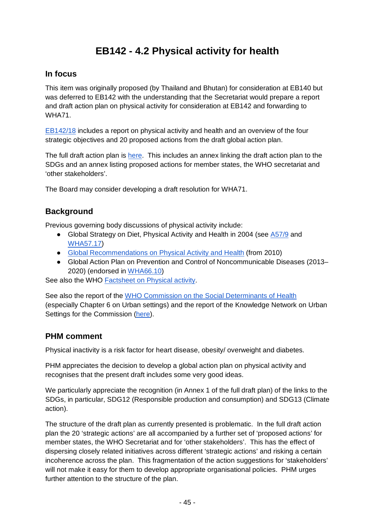# **EB142 - 4.2 Physical activity for health**

## **In focus**

This item was originally proposed (by Thailand and Bhutan) for consideration at EB140 but was deferred to EB142 with the understanding that the Secretariat would prepare a report and draft action plan on physical activity for consideration at EB142 and forwarding to WHA71.

[EB142/18](http://apps.who.int/gb/ebwha/pdf_files/EB142/B142_18-en.pdf) includes a report on physical activity and health and an overview of the four strategic objectives and 20 proposed actions from the draft global action plan.

The full draft action plan is [here.](http://www.who.int/ncds/governance/Global-action-plan-on-PA-DRAFT-2-Dec-2017.pdf?ua=1) This includes an annex linking the draft action plan to the SDGs and an annex listing proposed actions for member states, the WHO secretariat and 'other stakeholders'.

The Board may consider developing a draft resolution for WHA71.

## **Background**

Previous governing body discussions of physical activity include:

- Global Strategy on Diet, Physical Activity and Health in 2004 (see [A57/9](http://apps.who.int/gb/archive/pdf_files/WHA57/A57_9-en.pdf) and [WHA57.17\)](http://apps.who.int/gb/ebwha/pdf_files/WHA57/A57_REC1-en.pdf%23page=49)
- [Global Recommendations on Physical Activity and Health](http://www.who.int/entity/ncds/prevention/physical-activity/guidelines-global-recommendations-for-health/en/index.html) (from 2010)
- Global Action Plan on Prevention and Control of Noncommunicable Diseases (2013– 2020) (endorsed in [WHA66.10\)](http://apps.who.int/gb/ebwha/pdf_files/WHA66-REC1/A66_REC1-en.pdf%23page=38)

See also the WHO [Factsheet on Physical activity.](http://www.who.int/mediacentre/factsheets/fs385/en/)

See also the report of the [WHO Commission on the Social Determinants of Health](http://www.who.int/social_determinants/thecommission/finalreport/en/) (especially Chapter 6 on Urban settings) and the report of the Knowledge Network on Urban Settings for the Commission [\(here\)](http://www.who.int/social_determinants/resources/knus_final_report_052008.pdf?ua=1).

## **PHM comment**

Physical inactivity is a risk factor for heart disease, obesity/ overweight and diabetes.

PHM appreciates the decision to develop a global action plan on physical activity and recognises that the present draft includes some very good ideas.

We particularly appreciate the recognition (in Annex 1 of the full draft plan) of the links to the SDGs, in particular, SDG12 (Responsible production and consumption) and SDG13 (Climate action).

The structure of the draft plan as currently presented is problematic. In the full draft action plan the 20 'strategic actions' are all accompanied by a further set of 'proposed actions' for member states, the WHO Secretariat and for 'other stakeholders'. This has the effect of dispersing closely related initiatives across different 'strategic actions' and risking a certain incoherence across the plan. This fragmentation of the action suggestions for 'stakeholders' will not make it easy for them to develop appropriate organisational policies. PHM urges further attention to the structure of the plan.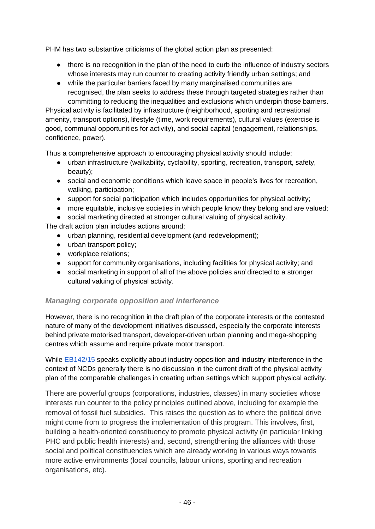PHM has two substantive criticisms of the global action plan as presented:

- there is no recognition in the plan of the need to curb the influence of industry sectors whose interests may run counter to creating activity friendly urban settings; and
- while the particular barriers faced by many marginalised communities are recognised, the plan seeks to address these through targeted strategies rather than committing to reducing the inequalities and exclusions which underpin those barriers.

Physical activity is facilitated by infrastructure (neighborhood, sporting and recreational amenity, transport options), lifestyle (time, work requirements), cultural values (exercise is good, communal opportunities for activity), and social capital (engagement, relationships, confidence, power).

Thus a comprehensive approach to encouraging physical activity should include:

- urban infrastructure (walkability, cyclability, sporting, recreation, transport, safety, beauty);
- social and economic conditions which leave space in people's lives for recreation, walking, participation;
- support for social participation which includes opportunities for physical activity;
- more equitable, inclusive societies in which people know they belong and are valued;
- social marketing directed at stronger cultural valuing of physical activity.

The draft action plan includes actions around:

- urban planning, residential development (and redevelopment);
- urban transport policy:
- workplace relations;
- support for community organisations, including facilities for physical activity; and
- social marketing in support of all of the above policies *and* directed to a stronger cultural valuing of physical activity.

#### *Managing corporate opposition and interference*

However, there is no recognition in the draft plan of the corporate interests or the contested nature of many of the development initiatives discussed, especially the corporate interests behind private motorised transport, developer-driven urban planning and mega-shopping centres which assume and require private motor transport.

While [EB142/15](http://apps.who.int/gb/ebwha/pdf_files/EB142/B142_15-en.pdf) speaks explicitly about industry opposition and industry interference in the context of NCDs generally there is no discussion in the current draft of the physical activity plan of the comparable challenges in creating urban settings which support physical activity.

There are powerful groups (corporations, industries, classes) in many societies whose interests run counter to the policy principles outlined above, including for example the removal of fossil fuel subsidies. This raises the question as to where the political drive might come from to progress the implementation of this program. This involves, first, building a health-oriented constituency to promote physical activity (in particular linking PHC and public health interests) and, second, strengthening the alliances with those social and political constituencies which are already working in various ways towards more active environments (local councils, labour unions, sporting and recreation organisations, etc).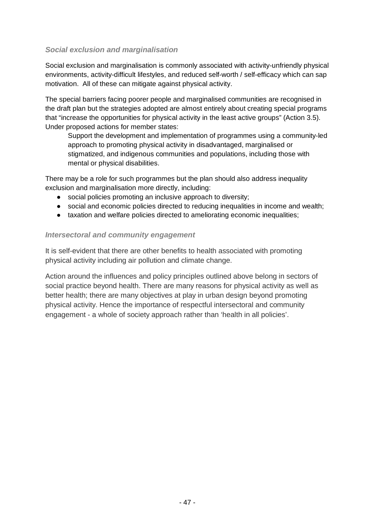### *Social exclusion and marginalisation*

Social exclusion and marginalisation is commonly associated with activity-unfriendly physical environments, activity-difficult lifestyles, and reduced self-worth / self-efficacy which can sap motivation. All of these can mitigate against physical activity.

The special barriers facing poorer people and marginalised communities are recognised in the draft plan but the strategies adopted are almost entirely about creating special programs that "increase the opportunities for physical activity in the least active groups" (Action 3.5). Under proposed actions for member states:

Support the development and implementation of programmes using a community-led approach to promoting physical activity in disadvantaged, marginalised or stigmatized, and indigenous communities and populations, including those with mental or physical disabilities.

There may be a role for such programmes but the plan should also address inequality exclusion and marginalisation more directly, including:

- social policies promoting an inclusive approach to diversity;
- social and economic policies directed to reducing inequalities in income and wealth;
- taxation and welfare policies directed to ameliorating economic inequalities;

#### *Intersectoral and community engagement*

It is self-evident that there are other benefits to health associated with promoting physical activity including air pollution and climate change.

Action around the influences and policy principles outlined above belong in sectors of social practice beyond health. There are many reasons for physical activity as well as better health; there are many objectives at play in urban design beyond promoting physical activity. Hence the importance of respectful intersectoral and community engagement - a whole of society approach rather than 'health in all policies'.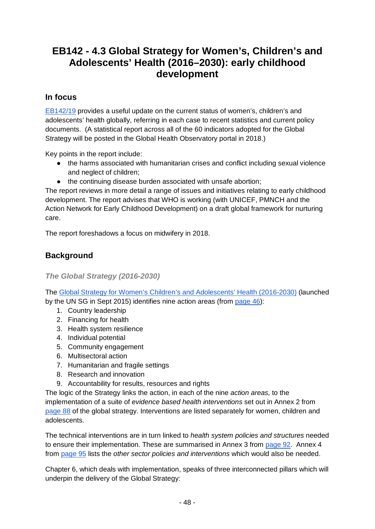# **EB142 - 4.3 Global Strategy for Women's, Children's and Adolescents' Health (2016–2030): early childhood development**

### **In focus**

[EB142/19](http://apps.who.int/gb/ebwha/pdf_files/EB142/B142_19-en.pdf) provides a useful update on the current status of women's, children's and adolescents' health globally, referring in each case to recent statistics and current policy documents. (A statistical report across all of the 60 indicators adopted for the Global Strategy will be posted in the Global Health Observatory portal in 2018.)

Key points in the report include:

- the harms associated with humanitarian crises and conflict including sexual violence and neglect of children;
- the continuing disease burden associated with unsafe abortion;

The report reviews in more detail a range of issues and initiatives relating to early childhood development. The report advises that WHO is working (with UNICEF, PMNCH and the Action Network for Early Childhood Development) on a draft global framework for nurturing care.

The report foreshadows a focus on midwifery in 2018.

## **Background**

*The Global Strategy (2016-2030)*

The [Global Strategy for Women's Children's and Adolescents' Health \(2016-2030\)](http://www.who.int/life-course/partners/global-strategy/globalstrategyreport2016-2030-lowres.pdf?ua=1) (launched by the UN SG in Sept 2015) identifies nine action areas (from [page 46\)](http://www.who.int/life-course/partners/global-strategy/globalstrategyreport2016-2030-lowres.pdf?ua=1%23page=48):

- 1. Country leadership
- 2. Financing for health
- 3. Health system resilience
- 4. Individual potential
- 5. Community engagement
- 6. Multisectoral action
- 7. Humanitarian and fragile settings
- 8. Research and innovation
- 9. Accountability for results, resources and rights

The logic of the Strategy links the action, in each of the nine *action areas,* to the implementation of a suite of *evidence based health interventions* set out in Annex 2 from [page 88](http://www.who.int/life-course/partners/global-strategy/globalstrategyreport2016-2030-lowres.pdf?ua=1%23page=90) of the global strategy. Interventions are listed separately for women, children and adolescents.

The technical interventions are in turn linked to *health system policies and structures* needed to ensure their implementation. These are summarised in Annex 3 from [page 92.](http://www.who.int/life-course/partners/global-strategy/globalstrategyreport2016-2030-lowres.pdf?ua=1%23page=94) Annex 4 from [page 95](http://www.who.int/life-course/partners/global-strategy/globalstrategyreport2016-2030-lowres.pdf?ua=1%23page=97) lists the *other sector policies and interventions* which would also be needed.

Chapter 6, which deals with implementation, speaks of three interconnected pillars which will underpin the delivery of the Global Strategy: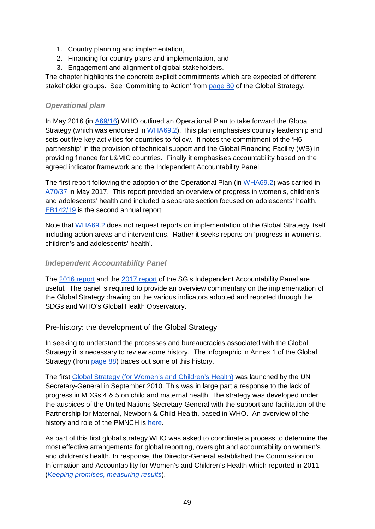- 1. Country planning and implementation,
- 2. Financing for country plans and implementation, and
- 3. Engagement and alignment of global stakeholders.

The chapter highlights the concrete explicit commitments which are expected of different stakeholder groups. See 'Committing to Action' from [page 80](http://www.who.int/life-course/partners/global-strategy/globalstrategyreport2016-2030-lowres.pdf?ua=1%23page=82) of the Global Strategy.

### *Operational plan*

In May 2016 (in [A69/16\)](http://apps.who.int/gb/ebwha/pdf_files/WHA69/A69_16-en.pdf) WHO outlined an Operational Plan to take forward the Global Strategy (which was endorsed in [WHA69.2\)](http://apps.who.int/gb/ebwha/pdf_files/WHA69/A69_R2-en.pdf). This plan emphasises country leadership and sets out five key activities for countries to follow. It notes the commitment of the 'H6 partnership' in the provision of technical support and the Global Financing Facility (WB) in providing finance for L&MIC countries. Finally it emphasises accountability based on the agreed indicator framework and the Independent Accountability Panel.

The first report following the adoption of the Operational Plan (in [WHA69.2\)](http://apps.who.int/gb/ebwha/pdf_files/WHA69/A69_R2-en.pdf) was carried in [A70/37](http://apps.who.int/gb/ebwha/pdf_files/WHA70/A70_37-en.pdf) in May 2017. This report provided an overview of progress in women's, children's and adolescents' health and included a separate section focused on adolescents' health. [EB142/19](http://apps.who.int/gb/ebwha/pdf_files/EB142/B142_19-en.pdf) is the second annual report.

Note that [WHA69.2](http://apps.who.int/gb/ebwha/pdf_files/WHA69/A69_R2-en.pdf) does not request reports on implementation of the Global Strategy itself including action areas and interventions. Rather it seeks reports on 'progress in women's, children's and adolescents' health'.

### *Independent Accountability Panel*

The [2016 report](http://iapreport.org/downloads/IAP_Report_September2016.pdf) and the [2017 report](http://iapreport.org/files/IAP%20Annual%20Report%202017-web%20_%20without%20endnotes.pdf) of the SG's Independent Accountability Panel are useful. The panel is required to provide an overview commentary on the implementation of the Global Strategy drawing on the various indicators adopted and reported through the SDGs and WHO's Global Health Observatory.

Pre-history: the development of the Global Strategy

In seeking to understand the processes and bureaucracies associated with the Global Strategy it is necessary to review some history. The infographic in Annex 1 of the Global Strategy (from [page 88\)](http://www.who.int/life-course/partners/global-strategy/globalstrategyreport2016-2030-lowres.pdf?ua=1%23page=88) traces out some of this history.

The first [Global Strategy \(for Women's and Children's Health\)](http://www.who.int/pmnch/topics/maternal/20100914_gswch_en.pdf?ua=1) was launched by the UN Secretary-General in September 2010. This was in large part a response to the lack of progress in MDGs 4 & 5 on child and maternal health. The strategy was developed under the auspices of the United Nations Secretary-General with the support and facilitation of the Partnership for Maternal, Newborn & Child Health, based in WHO. An overview of the history and role of the PMNCH is [here.](http://apps.who.int/gb/ebwha/pdf_files/EB138/B138_47Add2-en.pdf)

As part of this first global strategy WHO was asked to coordinate a process to determine the most effective arrangements for global reporting, oversight and accountability on women's and children's health. In response, the Director-General established the Commission on Information and Accountability for Women's and Children's Health which reported in 2011 (*[Keeping promises, measuring results](http://www.who.int/topics/millennium_development_goals/accountability_commission/Commission_Report_advance_copy.pdf)*).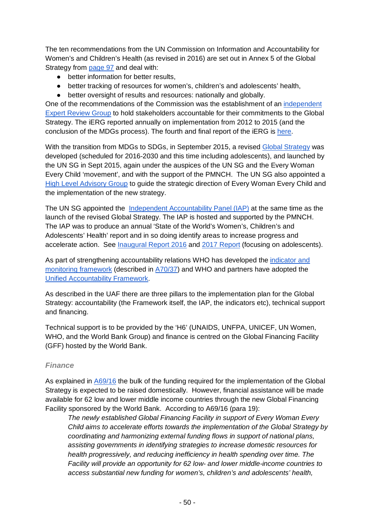The ten recommendations from the UN Commission on Information and Accountability for Women's and Children's Health (as revised in 2016) are set out in Annex 5 of the Global Strategy from [page 97](http://www.who.int/life-course/partners/global-strategy/globalstrategyreport2016-2030-lowres.pdf?ua=1%23page=97) and deal with:

- better information for better results,
- better tracking of resources for women's, children's and adolescents' health,
- better oversight of results and resources: nationally and globally.

One of the recommendations of the Commission was the establishment of an [independent](http://www.who.int/woman_child_accountability/ierg/en/)  [Expert Review Group](http://www.who.int/woman_child_accountability/ierg/en/) to hold stakeholders accountable for their commitments to the Global Strategy. The iERG reported annually on implementation from 2012 to 2015 (and the conclusion of the MDGs process). The fourth and final report of the iERG is [here.](https://iapewec.org/resources/ierg_report/)

With the transition from MDGs to SDGs, in September 2015, a revised [Global Strategy](http://www.who.int/life-course/partners/global-strategy/globalstrategyreport2016-2030-lowres.pdf?ua=1) was developed (scheduled for 2016-2030 and this time including adolescents), and launched by the UN SG in Sept 2015, again under the auspices of the UN SG and the Every Woman Every Child 'movement', and with the support of the PMNCH. The UN SG also appointed a [High Level Advisory Group](http://www.everywomaneverychild.org/2016/09/23/high-level-advisory-group-extends-its-mandate/) to guide the strategic direction of Every Woman Every Child and the implementation of the new strategy.

The UN SG appointed the [Independent Accountability Panel \(IAP\)](http://www.who.int/life-course/news/events/events-pmnch-20160210/en/) at the same time as the launch of the revised Global Strategy. The IAP is hosted and supported by the PMNCH. The IAP was to produce an annual 'State of the World's Women's, Children's and Adolescents' Health' report and in so doing identify areas to increase progress and accelerate action. See [Inaugural Report 2016](https://iapewec.org/reports/2016report/) and [2017 Report](https://iapewec.org/reports/2017report/) (focusing on adolescents).

As part of strengthening accountability relations WHO has developed the [indicator and](http://www.who.int/life-course/publications/gs-Indicator-and-monitoring-framework.pdf)  [monitoring framework](http://www.who.int/life-course/publications/gs-Indicator-and-monitoring-framework.pdf) (described in [A70/37\)](http://apps.who.int/gb/ebwha/pdf_files/WHA70/A70_37-en.pdf) and WHO and partners have adopted the [Unified Accountability Framework.](http://www.who.int/pmnch/activities/accountability/framework.pdf?ua=1)

As described in the UAF there are three pillars to the implementation plan for the Global Strategy: accountability (the Framework itself, the IAP, the indicators etc), technical support and financing.

Technical support is to be provided by the 'H6' (UNAIDS, UNFPA, UNICEF, UN Women, WHO, and the World Bank Group) and finance is centred on the Global Financing Facility (GFF) hosted by the World Bank.

#### *Finance*

As explained in [A69/16](http://apps.who.int/gb/ebwha/pdf_files/WHA69/A69_16-en.pdf) the bulk of the funding required for the implementation of the Global Strategy is expected to be raised domestically. However, financial assistance will be made available for 62 low and lower middle income countries through the new Global Financing Facility sponsored by the World Bank. According to A69/16 (para 19):

*The newly established Global Financing Facility in support of Every Woman Every Child aims to accelerate efforts towards the implementation of the Global Strategy by coordinating and harmonizing external funding flows in support of national plans, assisting governments in identifying strategies to increase domestic resources for health progressively, and reducing inefficiency in health spending over time. The Facility will provide an opportunity for 62 low- and lower middle-income countries to access substantial new funding for women's, children's and adolescents' health,*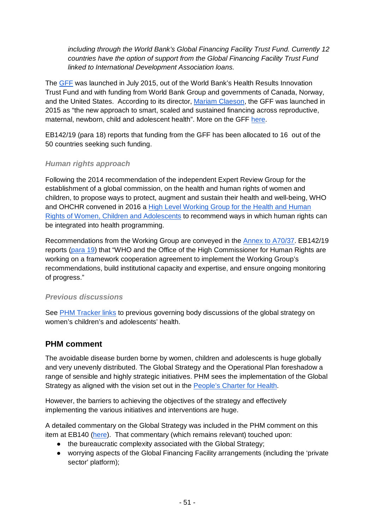*including through the World Bank's Global Financing Facility Trust Fund. Currently 12 countries have the option of support from the Global Financing Facility Trust Fund linked to International Development Association loans.*

The [GFF](http://www.worldbank.org/content/dam/Worldbank/document/HDN/Health/GFFExecutiveSummaryFINAL.pdf) was launched in July 2015, out of the World Bank's Health Results Innovation Trust Fund and with funding from World Bank Group and governments of Canada, Norway, and the United States. According to its director, [Mariam Claeson,](https://www.globalfinancingfacility.org/events/global-financing-facility-women-and-childrens-health-new-way-financing-development) the GFF was launched in 2015 as "the new approach to smart, scaled and sustained financing across reproductive, maternal, newborn, child and adolescent health". More on the GFF [here.](https://www.globalfinancingfacility.org/)

EB142/19 (para 18) reports that funding from the GFF has been allocated to 16 out of the 50 countries seeking such funding.

### *Human rights approach*

Following the 2014 recommendation of the independent Expert Review Group for the establishment of a global commission, on the health and human rights of women and children, to propose ways to protect, augment and sustain their health and well-being, WHO and OHCHR convened in 2016 a [High Level Working Group for the Health and Human](http://www.who.int/life-course/news/events/human-rights-working-group-for-women-children-adolescents/en/)  [Rights of Women, Children and Adolescents](http://www.who.int/life-course/news/events/human-rights-working-group-for-women-children-adolescents/en/) to recommend ways in which human rights can be integrated into health programming.

Recommendations from the Working Group are conveyed in the [Annex to A70/37.](http://apps.who.int/gb/ebwha/pdf_files/WHA70/A70_37-en.pdf%23page=10) EB142/19 reports [\(para 19\)](http://apps.who.int/gb/ebwha/pdf_files/EB142/B142_19-en.pdf%23page=5) that "WHO and the Office of the High Commissioner for Human Rights are working on a framework cooperation agreement to implement the Working Group's recommendations, build institutional capacity and expertise, and ensure ongoing monitoring of progress."

#### *Previous discussions*

See [PHM Tracker links](http://who-track.phmovement.org/items-search?combine=&field_date_value%5Bmin%5D=&field_date_value%5Bmax%5D=&tid%5B%5D=25&tid%5B%5D=27&field_keywords_target_id_1%5B%5D=89) to previous governing body discussions of the global strategy on women's children's and adolescents' health.

## **PHM comment**

The avoidable disease burden borne by women, children and adolescents is huge globally and very unevenly distributed. The Global Strategy and the Operational Plan foreshadow a range of sensible and highly strategic initiatives. PHM sees the implementation of the Global Strategy as aligned with the vision set out in the [People's Charter for Health.](http://www.phmovement.org/en/resources/charters/peopleshealth)

However, the barriers to achieving the objectives of the strategy and effectively implementing the various initiatives and interventions are huge.

A detailed commentary on the Global Strategy was included in the PHM comment on this item at EB140 [\(here\)](https://docs.google.com/document/d/1o6YJEILKxGLQzA-1N16y3dHfgtEC3bW-ip3R-NG1Sl4/edit%23heading=h.dg8wdrn4q2yv). That commentary (which remains relevant) touched upon:

- the bureaucratic complexity associated with the Global Strategy;
- worrying aspects of the Global Financing Facility arrangements (including the 'private sector' platform);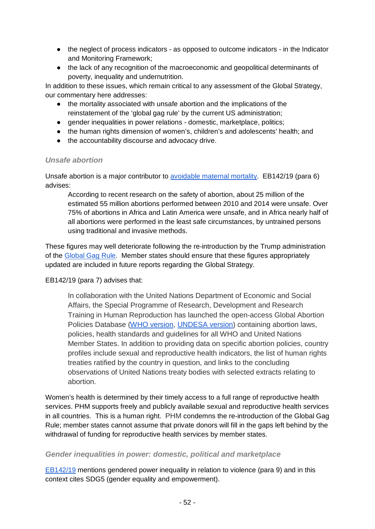- the neglect of process indicators as opposed to outcome indicators in the Indicator and Monitoring Framework;
- the lack of any recognition of the macroeconomic and geopolitical determinants of poverty, inequality and undernutrition.

In addition to these issues, which remain critical to any assessment of the Global Strategy, our commentary here addresses:

- the mortality associated with unsafe abortion and the implications of the reinstatement of the 'global gag rule' by the current US administration;
- gender inequalities in power relations domestic, marketplace, politics;
- the human rights dimension of women's, children's and adolescents' health; and
- the accountability discourse and advocacy drive.

#### *Unsafe abortion*

Unsafe abortion is a major contributor to [avoidable maternal mortality.](https://www.guttmacher.org/fact-sheet/induced-abortion-worldwide) EB142/19 (para 6) advises:

According to recent research on the safety of abortion, about 25 million of the estimated 55 million abortions performed between 2010 and 2014 were unsafe. Over 75% of abortions in Africa and Latin America were unsafe, and in Africa nearly half of all abortions were performed in the least safe circumstances, by untrained persons using traditional and invasive methods.

These figures may well deteriorate following the re-introduction by the Trump administration of the [Global Gag Rule.](https://www.engenderhealth.org/media/info/definition-global-gag-rule.php) Member states should ensure that these figures appropriately updated are included in future reports regarding the Global Strategy.

EB142/19 (para 7) advises that:

In collaboration with the United Nations Department of Economic and Social Affairs, the Special Programme of Research, Development and Research Training in Human Reproduction has launched the open-access Global Abortion Policies Database [\(WHO version,](http://www.srhr.org/abortion-policies) [UNDESA version\)](https://esa.un.org/gapp) containing abortion laws, policies, health standards and guidelines for all WHO and United Nations Member States. In addition to providing data on specific abortion policies, country profiles include sexual and reproductive health indicators, the list of human rights treaties ratified by the country in question, and links to the concluding observations of United Nations treaty bodies with selected extracts relating to abortion.

Women's health is determined by their timely access to a full range of reproductive health services. PHM supports freely and publicly available sexual and reproductive health services in all countries. This is a human right. PHM condemns the re-introduction of the Global Gag Rule; member states cannot assume that private donors will fill in the gaps left behind by the withdrawal of funding for reproductive health services by member states.

#### *Gender inequalities in power: domestic, political and marketplace*

[EB142/19](http://apps.who.int/gb/ebwha/pdf_files/EB142/B142_19-en.pdf) mentions gendered power inequality in relation to violence (para 9) and in this context cites SDG5 (gender equality and empowerment).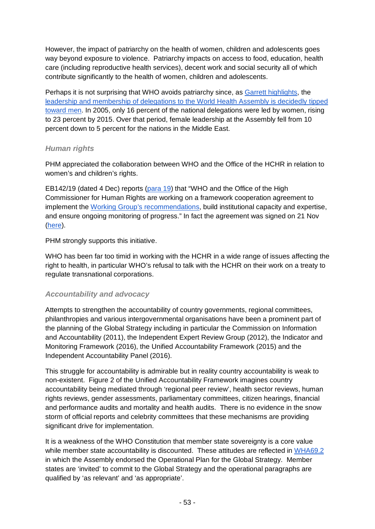However, the impact of patriarchy on the health of women, children and adolescents goes way beyond exposure to violence. Patriarchy impacts on access to food, education, health care (including reproductive health services), decent work and social security all of which contribute significantly to the health of women, children and adolescents.

Perhaps it is not surprising that WHO avoids patriarchy since, as [Garrett highlights,](https://foreignpolicy.com/2017/12/26/the-crime-of-gender-inequality-in-global-health/) the [leadership and membership of delegations to the World Health Assembly is decidedly tipped](http://www.thelancet.com/pb/assets/raw/Lancet/pdfs/S0140673617301435.pdf?utm_source=Global+Health+NOW+Main+List&utm_campaign=7038dab177-EMAIL_CAMPAIGN_2017_01_23&utm_medium=email&utm_term=0_8d0d062dbd-7038dab177-2794045)  [toward men.](http://www.thelancet.com/pb/assets/raw/Lancet/pdfs/S0140673617301435.pdf?utm_source=Global+Health+NOW+Main+List&utm_campaign=7038dab177-EMAIL_CAMPAIGN_2017_01_23&utm_medium=email&utm_term=0_8d0d062dbd-7038dab177-2794045) In 2005, only 16 percent of the national delegations were led by women, rising to 23 percent by 2015. Over that period, female leadership at the Assembly fell from 10 percent down to 5 percent for the nations in the Middle East.

#### *Human rights*

PHM appreciated the collaboration between WHO and the Office of the HCHR in relation to women's and children's rights.

EB142/19 (dated 4 Dec) reports [\(para 19\)](http://apps.who.int/gb/ebwha/pdf_files/EB142/B142_19-en.pdf%23page=5) that "WHO and the Office of the High Commissioner for Human Rights are working on a framework cooperation agreement to implement the [Working Group's recommendations,](http://apps.who.int/gb/ebwha/pdf_files/WHA70/A70_37-en.pdf%23page=10) build institutional capacity and expertise, and ensure ongoing monitoring of progress." In fact the agreement was signed on 21 Nov [\(here\)](http://who.int/life-course/news/who-unhcr-agreement-on-health-and-human-rights/en/).

PHM strongly supports this initiative.

WHO has been far too timid in working with the HCHR in a wide range of issues affecting the right to health, in particular WHO's refusal to talk with the HCHR on their work on a treaty to regulate transnational corporations.

### *Accountability and advocacy*

Attempts to strengthen the accountability of country governments, regional committees, philanthropies and various intergovernmental organisations have been a prominent part of the planning of the Global Strategy including in particular the Commission on Information and Accountability (2011), the Independent Expert Review Group (2012), the Indicator and Monitoring Framework (2016), the Unified Accountability Framework (2015) and the Independent Accountability Panel (2016).

This struggle for accountability is admirable but in reality country accountability is weak to non-existent. Figure 2 of the Unified Accountability Framework imagines country accountability being mediated through 'regional peer review', health sector reviews, human rights reviews, gender assessments, parliamentary committees, citizen hearings, financial and performance audits and mortality and health audits. There is no evidence in the snow storm of official reports and celebrity committees that these mechanisms are providing significant drive for implementation.

It is a weakness of the WHO Constitution that member state sovereignty is a core value while member state accountability is discounted. These attitudes are reflected in [WHA69.2](http://apps.who.int/gb/ebwha/pdf_files/WHA69/A69_R2-en.pdf) in which the Assembly endorsed the Operational Plan for the Global Strategy. Member states are 'invited' to commit to the Global Strategy and the operational paragraphs are qualified by 'as relevant' and 'as appropriate'.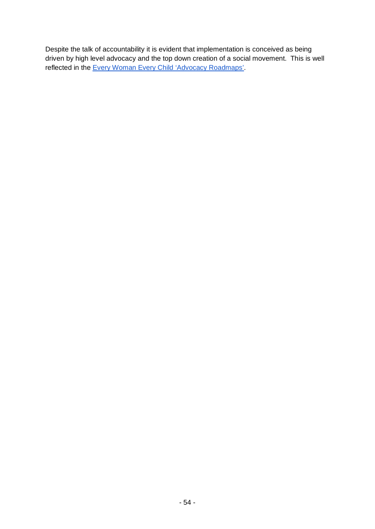Despite the talk of accountability it is evident that implementation is conceived as being driven by high level advocacy and the top down creation of a social movement. This is well reflected in the [Every Woman Every Child 'Advocacy Roadmaps'.](http://www.everywomaneverychild.org/advocacy-roadmaps/)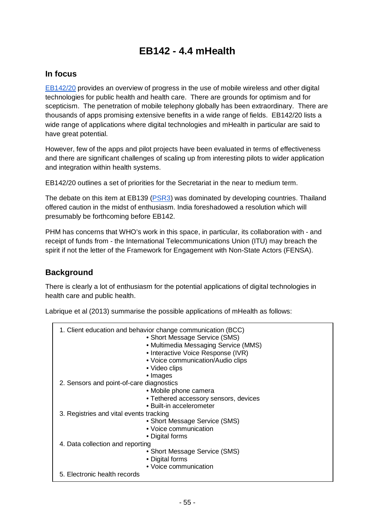# **EB142 - 4.4 mHealth**

### **In focus**

[EB142/20](http://apps.who.int/gb/ebwha/pdf_files/EB142/B142_20-en.pdf) provides an overview of progress in the use of mobile wireless and other digital technologies for public health and health care. There are grounds for optimism and for scepticism. The penetration of mobile telephony globally has been extraordinary. There are thousands of apps promising extensive benefits in a wide range of fields. EB142/20 lists a wide range of applications where digital technologies and mHealth in particular are said to have great potential.

However, few of the apps and pilot projects have been evaluated in terms of effectiveness and there are significant challenges of scaling up from interesting pilots to wider application and integration within health systems.

EB142/20 outlines a set of priorities for the Secretariat in the near to medium term.

The debate on this item at EB139 [\(PSR3\)](http://apps.who.int/gb/ebwha/pdf_files/EB139-PSR/B139_PSR3-en.pdf%23page=7) was dominated by developing countries. Thailand offered caution in the midst of enthusiasm. India foreshadowed a resolution which will presumably be forthcoming before EB142.

PHM has concerns that WHO's work in this space, in particular, its collaboration with - and receipt of funds from - the International Telecommunications Union (ITU) may breach the spirit if not the letter of the Framework for Engagement with Non-State Actors (FENSA).

## **Background**

There is clearly a lot of enthusiasm for the potential applications of digital technologies in health care and public health.

Labrique et al (2013) summarise the possible applications of mHealth as follows:

|                                          | 1. Client education and behavior change communication (BCC)<br>• Short Message Service (SMS)<br>• Multimedia Messaging Service (MMS)<br>• Interactive Voice Response (IVR)<br>• Voice communication/Audio clips<br>• Video clips<br>• Images |
|------------------------------------------|----------------------------------------------------------------------------------------------------------------------------------------------------------------------------------------------------------------------------------------------|
| 2. Sensors and point-of-care diagnostics |                                                                                                                                                                                                                                              |
|                                          | • Mobile phone camera                                                                                                                                                                                                                        |
|                                          | • Tethered accessory sensors, devices                                                                                                                                                                                                        |
|                                          | • Built-in accelerometer                                                                                                                                                                                                                     |
|                                          |                                                                                                                                                                                                                                              |
| 3. Registries and vital events tracking  |                                                                                                                                                                                                                                              |
|                                          | • Short Message Service (SMS)                                                                                                                                                                                                                |
|                                          | • Voice communication                                                                                                                                                                                                                        |
|                                          | • Digital forms                                                                                                                                                                                                                              |
| 4. Data collection and reporting         |                                                                                                                                                                                                                                              |
|                                          | • Short Message Service (SMS)                                                                                                                                                                                                                |
|                                          | • Digital forms                                                                                                                                                                                                                              |
|                                          |                                                                                                                                                                                                                                              |
|                                          | • Voice communication                                                                                                                                                                                                                        |
| 5. Electronic health records             |                                                                                                                                                                                                                                              |
|                                          |                                                                                                                                                                                                                                              |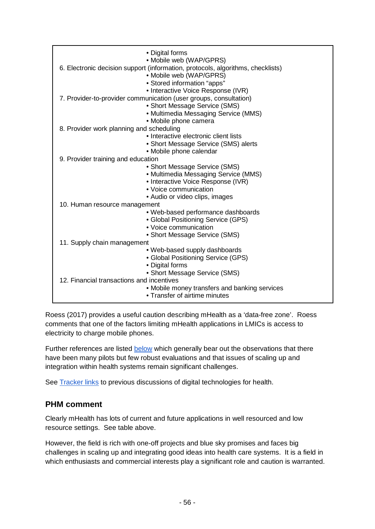| • Digital forms<br>• Mobile web (WAP/GPRS)                                                                                                |  |
|-------------------------------------------------------------------------------------------------------------------------------------------|--|
| 6. Electronic decision support (information, protocols, algorithms, checklists)<br>• Mobile web (WAP/GPRS)<br>• Stored information "apps" |  |
| • Interactive Voice Response (IVR)                                                                                                        |  |
| 7. Provider-to-provider communication (user groups, consultation)                                                                         |  |
| • Short Message Service (SMS)                                                                                                             |  |
| • Multimedia Messaging Service (MMS)                                                                                                      |  |
| • Mobile phone camera                                                                                                                     |  |
| 8. Provider work planning and scheduling                                                                                                  |  |
| • Interactive electronic client lists                                                                                                     |  |
| • Short Message Service (SMS) alerts                                                                                                      |  |
| • Mobile phone calendar                                                                                                                   |  |
| 9. Provider training and education                                                                                                        |  |
| • Short Message Service (SMS)                                                                                                             |  |
| • Multimedia Messaging Service (MMS)                                                                                                      |  |
| • Interactive Voice Response (IVR)                                                                                                        |  |
| • Voice communication                                                                                                                     |  |
| • Audio or video clips, images                                                                                                            |  |
| 10. Human resource management                                                                                                             |  |
| • Web-based performance dashboards                                                                                                        |  |
| • Global Positioning Service (GPS)                                                                                                        |  |
| • Voice communication                                                                                                                     |  |
| • Short Message Service (SMS)                                                                                                             |  |
| 11. Supply chain management                                                                                                               |  |
| • Web-based supply dashboards                                                                                                             |  |
| • Global Positioning Service (GPS)                                                                                                        |  |
| • Digital forms                                                                                                                           |  |
| • Short Message Service (SMS)                                                                                                             |  |
| 12. Financial transactions and incentives                                                                                                 |  |
| • Mobile money transfers and banking services                                                                                             |  |
| • Transfer of airtime minutes                                                                                                             |  |

Roess (2017) provides a useful caution describing mHealth as a 'data-free zone'. Roess comments that one of the factors limiting mHealth applications in LMICs is access to electricity to charge mobile phones.

Further references are listed [below](#page-58-0) which generally bear out the observations that there have been many pilots but few robust evaluations and that issues of scaling up and integration within health systems remain significant challenges.

See [Tracker links](http://who-track.phmovement.org/items-search?combine=&field_date_value%5Bmin%5D=&field_date_value%5Bmax%5D=&tid%5B%5D=25&tid%5B%5D=27&field_keywords_target_id_1%5B%5D=183) to previous discussions of digital technologies for health.

### **PHM comment**

Clearly mHealth has lots of current and future applications in well resourced and low resource settings. See table above.

However, the field is rich with one-off projects and blue sky promises and faces big challenges in scaling up and integrating good ideas into health care systems. It is a field in which enthusiasts and commercial interests play a significant role and caution is warranted.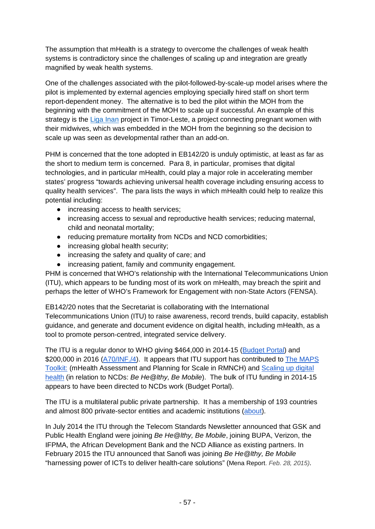The assumption that mHealth is a strategy to overcome the challenges of weak health systems is contradictory since the challenges of scaling up and integration are greatly magnified by weak health systems.

One of the challenges associated with the pilot-followed-by-scale-up model arises where the pilot is implemented by external agencies employing specially hired staff on short term report-dependent money. The alternative is to bed the pilot within the MOH from the beginning with the commitment of the MOH to scale up if successful. An example of this strategy is the [Liga Inan](http://ligainan.org/) project in Timor-Leste, a project connecting pregnant women with their midwives, which was embedded in the MOH from the beginning so the decision to scale up was seen as developmental rather than an add-on.

PHM is concerned that the tone adopted in EB142/20 is unduly optimistic, at least as far as the short to medium term is concerned. Para 8, in particular, promises that digital technologies, and in particular mHealth, could play a major role in accelerating member states' progress "towards achieving universal health coverage including ensuring access to quality health services". The para lists the ways in which mHealth could help to realize this potential including:

- increasing access to health services;
- increasing access to sexual and reproductive health services; reducing maternal, child and neonatal mortality;
- reducing premature mortality from NCDs and NCD comorbidities;
- increasing global health security;
- increasing the safety and quality of care; and
- increasing patient, family and community engagement.

PHM is concerned that WHO's relationship with the International Telecommunications Union (ITU), which appears to be funding most of its work on mHealth, may breach the spirit and perhaps the letter of WHO's Framework for Engagement with non-State Actors (FENSA).

EB142/20 notes that the Secretariat is collaborating with the International Telecommunications Union (ITU) to raise awareness, record trends, build capacity, establish guidance, and generate and document evidence on digital health, including mHealth, as a tool to promote person-centred, integrated service delivery.

The ITU is a regular donor to WHO giving \$464,000 in 2014-15 [\(Budget Portal\)](http://extranet.who.int/programmebudget/Biennium2014/Contributor) and \$200,000 in 2016 [\(A70/INF./4\)](http://apps.who.int/gb/ebwha/pdf_files/WHA70/A70_INF4-en.pdf). It appears that ITU support has contributed to The MAPS [Toolkit:](http://www.who.int/reproductivehealth/publications/mhealth/maps/en/) (mHealth Assessment and Planning for Scale in RMNCH) and [Scaling up digital](http://www.who.int/ncds/prevention/be-healthy-be-mobile/introduction/en/)  [health](http://www.who.int/ncds/prevention/be-healthy-be-mobile/introduction/en/) (in relation to NCDs: *Be He@lthy, Be Mobile*). The bulk of ITU funding in 2014-15 appears to have been directed to NCDs work (Budget Portal).

The ITU is a multilateral public private partnership. It has a membership of 193 countries and almost 800 private-sector entities and academic institutions [\(about\)](https://www.itu.int/en/about/Pages/default.aspx).

In July 2014 the ITU through the Telecom Standards Newsletter announced that GSK and Public Health England were joining *Be He@lthy, Be Mobile*, joining BUPA, Verizon, the IFPMA, the African Development Bank and the NCD Alliance as existing partners. In February 2015 the ITU announced that Sanofi was joining *Be He@lthy, Be Mobile* "harnessing power of ICTs to deliver health-care solutions" (Mena Report. *Feb. 28, 2015).*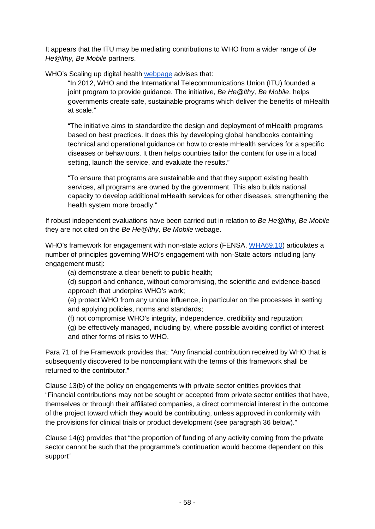It appears that the ITU may be mediating contributions to WHO from a wider range of *Be He@lthy, Be Mobile* partners.

WHO's Scaling up digital health [webpage](http://www.who.int/ncds/prevention/be-healthy-be-mobile/introduction/en/) advises that:

"In 2012, WHO and the International Telecommunications Union (ITU) founded a joint program to provide guidance. The initiative, *Be He@lthy, Be Mobile*, helps governments create safe, sustainable programs which deliver the benefits of mHealth at scale."

"The initiative aims to standardize the design and deployment of mHealth programs based on best practices. It does this by developing global handbooks containing technical and operational guidance on how to create mHealth services for a specific diseases or behaviours. It then helps countries tailor the content for use in a local setting, launch the service, and evaluate the results."

"To ensure that programs are sustainable and that they support existing health services, all programs are owned by the government. This also builds national capacity to develop additional mHealth services for other diseases, strengthening the health system more broadly."

If robust independent evaluations have been carried out in relation to *Be He@lthy, Be Mobile* they are not cited on the *Be He@lthy, Be Mobile* webage.

WHO's framework for engagement with non-state actors (FENSA, [WHA69.10\)](http://apps.who.int/gb/ebwha/pdf_files/WHA69/A69_R10-en.pdf) articulates a number of principles governing WHO's engagement with non-State actors including [any engagement must]:

(a) demonstrate a clear benefit to public health;

(d) support and enhance, without compromising, the scientific and evidence-based approach that underpins WHO's work;

(e) protect WHO from any undue influence, in particular on the processes in setting and applying policies, norms and standards;

(f) not compromise WHO's integrity, independence, credibility and reputation;

(g) be effectively managed, including by, where possible avoiding conflict of interest and other forms of risks to WHO.

Para 71 of the Framework provides that: "Any financial contribution received by WHO that is subsequently discovered to be noncompliant with the terms of this framework shall be returned to the contributor."

Clause 13(b) of the policy on engagements with private sector entities provides that "Financial contributions may not be sought or accepted from private sector entities that have, themselves or through their affiliated companies, a direct commercial interest in the outcome of the project toward which they would be contributing, unless approved in conformity with the provisions for clinical trials or product development (see paragraph 36 below)."

Clause 14(c) provides that "the proportion of funding of any activity coming from the private sector cannot be such that the programme's continuation would become dependent on this support"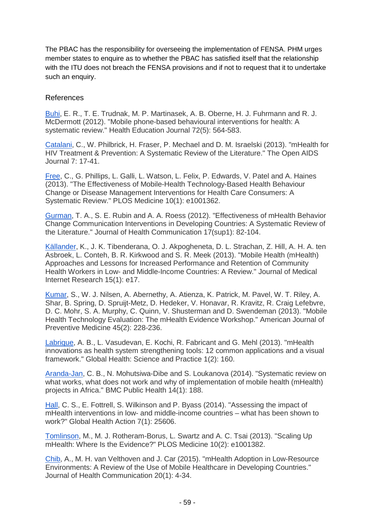The PBAC has the responsibility for overseeing the implementation of FENSA. PHM urges member states to enquire as to whether the PBAC has satisfied itself that the relationship with the ITU does not breach the FENSA provisions and if not to request that it to undertake such an enquiry.

#### <span id="page-58-0"></span>References

[Buhi,](https://doi.org/10.1177/0017896912452071) E. R., T. E. Trudnak, M. P. Martinasek, A. B. Oberne, H. J. Fuhrmann and R. J. McDermott (2012). "Mobile phone-based behavioural interventions for health: A systematic review." Health Education Journal 72(5): 564-583.

[Catalani,](http://www.ncbi.nlm.nih.gov/pmc/articles/PMC3795408/) C., W. Philbrick, H. Fraser, P. Mechael and D. M. Israelski (2013). "mHealth for HIV Treatment & Prevention: A Systematic Review of the Literature." The Open AIDS Journal 7: 17-41.

[Free,](https://doi.org/10.1371/journal.pmed.1001362) C., G. Phillips, L. Galli, L. Watson, L. Felix, P. Edwards, V. Patel and A. Haines (2013). "The Effectiveness of Mobile-Health Technology-Based Health Behaviour Change or Disease Management Interventions for Health Care Consumers: A Systematic Review." PLOS Medicine 10(1): e1001362.

[Gurman,](http://dx.doi.org/10.1080/10810730.2011.649160) T. A., S. E. Rubin and A. A. Roess (2012). "Effectiveness of mHealth Behavior Change Communication Interventions in Developing Countries: A Systematic Review of the Literature." Journal of Health Communication 17(sup1): 82-104.

[Källander,](http://www.ncbi.nlm.nih.gov/pmc/articles/PMC3636306/) K., J. K. Tibenderana, O. J. Akpogheneta, D. L. Strachan, Z. Hill, A. H. A. ten Asbroek, L. Conteh, B. R. Kirkwood and S. R. Meek (2013). "Mobile Health (mHealth) Approaches and Lessons for Increased Performance and Retention of Community Health Workers in Low- and Middle-Income Countries: A Review." Journal of Medical Internet Research 15(1): e17.

[Kumar,](http://www.sciencedirect.com/science/article/pii/S0749379713002778) S., W. J. Nilsen, A. Abernethy, A. Atienza, K. Patrick, M. Pavel, W. T. Riley, A. Shar, B. Spring, D. Spruijt-Metz, D. Hedeker, V. Honavar, R. Kravitz, R. Craig Lefebvre, D. C. Mohr, S. A. Murphy, C. Quinn, V. Shusterman and D. Swendeman (2013). "Mobile Health Technology Evaluation: The mHealth Evidence Workshop." American Journal of Preventive Medicine 45(2): 228-236.

[Labrique,](http://www.ghspjournal.org/content/1/2/160) A. B., L. Vasudevan, E. Kochi, R. Fabricant and G. Mehl (2013). "mHealth innovations as health system strengthening tools: 12 common applications and a visual framework." Global Health: Science and Practice 1(2): 160.

[Aranda-Jan,](https://doi.org/10.1186/1471-2458-14-188) C. B., N. Mohutsiwa-Dibe and S. Loukanova (2014). "Systematic review on what works, what does not work and why of implementation of mobile health (mHealth) projects in Africa." BMC Public Health 14(1): 188.

[Hall,](http://dx.doi.org/10.3402/gha.v7.25606) C. S., E. Fottrell, S. Wilkinson and P. Byass (2014). "Assessing the impact of mHealth interventions in low- and middle-income countries – what has been shown to work?" Global Health Action 7(1): 25606.

[Tomlinson,](https://doi.org/10.1371/journal.pmed.1001382) M., M. J. Rotheram-Borus, L. Swartz and A. C. Tsai (2013). "Scaling Up mHealth: Where Is the Evidence?" PLOS Medicine 10(2): e1001382.

[Chib,](http://dx.doi.org/10.1080/10810730.2013.864735) A., M. H. van Velthoven and J. Car (2015). "mHealth Adoption in Low-Resource Environments: A Review of the Use of Mobile Healthcare in Developing Countries." Journal of Health Communication 20(1): 4-34.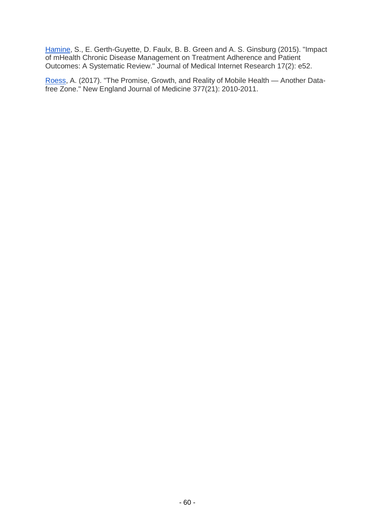[Hamine,](http://www.ncbi.nlm.nih.gov/pmc/articles/PMC4376208/) S., E. Gerth-Guyette, D. Faulx, B. B. Green and A. S. Ginsburg (2015). "Impact of mHealth Chronic Disease Management on Treatment Adherence and Patient Outcomes: A Systematic Review." Journal of Medical Internet Research 17(2): e52.

[Roess,](http://www.nejm.org/doi/full/10.1056/NEJMp1713180) A. (2017). "The Promise, Growth, and Reality of Mobile Health — Another Datafree Zone." New England Journal of Medicine 377(21): 2010-2011.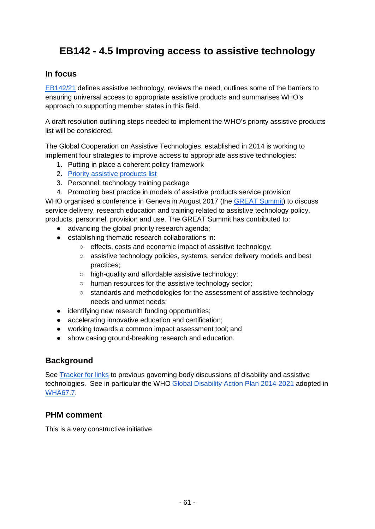# **EB142 - 4.5 Improving access to assistive technology**

### **In focus**

[EB142/21](http://apps.who.int/gb/ebwha/pdf_files/EB142/B142_21-en.pdf) defines assistive technology, reviews the need, outlines some of the barriers to ensuring universal access to appropriate assistive products and summarises WHO's approach to supporting member states in this field.

A draft resolution outlining steps needed to implement the WHO's priority assistive products list will be considered.

The Global Cooperation on Assistive Technologies, established in 2014 is working to implement four strategies to improve access to appropriate assistive technologies:

- 1. Putting in place a coherent policy framework
- 2. [Priority assistive products list](http://apps.who.int/iris/bitstream/10665/207694/1/WHO_EMP_PHI_2016.01_eng.pdf)
- 3. Personnel: technology training package
- 4. Promoting best practice in models of assistive products service provision

WHO organised a conference in Geneva in August 2017 (the [GREAT Summit\)](http://www.who.int/phi/implementation/assistive_technology/great_summit/en/) to discuss service delivery, research education and training related to assistive technology policy, products, personnel, provision and use. The GREAT Summit has contributed to:

- advancing the global priority research agenda;
- establishing thematic research collaborations in:
	- effects, costs and economic impact of assistive technology;
	- assistive technology policies, systems, service delivery models and best practices;
	- high-quality and affordable assistive technology;
	- human resources for the assistive technology sector;
	- standards and methodologies for the assessment of assistive technology needs and unmet needs;
- identifying new research funding opportunities;
- accelerating innovative education and certification;
- working towards a common impact assessment tool; and
- show casing ground-breaking research and education.

## **Background**

See [Tracker for links](http://who-track.phmovement.org/items-search?combine=&field_date_value%5Bmin%5D=&field_date_value%5Bmax%5D=&field_keywords_target_id_1%5B%5D=94&field_keywords_target_id_1%5B%5D=143) to previous governing body discussions of disability and assistive technologies. See in particular the WHO [Global Disability Action Plan 2014-2021](http://apps.who.int/gb/ebwha/pdf_files/WHA67-REC1/A67_2014_REC1-en.pdf%23page=112) adopted in [WHA67.7.](http://apps.who.int/gb/ebwha/pdf_files/WHA67-REC1/A67_2014_REC1-en.pdf%23page=36)

## **PHM comment**

This is a very constructive initiative.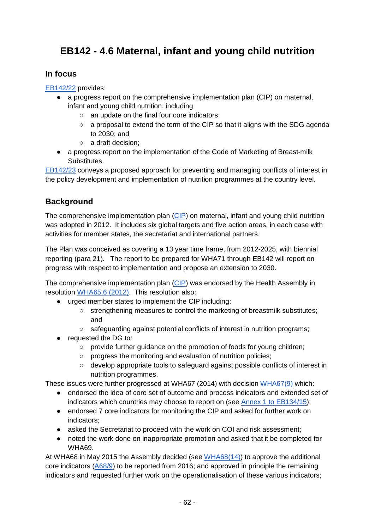# **EB142 - 4.6 Maternal, infant and young child nutrition**

## **In focus**

[EB142/22](http://apps.who.int/gb/ebwha/pdf_files/EB142/B142_22-en.pdf) provides:

- a progress report on the comprehensive implementation plan (CIP) on maternal, infant and young child nutrition, including
	- an update on the final four core indicators;
	- a proposal to extend the term of the CIP so that it aligns with the SDG agenda to 2030; and
	- a draft decision;
- a progress report on the implementation of the Code of Marketing of Breast-milk Substitutes.

[EB142/23](http://apps.who.int/gb/ebwha/pdf_files/EB142/B142_23-en.pdf) conveys a proposed approach for preventing and managing conflicts of interest in the policy development and implementation of nutrition programmes at the country level.

## **Background**

The comprehensive implementation plan [\(CIP\)](http://apps.who.int/gb/ebwha/pdf_files/WHA65-REC1/A65_REC1-en.pdf%23page=77) on maternal, infant and young child nutrition was adopted in 2012. It includes six global targets and five action areas, in each case with activities for member states, the secretariat and international partners.

The Plan was conceived as covering a 13 year time frame, from 2012-2025, with biennial reporting (para 21). The report to be prepared for WHA71 through EB142 will report on progress with respect to implementation and propose an extension to 2030.

The comprehensive implementation plan [\(CIP\)](http://apps.who.int/gb/ebwha/pdf_files/WHA65-REC1/A65_REC1-en.pdf%23page=77) was endorsed by the Health Assembly in resolution [WHA65.6 \(2012\).](http://apps.who.int/gb/ebwha/pdf_files/WHA65-REC1/A65_REC1-en.pdf%23page=34) This resolution also:

- urged member states to implement the CIP including:
	- strengthening measures to control the marketing of breastmilk substitutes; and
	- safeguarding against potential conflicts of interest in nutrition programs;
- requested the DG to:
	- provide further guidance on the promotion of foods for young children;
	- progress the monitoring and evaluation of nutrition policies;
	- develop appropriate tools to safeguard against possible conflicts of interest in nutrition programmes.

These issues were further progressed at WHA67 (2014) with decision [WHA67\(9\)](http://apps.who.int/gb/ebwha/pdf_files/WHA67-REC1/A67_2014_REC1-en.pdf%23page=84) which:

- endorsed the idea of core set of outcome and process indicators and extended set of indicators which countries may choose to report on (see [Annex 1 to EB134/15\)](http://apps.who.int/gb/ebwha/pdf_files/EB134/B134_15-en.pdf%23page=7);
- endorsed 7 core indicators for monitoring the CIP and asked for further work on indicators;
- asked the Secretariat to proceed with the work on COI and risk assessment;
- noted the work done on inappropriate promotion and asked that it be completed for WHA69.

At WHA68 in May 2015 the Assembly decided (see [WHA68\(14\)\)](http://apps.who.int/gb/ebwha/pdf_files/WHA68/A68_DIV3-en.pdf%23page=10) to approve the additional core indicators [\(A68/9\)](http://apps.who.int/gb/ebwha/pdf_files/WHA68/A68_9-en.pdf) to be reported from 2016; and approved in principle the remaining indicators and requested further work on the operationalisation of these various indicators;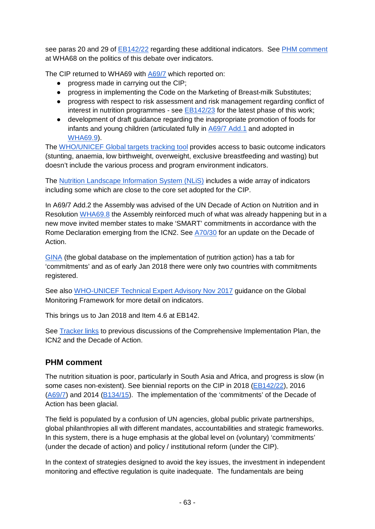see paras 20 and 29 of [EB142/22](http://apps.who.int/gb/ebwha/pdf_files/EB142/B142_22-en.pdf) regarding these additional indicators. See [PHM comment](https://docs.google.com/document/d/1fJhqXEw__vs63vhvgDG4_S2SHwD7ZNeRO6xsLG7rxdU/edit?usp=sharing) at WHA68 on the politics of this debate over indicators.

The CIP returned to WHA69 with [A69/7](http://apps.who.int/gb/ebwha/pdf_files/WHA69/A69_7-en.pdf) which reported on:

- progress made in carrying out the CIP;
- progress in implementing the Code on the Marketing of Breast-milk Substitutes;
- progress with respect to risk assessment and risk management regarding conflict of interest in nutrition programmes - see [EB142/23](http://apps.who.int/gb/ebwha/pdf_files/EB142/B142_23-en.pdf) for the latest phase of this work;
- development of draft guidance regarding the inappropriate promotion of foods for infants and young children (articulated fully in [A69/7 Add.1](http://apps.who.int/gb/ebwha/pdf_files/WHA69/A69_7Add1-en.pdf) and adopted in [WHA69.9\)](http://apps.who.int/gb/ebwha/pdf_files/WHA69/A69_R9-en.pdf).

The [WHO/UNICEF Global targets tracking tool](http://www.who.int/nutrition/trackingtool/en/) provides access to basic outcome indicators (stunting, anaemia, low birthweight, overweight, exclusive breastfeeding and wasting) but doesn't include the various process and program environment indicators.

The [Nutrition Landscape Information System \(NLiS\)](http://apps.who.int/nutrition/landscape/search.aspx) includes a wide array of indicators including some which are close to the core set adopted for the CIP.

In A69/7 Add.2 the Assembly was advised of the UN Decade of Action on Nutrition and in Resolution [WHA69.8](http://apps.who.int/gb/ebwha/pdf_files/WHA69/A69_R8-en.pdf) the Assembly reinforced much of what was already happening but in a new move invited member states to make 'SMART' commitments in accordance with the Rome Declaration emerging from the ICN2. See [A70/30](http://apps.who.int/gb/ebwha/pdf_files/WHA70/A70_30-en.pdf) for an update on the Decade of Action.

[GINA](https://extranet.who.int/nutrition/gina/en) (the global database on the implementation of nutrition action) has a tab for 'commitments' and as of early Jan 2018 there were only two countries with commitments registered.

See also [WHO-UNICEF Technical Expert Advisory Nov 2017](http://www.who.int/nutrition/publications/operational-guidance-GNMF-indicators.pdf?ua=1) guidance on the Global Monitoring Framework for more detail on indicators.

This brings us to Jan 2018 and Item 4.6 at EB142.

See [Tracker links](http://who-track.phmovement.org/items-search?combine=&field_date_value%5Bmin%5D=&field_date_value%5Bmax%5D=&tid%5B%5D=25&tid%5B%5D=27&tid%5B%5D=26&field_keywords_target_id_1%5B%5D=43&field_keywords_target_id_1%5B%5D=85) to previous discussions of the Comprehensive Implementation Plan, the ICN2 and the Decade of Action.

## **PHM comment**

The nutrition situation is poor, particularly in South Asia and Africa, and progress is slow (in some cases non-existent). See biennial reports on the CIP in 2018 [\(EB142/22\)](http://apps.who.int/gb/ebwha/pdf_files/EB142/B142_22-en.pdf), 2016  $(A69/7)$  and 2014 ( $B134/15$ ). The implementation of the 'commitments' of the Decade of Action has been glacial.

The field is populated by a confusion of UN agencies, global public private partnerships, global philanthropies all with different mandates, accountabilities and strategic frameworks. In this system, there is a huge emphasis at the global level on (voluntary) 'commitments' (under the decade of action) and policy / institutional reform (under the CIP).

In the context of strategies designed to avoid the key issues, the investment in independent monitoring and effective regulation is quite inadequate. The fundamentals are being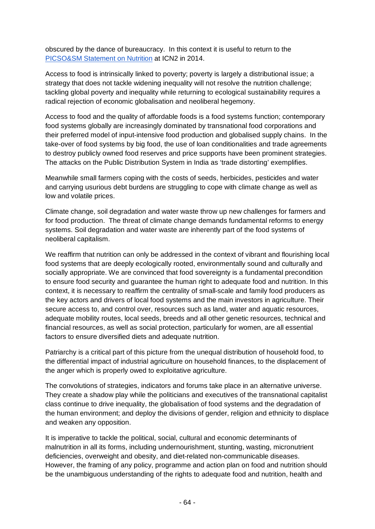obscured by the dance of bureaucracy. In this context it is useful to return to the [PICSO&SM Statement on Nutrition](http://www.ghwatch.org/sites/www.ghwatch.org/files/PICS&SMDeclarationToICN2(141121)En.pdf) at ICN2 in 2014.

Access to food is intrinsically linked to poverty; poverty is largely a distributional issue; a strategy that does not tackle widening inequality will not resolve the nutrition challenge; tackling global poverty and inequality while returning to ecological sustainability requires a radical rejection of economic globalisation and neoliberal hegemony.

Access to food and the quality of affordable foods is a food systems function; contemporary food systems globally are increasingly dominated by transnational food corporations and their preferred model of input-intensive food production and globalised supply chains. In the take-over of food systems by big food, the use of loan conditionalities and trade agreements to destroy publicly owned food reserves and price supports have been prominent strategies. The attacks on the Public Distribution System in India as 'trade distorting' exemplifies.

Meanwhile small farmers coping with the costs of seeds, herbicides, pesticides and water and carrying usurious debt burdens are struggling to cope with climate change as well as low and volatile prices.

Climate change, soil degradation and water waste throw up new challenges for farmers and for food production. The threat of climate change demands fundamental reforms to energy systems. Soil degradation and water waste are inherently part of the food systems of neoliberal capitalism.

We reaffirm that nutrition can only be addressed in the context of vibrant and flourishing local food systems that are deeply ecologically rooted, environmentally sound and culturally and socially appropriate. We are convinced that food sovereignty is a fundamental precondition to ensure food security and guarantee the human right to adequate food and nutrition. In this context, it is necessary to reaffirm the centrality of small-scale and family food producers as the key actors and drivers of local food systems and the main investors in agriculture. Their secure access to, and control over, resources such as land, water and aquatic resources, adequate mobility routes, local seeds, breeds and all other genetic resources, technical and financial resources, as well as social protection, particularly for women, are all essential factors to ensure diversified diets and adequate nutrition.

Patriarchy is a critical part of this picture from the unequal distribution of household food, to the differential impact of industrial agriculture on household finances, to the displacement of the anger which is properly owed to exploitative agriculture.

The convolutions of strategies, indicators and forums take place in an alternative universe. They create a shadow play while the politicians and executives of the transnational capitalist class continue to drive inequality, the globalisation of food systems and the degradation of the human environment; and deploy the divisions of gender, religion and ethnicity to displace and weaken any opposition.

It is imperative to tackle the political, social, cultural and economic determinants of malnutrition in all its forms, including undernourishment, stunting, wasting, micronutrient deficiencies, overweight and obesity, and diet-related non-communicable diseases. However, the framing of any policy, programme and action plan on food and nutrition should be the unambiguous understanding of the rights to adequate food and nutrition, health and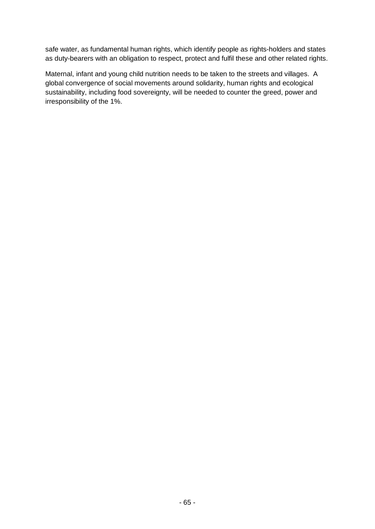safe water, as fundamental human rights, which identify people as rights-holders and states as duty-bearers with an obligation to respect, protect and fulfil these and other related rights.

Maternal, infant and young child nutrition needs to be taken to the streets and villages. A global convergence of social movements around solidarity, human rights and ecological sustainability, including food sovereignty, will be needed to counter the greed, power and irresponsibility of the 1%.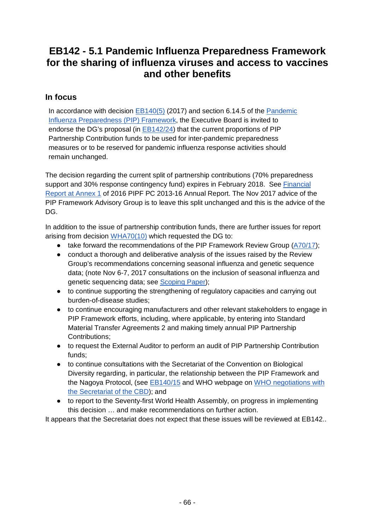# **EB142 - 5.1 Pandemic Influenza Preparedness Framework for the sharing of influenza viruses and access to vaccines and other benefits**

### **In focus**

In accordance with decision [EB140\(5\)](http://apps.who.int/gb/ebwha/pdf_files/EB140/B140(5)-en.pdf) (2017) and section 6.14.5 of the [Pandemic](http://whqlibdoc.who.int/publications/2011/9789241503082_eng.pdf?ua=1)  [Influenza Preparedness \(PIP\) Framework,](http://whqlibdoc.who.int/publications/2011/9789241503082_eng.pdf?ua=1) the Executive Board is invited to endorse the DG's proposal (in [EB142/24\)](http://apps.who.int/gb/ebwha/pdf_files/EB142/B142_24-en.pdf) that the current proportions of PIP Partnership Contribution funds to be used for inter-pandemic preparedness measures or to be reserved for pandemic influenza response activities should remain unchanged.

The decision regarding the current split of partnership contributions (70% preparedness support and 30% response contingency fund) expires in February 2018. See [Financial](http://apps.who.int/iris/bitstream/10665/258844/1/WHO-WHE-IHM-PIP-2017.01-eng.pdf?ua=1%23page=40)  [Report at Annex 1](http://apps.who.int/iris/bitstream/10665/258844/1/WHO-WHE-IHM-PIP-2017.01-eng.pdf?ua=1%23page=40) of 2016 PIPF PC 2013-16 Annual Report. The Nov 2017 advice of the PIP Framework Advisory Group is to leave this split unchanged and this is the advice of the DG.

In addition to the issue of partnership contribution funds, there are further issues for report arising from decision [WHA70\(10\)](http://apps.who.int/gb/ebwha/pdf_files/WHA70/A70(10)-en.pdf) which requested the DG to:

- take forward the recommendations of the PIP Framework Review Group [\(A70/17\)](http://apps.who.int/gb/ebwha/pdf_files/WHA70/A70_17-en.pdf);
- conduct a thorough and deliberative analysis of the issues raised by the Review Group's recommendations concerning seasonal influenza and genetic sequence data; (note Nov 6-7, 2017 consultations on the inclusion of seasonal influenza and genetic sequencing data; see [Scoping Paper\)](http://www.who.int/influenza/pip/scopingpaper.pdf?ua=1);
- to continue supporting the strengthening of regulatory capacities and carrying out burden-of-disease studies;
- to continue encouraging manufacturers and other relevant stakeholders to engage in PIP Framework efforts, including, where applicable, by entering into Standard Material Transfer Agreements 2 and making timely annual PIP Partnership Contributions;
- to request the External Auditor to perform an audit of PIP Partnership Contribution funds;
- to continue consultations with the Secretariat of the Convention on Biological Diversity regarding, in particular, the relationship between the PIP Framework and the Nagoya Protocol, (see [EB140/15](http://apps.who.int/gb/ebwha/pdf_files/EB140/B140_15-en.pdf) and WHO webpage on [WHO negotiations](http://www.who.int/un-collaboration/partners/UNCBD/en/) with [the Secretariat of the CBD\)](http://www.who.int/un-collaboration/partners/UNCBD/en/); and
- to report to the Seventy-first World Health Assembly, on progress in implementing this decision … and make recommendations on further action.

It appears that the Secretariat does not expect that these issues will be reviewed at EB142..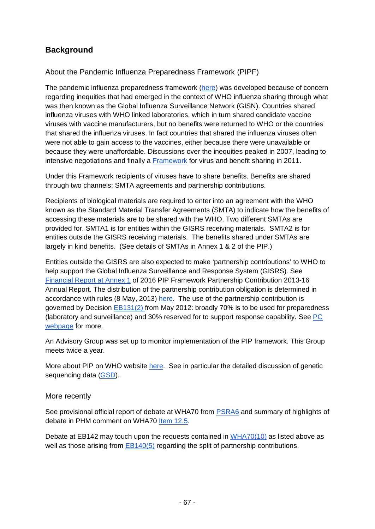# **Background**

### About the Pandemic Influenza Preparedness Framework (PIPF)

The pandemic influenza preparedness framework [\(here\)](http://whqlibdoc.who.int/publications/2011/9789241503082_eng.pdf?ua=1) was developed because of concern regarding inequities that had emerged in the context of WHO influenza sharing through what was then known as the Global Influenza Surveillance Network (GISN). Countries shared influenza viruses with WHO linked laboratories, which in turn shared candidate vaccine viruses with vaccine manufacturers, but no benefits were returned to WHO or the countries that shared the influenza viruses. In fact countries that shared the influenza viruses often were not able to gain access to the vaccines, either because there were unavailable or because they were unaffordable. Discussions over the inequities peaked in 2007, leading to intensive negotiations and finally a [Framework](http://whqlibdoc.who.int/publications/2011/9789241503082_eng.pdf?ua=1) for virus and benefit sharing in 2011.

Under this Framework recipients of viruses have to share benefits. Benefits are shared through two channels: SMTA agreements and partnership contributions.

Recipients of biological materials are required to enter into an agreement with the WHO known as the Standard Material Transfer Agreements (SMTA) to indicate how the benefits of accessing these materials are to be shared with the WHO. Two different SMTAs are provided for. SMTA1 is for entities within the GISRS receiving materials. SMTA2 is for entities outside the GISRS receiving materials. The benefits shared under SMTAs are largely in kind benefits. (See details of SMTAs in Annex 1 & 2 of the PIP.)

Entities outside the GISRS are also expected to make 'partnership contributions' to WHO to help support the Global Influenza Surveillance and Response System (GISRS). See [Financial Report at Annex 1](http://apps.who.int/iris/bitstream/10665/258844/1/WHO-WHE-IHM-PIP-2017.01-eng.pdf?ua=1%23page=40) of 2016 PIP Framework Partnership Contribution 2013-16 Annual Report. The distribution of the partnership contribution obligation is determined in accordance with rules (8 May, 2013) [here.](http://www.who.int/influenza/pip/benefit_sharing/pc_distribution_may_2013.pdf?ua=1) The use of the partnership contribution is governed by Decision [EB131\(2\) f](http://apps.who.int/gb/ebwha/pdf_files/EB131/B131_DIV2-en.pdf)rom May 2012: broadly 70% is to be used for preparedness (laboratory and surveillance) and 30% reserved for to support response capability. See [PC](http://www.who.int/influenza/pip/benefit_sharing/pc_implementation/en/)  [webpage](http://www.who.int/influenza/pip/benefit_sharing/pc_implementation/en/) for more.

An Advisory Group was set up to monitor implementation of the PIP framework. This Group meets twice a year.

More about PIP on WHO website [here.](http://www.who.int/influenza/pip/en/) See in particular the detailed discussion of genetic sequencing data [\(GSD\)](http://www.who.int/influenza/pip/advisory_group/gsd/en/).

### More recently

See provisional official report of debate at WHA70 from [PSRA6](http://apps.who.int/gb/ebwha/pdf_files/WHA70-A-B-PSR/A70_APSR6-en.pdf%23page=5) and summary of highlights of debate in PHM comment on WHA70 [Item 12.5.](https://docs.google.com/document/d/1Hdh9TGsKbyFhmRu-OpYD84Dp0EtolnxdQsxgXZQcxuU/edit?usp=sharing)

Debate at EB142 may touch upon the requests contained in [WHA70\(10\)](http://apps.who.int/gb/ebwha/pdf_files/WHA70/A70(10)-en.pdf) as listed above as well as those arising from [EB140\(5\)](http://apps.who.int/gb/ebwha/pdf_files/EB140/B140(5)-en.pdf) regarding the split of partnership contributions.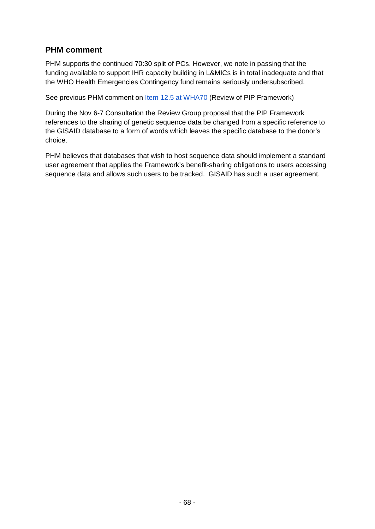## **PHM comment**

PHM supports the continued 70:30 split of PCs. However, we note in passing that the funding available to support IHR capacity building in L&MICs is in total inadequate and that the WHO Health Emergencies Contingency fund remains seriously undersubscribed.

See previous PHM comment on [Item 12.5 at WHA70](https://docs.google.com/document/d/1Hdh9TGsKbyFhmRu-OpYD84Dp0EtolnxdQsxgXZQcxuU/edit?usp=sharing) (Review of PIP Framework)

During the Nov 6-7 Consultation the Review Group proposal that the PIP Framework references to the sharing of genetic sequence data be changed from a specific reference to the GISAID database to a form of words which leaves the specific database to the donor's choice.

PHM believes that databases that wish to host sequence data should implement a standard user agreement that applies the Framework's benefit-sharing obligations to users accessing sequence data and allows such users to be tracked. GISAID has such a user agreement.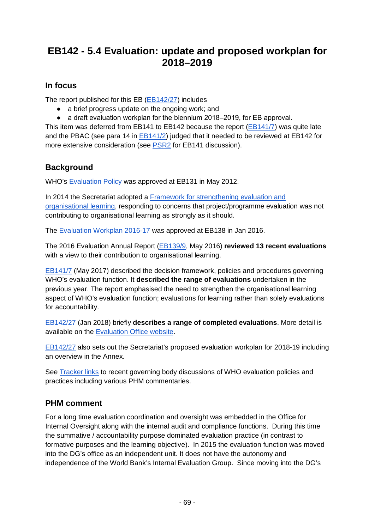# **EB142 - 5.4 Evaluation: update and proposed workplan for 2018–2019**

## **In focus**

The report published for this EB [\(EB142/27\)](http://apps.who.int/gb/ebwha/pdf_files/EB142/B142_27-en.pdf) includes

- a brief progress update on the ongoing work; and
- a draft evaluation workplan for the biennium 2018–2019, for EB approval.

This item was deferred from EB141 to EB142 because the report [\(EB141/7\)](http://apps.who.int/gb/ebwha/pdf_files/EB141/B141_7-en.pdf) was quite late and the PBAC (see para 14 in [EB141/2\)](http://apps.who.int/gb/ebwha/pdf_files/EB141/B141_2-en.pdf) judged that it needed to be reviewed at EB142 for more extensive consideration (see [PSR2](http://apps.who.int/gb/ebwha/pdf_files/EB141-PSR/B141_PSR2-en.pdf%23page=11) for EB141 discussion).

# **Background**

WHO's [Evaluation Policy](http://apps.who.int/gb/ebwha/pdf_files/EB131-REC1/B131_REC1-en.pdf%23page=27) was approved at EB131 in May 2012.

In 2014 the Secretariat adopted a [Framework for strengthening evaluation and](http://who.int/about/who_reform/documents/framework-strengthening-evaluation-organizational-learning.pdf?ua=1)  [organisational learning,](http://who.int/about/who_reform/documents/framework-strengthening-evaluation-organizational-learning.pdf?ua=1) responding to concerns that project/programme evaluation was not contributing to organisational learning as strongly as it should.

The [Evaluation Workplan 2016-17](http://apps.who.int/gb/ebwha/pdf_files/EB138-REC1/B138_REC1-en.pdf%23page=56) was approved at EB138 in Jan 2016.

The 2016 Evaluation Annual Report [\(EB139/9,](http://apps.who.int/gb/ebwha/pdf_files/EB139/B139_9-en.pdf) May 2016) **reviewed 13 recent evaluations** with a view to their contribution to organisational learning.

[EB141/7](http://apps.who.int/gb/ebwha/pdf_files/EB141/B141_7-en.pdf) (May 2017) described the decision framework, policies and procedures governing WHO's evaluation function. It **described the range of evaluations** undertaken in the previous year. The report emphasised the need to strengthen the organisational learning aspect of WHO's evaluation function; evaluations for learning rather than solely evaluations for accountability.

[EB142/27](http://apps.who.int/gb/ebwha/pdf_files/EB142/B142_27-en.pdf) (Jan 2018) briefly **describes a range of completed evaluations**. More detail is available on the [Evaluation Office website.](http://www.who.int/about/evaluation/reports/en/)

[EB142/27](http://apps.who.int/gb/ebwha/pdf_files/EB142/B142_27-en.pdf) also sets out the Secretariat's proposed evaluation workplan for 2018-19 including an overview in the Annex.

See [Tracker links](http://who-track.phmovement.org/items-search?combine=&field_date_value%5Bmin%5D=&field_date_value%5Bmax%5D=&tid%5B%5D=25&tid%5B%5D=27&tid%5B%5D=26&field_keywords_target_id_1%5B%5D=97) to recent governing body discussions of WHO evaluation policies and practices including various PHM commentaries.

# **PHM comment**

For a long time evaluation coordination and oversight was embedded in the Office for Internal Oversight along with the internal audit and compliance functions. During this time the summative / accountability purpose dominated evaluation practice (in contrast to formative purposes and the learning objective). In 2015 the evaluation function was moved into the DG's office as an independent unit. It does not have the autonomy and independence of the World Bank's Internal Evaluation Group. Since moving into the DG's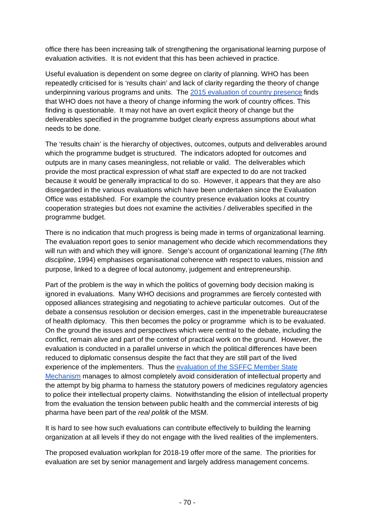office there has been increasing talk of strengthening the organisational learning purpose of evaluation activities. It is not evident that this has been achieved in practice.

Useful evaluation is dependent on some degree on clarity of planning. WHO has been repeatedly criticised for is 'results chain' and lack of clarity regarding the theory of change underpinning various programs and units. The [2015 evaluation of country presence](http://www.who.int/about/evaluation/prepublication-country-presence-evaluation.pdf?ua=1) finds that WHO does not have a theory of change informing the work of country offices. This finding is questionable. It may not have an overt explicit theory of change but the deliverables specified in the programme budget clearly express assumptions about what needs to be done.

The 'results chain' is the hierarchy of objectives, outcomes, outputs and deliverables around which the programme budget is structured. The indicators adopted for outcomes and outputs are in many cases meaningless, not reliable or valid. The deliverables which provide the most practical expression of what staff are expected to do are not tracked because it would be generally impractical to do so. However, it appears that they are also disregarded in the various evaluations which have been undertaken since the Evaluation Office was established. For example the country presence evaluation looks at country cooperation strategies but does not examine the activities / deliverables specified in the programme budget.

There is no indication that much progress is being made in terms of organizational learning. The evaluation report goes to senior management who decide which recommendations they will run with and which they will ignore. Senge's account of organizational learning (*The fifth discipline*, 1994) emphasises organisational coherence with respect to values, mission and purpose, linked to a degree of local autonomy, judgement and entrepreneurship.

Part of the problem is the way in which the politics of governing body decision making is ignored in evaluations. Many WHO decisions and programmes are fiercely contested with opposed alliances strategising and negotiating to achieve particular outcomes. Out of the debate a consensus resolution or decision emerges, cast in the impenetrable bureaucratese of health diplomacy. This then becomes the policy or programme which is to be evaluated. On the ground the issues and perspectives which were central to the debate, including the conflict, remain alive and part of the context of practical work on the ground. However, the evaluation is conducted in a parallel universe in which the political differences have been reduced to diplomatic consensus despite the fact that they are still part of the lived experience of the implementers. Thus the [evaluation of the SSFFC Member State](http://www.who.int/about/evaluation/SSFFC_FinalReport_28Apr17.pdf?ua=1)  [Mechanism](http://www.who.int/about/evaluation/SSFFC_FinalReport_28Apr17.pdf?ua=1) manages to almost completely avoid consideration of intellectual property and the attempt by big pharma to harness the statutory powers of medicines regulatory agencies to police their intellectual property claims. Notwithstanding the elision of intellectual property from the evaluation the tension between public health and the commercial interests of big pharma have been part of the *real politik* of the MSM.

It is hard to see how such evaluations can contribute effectively to building the learning organization at all levels if they do not engage with the lived realities of the implementers.

The proposed evaluation workplan for 2018-19 offer more of the same. The priorities for evaluation are set by senior management and largely address management concerns.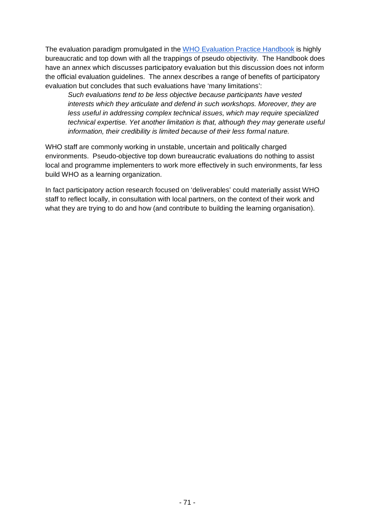The evaluation paradigm promulgated in the [WHO Evaluation Practice Handbook](http://apps.who.int/iris/bitstream/10665/96311/1/9789241548687_eng.pdf) is highly bureaucratic and top down with all the trappings of pseudo objectivity. The Handbook does have an annex which discusses participatory evaluation but this discussion does not inform the official evaluation guidelines. The annex describes a range of benefits of participatory evaluation but concludes that such evaluations have 'many limitations':

*Such evaluations tend to be less objective because participants have vested interests which they articulate and defend in such workshops. Moreover, they are less useful in addressing complex technical issues, which may require specialized technical expertise. Yet another limitation is that, although they may generate useful information, their credibility is limited because of their less formal nature.*

WHO staff are commonly working in unstable, uncertain and politically charged environments. Pseudo-objective top down bureaucratic evaluations do nothing to assist local and programme implementers to work more effectively in such environments, far less build WHO as a learning organization.

In fact participatory action research focused on 'deliverables' could materially assist WHO staff to reflect locally, in consultation with local partners, on the context of their work and what they are trying to do and how (and contribute to building the learning organisation).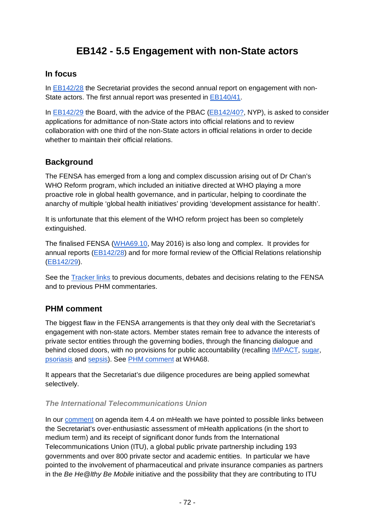# **EB142 - 5.5 Engagement with non-State actors**

### **In focus**

In [EB142/28](http://apps.who.int/gb/ebwha/pdf_files/EB142/B142_28-en.pdf) the Secretariat provides the second annual report on engagement with non-State actors. The first annual report was presented in [EB140/41.](http://apps.who.int/gb/ebwha/pdf_files/EB140/B140_41-en.pdf)

In [EB142/29](http://apps.who.int/gb/ebwha/pdf_files/EB142/B142_29-en.pdf) the Board, with the advice of the PBAC [\(EB142/40?,](http://apps.who.int/gb/ebwha/pdf_files/EB142/B142_40-en.pdf) NYP), is asked to consider applications for admittance of non-State actors into official relations and to review collaboration with one third of the non-State actors in official relations in order to decide whether to maintain their official relations.

### **Background**

The FENSA has emerged from a long and complex discussion arising out of Dr Chan's WHO Reform program, which included an initiative directed at WHO playing a more proactive role in global health governance, and in particular, helping to coordinate the anarchy of multiple 'global health initiatives' providing 'development assistance for health'.

It is unfortunate that this element of the WHO reform project has been so completely extinguished.

The finalised FENSA [\(WHA69.10,](http://apps.who.int/gb/ebwha/pdf_files/WHA69/A69_R10-en.pdf) May 2016) is also long and complex. It provides for annual reports [\(EB142/28\)](http://apps.who.int/gb/ebwha/pdf_files/EB142/B142_28-en.pdf) and for more formal review of the Official Relations relationship [\(EB142/29\)](http://apps.who.int/gb/ebwha/pdf_files/EB142/B142_29-en.pdf).

See the **Tracker links** to previous documents, debates and decisions relating to the FENSA and to previous PHM commentaries.

### **PHM comment**

The biggest flaw in the FENSA arrangements is that they only deal with the Secretariat's engagement with non-state actors. Member states remain free to advance the interests of private sector entities through the governing bodies, through the financing dialogue and behind closed doors, with no provisions for public accountability (recalling [IMPACT,](http://www.twn.my/title2/IPR/pdf/ipr13.pdf) [sugar,](https://docs.google.com/document/d/1FYrf0Azq9-cg22qRgBAWASL4xWiX3CQ114-DAMl5QD4/edit) [psoriasis](https://docs.google.com/document/d/1Cqhoumbg5vCn1W7ajezJXCrNY1zMobW3JZq9m_pG1JA/edit?usp=sharing) and [sepsis\)](https://docs.google.com/document/d/1Q5sYLFlcGux-nCZQd-eF_W7lPfOl4OGtZp5tK5jd1pE/edit%23heading=h.p616fenmvie5). See [PHM comment](https://docs.google.com/document/d/1Mg5QG2eaSqzsGumss9YtgfmDjRMu_ROVamdQtMbPZ5Y/edit?usp=sharing) at WHA68.

It appears that the Secretariat's due diligence procedures are being applied somewhat selectively.

#### *The International Telecommunications Union*

In our [comment](https://docs.google.com/document/d/1zcptFxcgj9VNCnt-IgIIZLJVFR7Qe-A7_0cTJoaf0yA/edit?usp=sharing) on agenda item 4.4 on mHealth we have pointed to possible links between the Secretariat's over-enthusiastic assessment of mHealth applications (in the short to medium term) and its receipt of significant donor funds from the International Telecommunications Union (ITU), a global public private partnership including 193 governments and over 800 private sector and academic entities. In particular we have pointed to the involvement of pharmaceutical and private insurance companies as partners in the *Be He@lthy Be Mobile* initiative and the possibility that they are contributing to ITU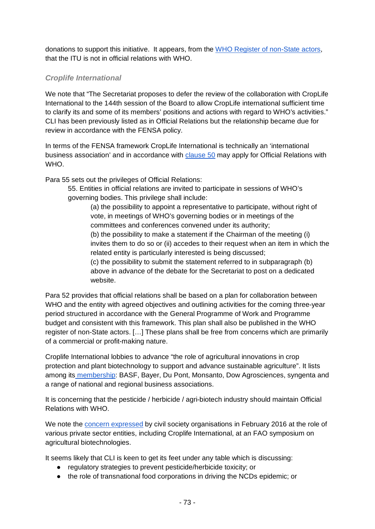donations to support this initiative. It appears, from the [WHO Register of non-State actors,](https://publicspace.who.int/sites/GEM/default.aspx) that the ITU is not in official relations with WHO.

### *Croplife International*

We note that "The Secretariat proposes to defer the review of the collaboration with CropLife International to the 144th session of the Board to allow CropLife international sufficient time to clarify its and some of its members' positions and actions with regard to WHO's activities." CLI has been previously listed as in Official Relations but the relationship became due for review in accordance with the FENSA policy.

In terms of the FENSA framework CropLife International is technically an 'international business association' and in accordance with [clause 50](http://apps.who.int/gb/ebwha/pdf_files/WHA69/A69_R10-en.pdf%23page=15) may apply for Official Relations with WHO.

Para 55 sets out the privileges of Official Relations:

55. Entities in official relations are invited to participate in sessions of WHO's governing bodies. This privilege shall include:

(a) the possibility to appoint a representative to participate, without right of vote, in meetings of WHO's governing bodies or in meetings of the committees and conferences convened under its authority;

(b) the possibility to make a statement if the Chairman of the meeting (i) invites them to do so or (ii) accedes to their request when an item in which the related entity is particularly interested is being discussed;

(c) the possibility to submit the statement referred to in subparagraph (b) above in advance of the debate for the Secretariat to post on a dedicated website.

Para 52 provides that official relations shall be based on a plan for collaboration between WHO and the entity with agreed objectives and outlining activities for the coming three-year period structured in accordance with the General Programme of Work and Programme budget and consistent with this framework. This plan shall also be published in the WHO register of non-State actors. […] These plans shall be free from concerns which are primarily of a commercial or profit-making nature.

Croplife International lobbies to advance "the role of agricultural innovations in crop protection and plant biotechnology to support and advance sustainable agriculture". It lists among its [membership:](https://croplife.org/about/members/) BASF, Bayer, Du Pont, Monsanto, Dow Agrosciences, syngenta and a range of national and regional business associations.

It is concerning that the pesticide / herbicide / agri-biotech industry should maintain Official Relations with WHO.

We note the [concern expressed](https://foodfirst.org/corporate-vision-of-the-future-of-food-promoted-at-the-un/) by civil society organisations in February 2016 at the role of various private sector entities, including Croplife International, at an FAO symposium on agricultural biotechnologies.

It seems likely that CLI is keen to get its feet under any table which is discussing:

- regulatory strategies to prevent pesticide/herbicide toxicity; or
- the role of transnational food corporations in driving the NCDs epidemic; or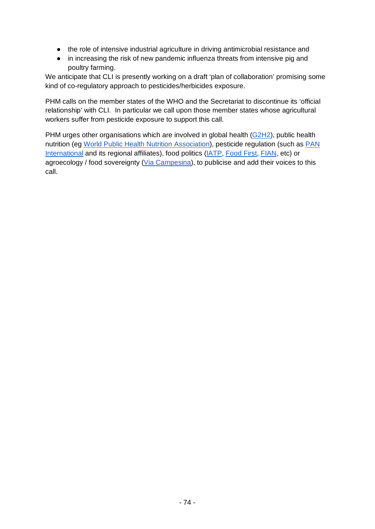- the role of intensive industrial agriculture in driving antimicrobial resistance and
- in increasing the risk of new pandemic influenza threats from intensive pig and poultry farming.

We anticipate that CLI is presently working on a draft 'plan of collaboration' promising some kind of co-regulatory approach to pesticides/herbicides exposure.

PHM calls on the member states of the WHO and the Secretariat to discontinue its 'official relationship' with CLI. In particular we call upon those member states whose agricultural workers suffer from pesticide exposure to support this call.

PHM urges other organisations which are involved in global health [\(G2H2\)](http://g2h2.org/), public health nutrition (eg [World Public Health Nutrition Association\)](https://wphna.org/), pesticide regulation (such as [PAN](http://pan-international.org/)  [International](http://pan-international.org/) and its regional affiliates), food politics [\(IATP,](https://www.iatp.org/) [Food First,](https://foodfirst.org/) [FIAN,](http://www.fian.org/) etc) or agroecology / food sovereignty [\(Via Campesina\)](https://viacampesina.org/), to publicise and add their voices to this call.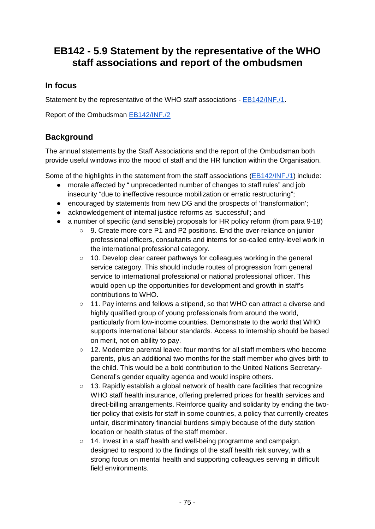## **EB142 - 5.9 Statement by the representative of the WHO staff associations and report of the ombudsmen**

## **In focus**

Statement by the representative of the WHO staff associations - [EB142/INF./1.](http://apps.who.int/gb/ebwha/pdf_files/EB142/B142_INF1-en.pdf)

Report of the Ombudsman [EB142/INF./2](http://apps.who.int/gb/ebwha/pdf_files/EB142/B142_INF2-en.pdf)

## **Background**

The annual statements by the Staff Associations and the report of the Ombudsman both provide useful windows into the mood of staff and the HR function within the Organisation.

Some of the highlights in the statement from the staff associations [\(EB142/INF./1\)](http://apps.who.int/gb/ebwha/pdf_files/EB142/B142_INF1-en.pdf) include:

- morale affected by " unprecedented number of changes to staff rules" and job insecurity "due to ineffective resource mobilization or erratic restructuring";
- encouraged by statements from new DG and the prospects of 'transformation';
- acknowledgement of internal justice reforms as 'successful'; and
- a number of specific (and sensible) proposals for HR policy reform (from para 9-18)
	- 9. Create more core P1 and P2 positions. End the over-reliance on junior professional officers, consultants and interns for so-called entry-level work in the international professional category.
	- 10. Develop clear career pathways for colleagues working in the general service category. This should include routes of progression from general service to international professional or national professional officer. This would open up the opportunities for development and growth in staff's contributions to WHO.
	- 11. Pay interns and fellows a stipend, so that WHO can attract a diverse and highly qualified group of young professionals from around the world, particularly from low-income countries. Demonstrate to the world that WHO supports international labour standards. Access to internship should be based on merit, not on ability to pay.
	- 12. Modernize parental leave: four months for all staff members who become parents, plus an additional two months for the staff member who gives birth to the child. This would be a bold contribution to the United Nations Secretary-General's gender equality agenda and would inspire others.
	- $\circ$  13. Rapidly establish a global network of health care facilities that recognize WHO staff health insurance, offering preferred prices for health services and direct-billing arrangements. Reinforce quality and solidarity by ending the twotier policy that exists for staff in some countries, a policy that currently creates unfair, discriminatory financial burdens simply because of the duty station location or health status of the staff member.
	- 14. Invest in a staff health and well-being programme and campaign, designed to respond to the findings of the staff health risk survey, with a strong focus on mental health and supporting colleagues serving in difficult field environments.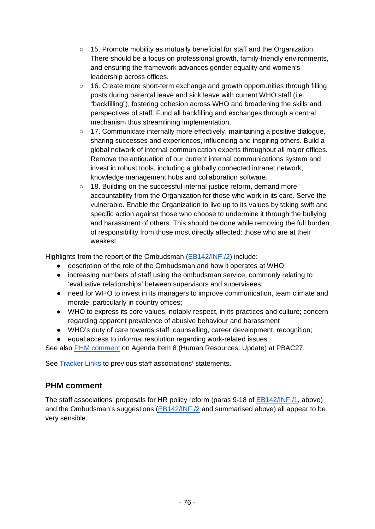- 15. Promote mobility as mutually beneficial for staff and the Organization. There should be a focus on professional growth, family-friendly environments, and ensuring the framework advances gender equality and women's leadership across offices.
- 16. Create more short-term exchange and growth opportunities through filling posts during parental leave and sick leave with current WHO staff (i.e. "backfilling"), fostering cohesion across WHO and broadening the skills and perspectives of staff. Fund all backfilling and exchanges through a central mechanism thus streamlining implementation.
- 17. Communicate internally more effectively, maintaining a positive dialogue, sharing successes and experiences, influencing and inspiring others. Build a global network of internal communication experts throughout all major offices. Remove the antiquation of our current internal communications system and invest in robust tools, including a globally connected intranet network, knowledge management hubs and collaboration software.
- 18. Building on the successful internal justice reform, demand more accountability from the Organization for those who work in its care. Serve the vulnerable. Enable the Organization to live up to its values by taking swift and specific action against those who choose to undermine it through the bullying and harassment of others. This should be done while removing the full burden of responsibility from those most directly affected: those who are at their weakest.

Highlights from the report of the Ombudsman [\(EB142/INF./2\)](http://apps.who.int/gb/ebwha/pdf_files/EB142/B142_INF2-en.pdf) include:

- description of the role of the Ombudsman and how it operates at WHO;
- increasing numbers of staff using the ombudsman service, commonly relating to 'evaluative relationships' between supervisors and supervisees;
- need for WHO to invest in its managers to improve communication, team climate and morale, particularly in country offices;
- WHO to express its core values, notably respect, in its practices and culture; concern regarding apparent prevalence of abusive behaviour and harassment
- WHO's duty of care towards staff: counselling, career development, recognition;
- equal access to informal resolution regarding work-related issues.

See also [PHM comment](https://docs.google.com/document/d/1ucltBICpU7womaii2mQU_MiYrKQogAtx1_eJ3z6KBHI/edit?usp=sharing) on Agenda Item 8 (Human Resources: Update) at PBAC27.

See [Tracker Links](http://who-track.phmovement.org/items-search2?combine=&field_date_value%5Bmin%5D=&field_date_value%5Bmax%5D=&field_keywords_target_id_1%5B%5D=174) to previous staff associations' statements.

#### **PHM comment**

The staff associations' proposals for HR policy reform (paras 9-18 of **EB142/INF./1**, above) and the Ombudsman's suggestions [\(EB142/INF./2](http://apps.who.int/gb/ebwha/pdf_files/EB142/B142_INF2-en.pdf) and summarised above) all appear to be very sensible.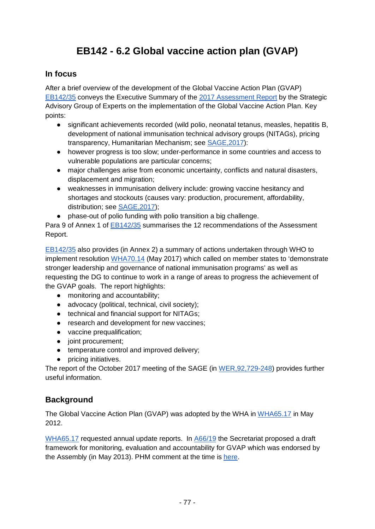# **EB142 - 6.2 Global vaccine action plan (GVAP)**

## **In focus**

After a brief overview of the development of the Global Vaccine Action Plan (GVAP) [EB142/35](http://apps.who.int/gb/ebwha/pdf_files/EB142/B142_35-en.pdf) conveys the Executive Summary of the [2017 Assessment Report](http://www.who.int/immunization/web_2017_sage_gvap_assessment_report_en.pdf?ua=1) by the Strategic Advisory Group of Experts on the implementation of the Global Vaccine Action Plan. Key points:

- significant achievements recorded (wild polio, neonatal tetanus, measles, hepatitis B, development of national immunisation technical advisory groups (NITAGs), pricing transparency, Humanitarian Mechanism; see [SAGE,2017\)](http://www.who.int/immunization/web_2017_sage_gvap_assessment_report_en.pdf?ua=1%23page=9):
- however progress is too slow; under-performance in some countries and access to vulnerable populations are particular concerns;
- major challenges arise from economic uncertainty, conflicts and natural disasters, displacement and migration;
- weaknesses in immunisation delivery include: growing vaccine hesitancy and shortages and stockouts (causes vary: production, procurement, affordability, distribution; see [SAGE,2017\)](http://www.who.int/immunization/web_2017_sage_gvap_assessment_report_en.pdf?ua=1%23page=24);
- phase-out of polio funding with polio transition a big challenge.

Para 9 of Annex 1 of [EB142/35](http://apps.who.int/gb/ebwha/pdf_files/EB142/B142_35-en.pdf) summarises the 12 recommendations of the Assessment Report.

[EB142/35](http://apps.who.int/gb/ebwha/pdf_files/EB142/B142_35-en.pdf) also provides (in Annex 2) a summary of actions undertaken through WHO to implement resolution [WHA70.14](http://apps.who.int/gb/ebwha/pdf_files/WHA70/A70_R14-en.pdf) (May 2017) which called on member states to 'demonstrate stronger leadership and governance of national immunisation programs' as well as requesting the DG to continue to work in a range of areas to progress the achievement of the GVAP goals. The report highlights:

- monitoring and accountability;
- advocacy (political, technical, civil society);
- technical and financial support for NITAGs;
- research and development for new vaccines;
- vaccine prequalification;
- joint procurement;
- temperature control and improved delivery;
- pricing initiatives.

The report of the October 2017 meeting of the SAGE (in [WER,92,729-248\)](http://apps.who.int/iris/bitstream/10665/259533/1/WER9248.pdf) provides further useful information.

## **Background**

The Global Vaccine Action Plan (GVAP) was adopted by the WHA in [WHA65.17](http://apps.who.int/gb/ebwha/pdf_files/WHA65-REC1/A65_REC1-en.pdf%23page=48) in May 2012.

[WHA65.17](http://apps.who.int/gb/ebwha/pdf_files/WHA65-REC1/A65_REC1-en.pdf%23page=48) requested annual update reports. In [A66/19](http://apps.who.int/gb/ebwha/pdf_files/WHA66/A66_19-en.pdf) the Secretariat proposed a draft framework for monitoring, evaluation and accountability for GVAP which was endorsed by the Assembly (in May 2013). PHM comment at the time is [here.](http://www.ghwatch.org/sites/www.ghwatch.org/files/MMIStatement_VaccineActionPlan.pdf)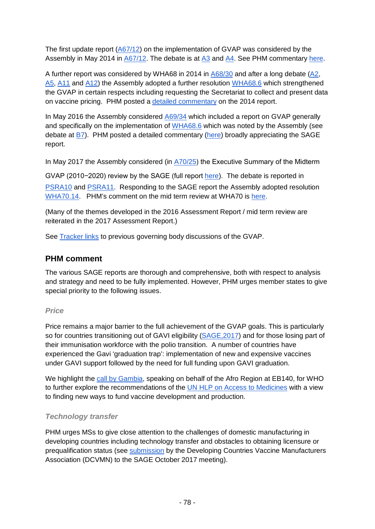The first update report [\(A67/12\)](http://apps.who.int/gb/ebwha/pdf_files/WHA67/A67_12-en.pdf) on the implementation of GVAP was considered by the Assembly in May 2014 in [A67/12.](http://apps.who.int/gb/ebwha/pdf_files/WHA67/A67_12-en.pdf) The debate is at [A3](http://apps.who.int/gb/ebwha/pdf_files/WHA67-REC3/A67_REC3-en.pdf%23page=80) and [A4.](http://apps.who.int/gb/ebwha/pdf_files/WHA67-REC3/A67_REC3-en.pdf%23page=85) See PHM commentary [here.](https://docs.google.com/document/d/1Qfm7icgqR3oRbJP4J1xZdPq34H9h_MGmHfWuoxch9AU/edit?usp=sharing)

A further report was considered by WHA68 in 2014 in [A68/30](http://apps.who.int/gb/ebwha/pdf_files/WHA68/A68_30-en.pdf) and after a long debate [\(A2,](http://apps.who.int/gb/ebwha/pdf_files/WHA68-REC3/A68_2015_REC3-en.pdf%23page=54) [A5,](http://apps.who.int/gb/ebwha/pdf_files/WHA68-REC3/A68_2015_REC3-en.pdf%23page=91) [A11](http://apps.who.int/gb/ebwha/pdf_files/WHA68-REC3/A68_2015_REC3-en.pdf%23page=184) and [A12\)](http://apps.who.int/gb/ebwha/pdf_files/WHA68-REC3/A68_2015_REC3-en.pdf%23page=205) the Assembly adopted a further resolution [WHA68.6](http://apps.who.int/gb/ebwha/pdf_files/WHA68-REC1/A68_R1_REC1-en.pdf%23page=38) which strengthened the GVAP in certain respects including requesting the Secretariat to collect and present data on vaccine pricing. PHM posted a [detailed commentary](https://docs.google.com/document/d/1Fhwz01-e5VdmOn0FHPKHZCnpxynpDeZSZQW01Swe_3A/edit?usp=sharing) on the 2014 report.

In May 2016 the Assembly considered [A69/34](http://apps.who.int/gb/ebwha/pdf_files/WHA69/A69_34-en.pdf) which included a report on GVAP generally and specifically on the implementation of [WHA68.6](http://apps.who.int/gb/ebwha/pdf_files/WHA68-REC1/A68_R1_REC1-en.pdf%23page=38) which was noted by the Assembly (see debate at  $B$ 7). PHM posted a detailed commentary [\(here\)](https://docs.google.com/document/d/1LzugUqhOPguYO4O77D0zkgDVOlypDzBJnLBSW7kPYmk/edit?usp=sharing) broadly appreciating the SAGE report.

In May 2017 the Assembly considered (in [A70/25](http://apps.who.int/gb/ebwha/pdf_files/WHA70/A70_25-en.pdf)) the Executive Summary of the Midterm

GVAP (2010−2020) review by the SAGE (full report [here\)](http://www.who.int/immunization/global_vaccine_action_plan/SAGE_GVAP_Assessment_Report_2016_EN.pdf). The debate is reported in [PSRA10](http://apps.who.int/gb/ebwha/pdf_files/WHA70-A-B-PSR/A70_APSR10-en.pdf%23page=6) and [PSRA11.](http://apps.who.int/gb/ebwha/pdf_files/WHA70-A-B-PSR/A70_APSR11-en.pdf%23page=2) Responding to the SAGE report the Assembly adopted resolution [WHA70.14.](http://apps.who.int/gb/ebwha/pdf_files/WHA70/A70_R14-en.pdf) PHM's comment on the mid term review at WHA70 is [here.](https://docs.google.com/document/d/1TkneWawoTUuqhkiLS694cr4s7fKhyCgYXCBN_cnmYrU/edit%23heading=h.dg8wdrn4q2yv)

(Many of the themes developed in the 2016 Assessment Report / mid term review are reiterated in the 2017 Assessment Report.)

See **Tracker links** to previous governing body discussions of the GVAP.

## **PHM comment**

The various SAGE reports are thorough and comprehensive, both with respect to analysis and strategy and need to be fully implemented. However, PHM urges member states to give special priority to the following issues.

#### *Price*

Price remains a major barrier to the full achievement of the GVAP goals. This is particularly so for countries transitioning out of GAVI eligibility (SAGE, 2017) and for those losing part of their immunisation workforce with the polio transition. A number of countries have experienced the Gavi 'graduation trap': implementation of new and expensive vaccines under GAVI support followed by the need for full funding upon GAVI graduation.

We highlight the [call by Gambia,](http://apps.who.int/gb/ebwha/pdf_files/EB140-PSR/B140_PSR12-en.pdf%23page=6) speaking on behalf of the Afro Region at EB140, for WHO to further explore the recommendations of the [UN HLP on Access to Medicines](http://www.unsgaccessmeds.org/final-report/) with a view to finding new ways to fund vaccine development and production.

#### *Technology transfer*

PHM urges MSs to give close attention to the challenges of domestic manufacturing in developing countries including technology transfer and obstacles to obtaining licensure or prequalification status (see [submission](http://apps.who.int/iris/bitstream/10665/259533/1/WER9248.pdf%23page=9) by the Developing Countries Vaccine Manufacturers Association (DCVMN) to the SAGE October 2017 meeting).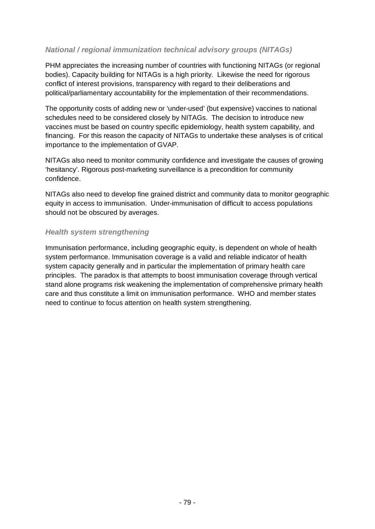#### *National / regional immunization technical advisory groups (NITAGs)*

PHM appreciates the increasing number of countries with functioning NITAGs (or regional bodies). Capacity building for NITAGs is a high priority. Likewise the need for rigorous conflict of interest provisions, transparency with regard to their deliberations and political/parliamentary accountability for the implementation of their recommendations.

The opportunity costs of adding new or 'under-used' (but expensive) vaccines to national schedules need to be considered closely by NITAGs. The decision to introduce new vaccines must be based on country specific epidemiology, health system capability, and financing. For this reason the capacity of NITAGs to undertake these analyses is of critical importance to the implementation of GVAP.

NITAGs also need to monitor community confidence and investigate the causes of growing 'hesitancy'. Rigorous post-marketing surveillance is a precondition for community confidence.

NITAGs also need to develop fine grained district and community data to monitor geographic equity in access to immunisation. Under-immunisation of difficult to access populations should not be obscured by averages.

#### *Health system strengthening*

Immunisation performance, including geographic equity, is dependent on whole of health system performance. Immunisation coverage is a valid and reliable indicator of health system capacity generally and in particular the implementation of primary health care principles. The paradox is that attempts to boost immunisation coverage through vertical stand alone programs risk weakening the implementation of comprehensive primary health care and thus constitute a limit on immunisation performance. WHO and member states need to continue to focus attention on health system strengthening.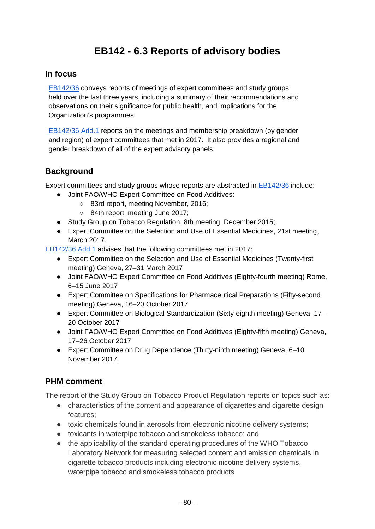## **EB142 - 6.3 Reports of advisory bodies**

## **In focus**

[EB142/36](http://apps.who.int/gb/ebwha/pdf_files/EB142/B142_36-en.pdf) conveys reports of meetings of expert committees and study groups held over the last three years, including a summary of their recommendations and observations on their significance for public health, and implications for the Organization's programmes.

[EB142/36 Add.1](http://apps.who.int/gb/ebwha/pdf_files/EB142/B142_36Add1-en.pdf) reports on the meetings and membership breakdown (by gender and region) of expert committees that met in 2017. It also provides a regional and gender breakdown of all of the expert advisory panels.

## **Background**

Expert committees and study groups whose reports are abstracted in [EB142/36](http://apps.who.int/gb/ebwha/pdf_files/EB142/B142_36-en.pdf) include:

- Joint FAO/WHO Expert Committee on Food Additives:
	- 83rd report, meeting November, 2016;
	- 84th report, meeting June 2017;
- Study Group on Tobacco Regulation, 8th meeting, December 2015;
- Expert Committee on the Selection and Use of Essential Medicines, 21st meeting, March 2017.

[EB142/36 Add.1](http://apps.who.int/gb/ebwha/pdf_files/EB142/B142_36Add1-en.pdf) advises that the following committees met in 2017:

- Expert Committee on the Selection and Use of Essential Medicines (Twenty-first meeting) Geneva, 27–31 March 2017
- Joint FAO/WHO Expert Committee on Food Additives (Eighty-fourth meeting) Rome, 6–15 June 2017
- Expert Committee on Specifications for Pharmaceutical Preparations (Fifty-second meeting) Geneva, 16–20 October 2017
- Expert Committee on Biological Standardization (Sixty-eighth meeting) Geneva, 17– 20 October 2017
- Joint FAO/WHO Expert Committee on Food Additives (Eighty-fifth meeting) Geneva, 17–26 October 2017
- Expert Committee on Drug Dependence (Thirty-ninth meeting) Geneva, 6–10 November 2017.

## **PHM comment**

The report of the Study Group on Tobacco Product Regulation reports on topics such as:

- characteristics of the content and appearance of cigarettes and cigarette design features;
- toxic chemicals found in aerosols from electronic nicotine delivery systems;
- toxicants in waterpipe tobacco and smokeless tobacco; and
- the applicability of the standard operating procedures of the WHO Tobacco Laboratory Network for measuring selected content and emission chemicals in cigarette tobacco products including electronic nicotine delivery systems, waterpipe tobacco and smokeless tobacco products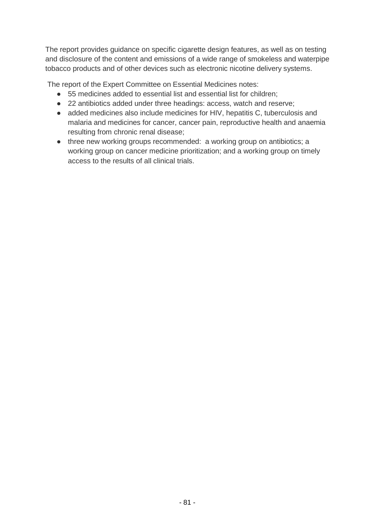The report provides guidance on specific cigarette design features, as well as on testing and disclosure of the content and emissions of a wide range of smokeless and waterpipe tobacco products and of other devices such as electronic nicotine delivery systems.

The report of the Expert Committee on Essential Medicines notes:

- 55 medicines added to essential list and essential list for children;
- 22 antibiotics added under three headings: access, watch and reserve;
- added medicines also include medicines for HIV, hepatitis C, tuberculosis and malaria and medicines for cancer, cancer pain, reproductive health and anaemia resulting from chronic renal disease;
- three new working groups recommended: a working group on antibiotics; a working group on cancer medicine prioritization; and a working group on timely access to the results of all clinical trials.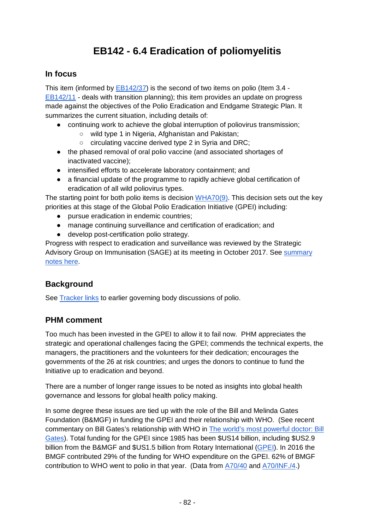# **EB142 - 6.4 Eradication of poliomyelitis**

## **In focus**

This item (informed by [EB142/37\)](http://apps.who.int/gb/ebwha/pdf_files/EB142/B142_37-en.pdf) is the second of two items on polio (Item 3.4 - [EB142/11](http://apps.who.int/gb/ebwha/pdf_files/EB142/B142_11-en.pdf) - deals with transition planning); this item provides an update on progress made against the objectives of the Polio Eradication and Endgame Strategic Plan. It summarizes the current situation, including details of:

- continuing work to achieve the global interruption of poliovirus transmission;
	- o wild type 1 in Nigeria, Afghanistan and Pakistan;
	- circulating vaccine derived type 2 in Syria and DRC;
- the phased removal of oral polio vaccine (and associated shortages of inactivated vaccine);
- intensified efforts to accelerate laboratory containment; and
- a financial update of the programme to rapidly achieve global certification of eradication of all wild poliovirus types.

The starting point for both polio items is decision [WHA70\(9\).](http://apps.who.int/gb/ebwha/pdf_files/WHA70/A70(9)-en.pdf) This decision sets out the key priorities at this stage of the Global Polio Eradication Initiative (GPEI) including:

- pursue eradication in endemic countries;
- manage continuing surveillance and certification of eradication; and
- develop post-certification polio strategy.

Progress with respect to eradication and surveillance was reviewed by the Strategic Advisory Group on Immunisation (SAGE) at its meeting in October 2017. See [summary](http://www.who.int/immunization/policy/sage/SAGE_oct_2017_meeting_summary.pdf?ua=1)  [notes here.](http://www.who.int/immunization/policy/sage/SAGE_oct_2017_meeting_summary.pdf?ua=1)

## **Background**

See **Tracker links** to earlier governing body discussions of polio.

## **PHM comment**

Too much has been invested in the GPEI to allow it to fail now. PHM appreciates the strategic and operational challenges facing the GPEI; commends the technical experts, the managers, the practitioners and the volunteers for their dedication; encourages the governments of the 26 at risk countries; and urges the donors to continue to fund the Initiative up to eradication and beyond.

There are a number of longer range issues to be noted as insights into global health governance and lessons for global health policy making.

In some degree these issues are tied up with the role of the Bill and Melinda Gates Foundation (B&MGF) in funding the GPEI and their relationship with WHO. (See recent commentary on Bill Gates's relationship with WHO in [The world's most powerful doctor: Bill](http://www.politico.eu/article/bill-gates-who-most-powerful-doctor/)  [Gates\)](http://www.politico.eu/article/bill-gates-who-most-powerful-doctor/). Total funding for the GPEI since 1985 has been \$US14 billion, including \$US2.9 billion from the B&MGF and \$US1.5 billion from Rotary International [\(GPEI\)](http://polioeradication.org/financing/donors/historical-contributions/). In 2016 the BMGF contributed 29% of the funding for WHO expenditure on the GPEI. 62% of BMGF contribution to WHO went to polio in that year. (Data from [A70/40](http://apps.who.int/gb/ebwha/pdf_files/WHA70/A70_40-en.pdf) and [A70/INF./4.](http://apps.who.int/gb/ebwha/pdf_files/WHA70/A70_INF4-en.pdf))